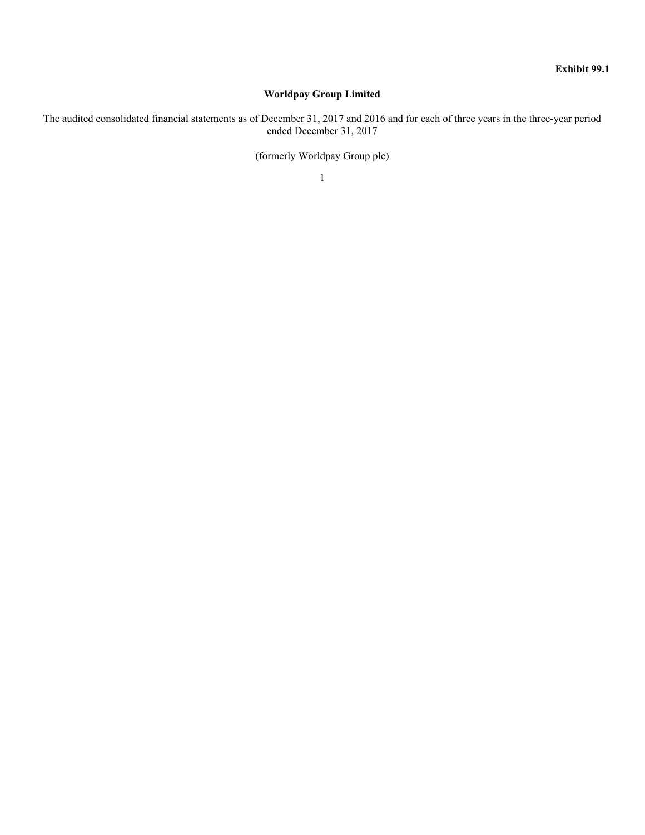The audited consolidated financial statements as of December 31, 2017 and 2016 and for each of three years in the three-year period ended December 31, 2017

(formerly Worldpay Group plc)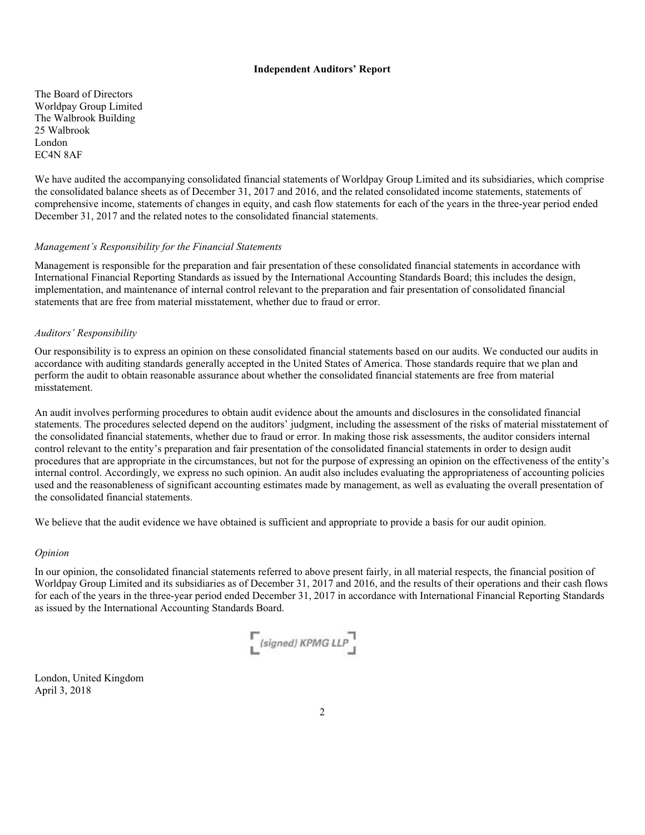#### **Independent Auditors' Report**

The Board of Directors Worldpay Group Limited The Walbrook Building 25 Walbrook London EC4N 8AF

We have audited the accompanying consolidated financial statements of Worldpay Group Limited and its subsidiaries, which comprise the consolidated balance sheets as of December 31, 2017 and 2016, and the related consolidated income statements, statements of comprehensive income, statements of changes in equity, and cash flow statements for each of the years in the three-year period ended December 31, 2017 and the related notes to the consolidated financial statements.

#### *Management's Responsibility for the Financial Statements*

Management is responsible for the preparation and fair presentation of these consolidated financial statements in accordance with International Financial Reporting Standards as issued by the International Accounting Standards Board; this includes the design, implementation, and maintenance of internal control relevant to the preparation and fair presentation of consolidated financial statements that are free from material misstatement, whether due to fraud or error.

#### *Auditors' Responsibility*

Our responsibility is to express an opinion on these consolidated financial statements based on our audits. We conducted our audits in accordance with auditing standards generally accepted in the United States of America. Those standards require that we plan and perform the audit to obtain reasonable assurance about whether the consolidated financial statements are free from material misstatement.

An audit involves performing procedures to obtain audit evidence about the amounts and disclosures in the consolidated financial statements. The procedures selected depend on the auditors' judgment, including the assessment of the risks of material misstatement of the consolidated financial statements, whether due to fraud or error. In making those risk assessments, the auditor considers internal control relevant to the entity's preparation and fair presentation of the consolidated financial statements in order to design audit procedures that are appropriate in the circumstances, but not for the purpose of expressing an opinion on the effectiveness of the entity's internal control. Accordingly, we express no such opinion. An audit also includes evaluating the appropriateness of accounting policies used and the reasonableness of significant accounting estimates made by management, as well as evaluating the overall presentation of the consolidated financial statements.

We believe that the audit evidence we have obtained is sufficient and appropriate to provide a basis for our audit opinion.

#### *Opinion*

In our opinion, the consolidated financial statements referred to above present fairly, in all material respects, the financial position of Worldpay Group Limited and its subsidiaries as of December 31, 2017 and 2016, and the results of their operations and their cash flows for each of the years in the three-year period ended December 31, 2017 in accordance with International Financial Reporting Standards as issued by the International Accounting Standards Board.

$$
\mathbb{L}^{(\textit{signed})\,KPMG\,LLP}
$$

London, United Kingdom April 3, 2018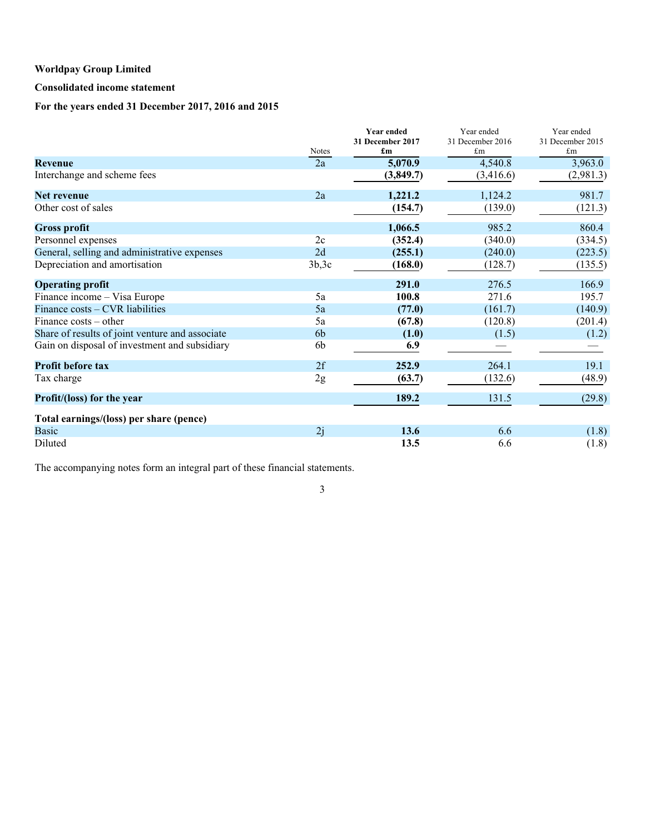# **Consolidated income statement**

# **For the years ended 31 December 2017, 2016 and 2015**

|                                                 | <b>Notes</b>   | <b>Year ended</b><br>31 December 2017<br>$\mathbf{f}_{\mathbf{m}}$ | Year ended<br>31 December 2016<br>$\pounds$ m | Year ended<br>31 December 2015<br>$\pounds$ m |
|-------------------------------------------------|----------------|--------------------------------------------------------------------|-----------------------------------------------|-----------------------------------------------|
| <b>Revenue</b>                                  | 2a             | 5,070.9                                                            | 4,540.8                                       | 3,963.0                                       |
| Interchange and scheme fees                     |                | (3,849.7)                                                          | (3,416.6)                                     | (2,981.3)                                     |
| <b>Net revenue</b>                              | 2a             | 1,221.2                                                            | 1,124.2                                       | 981.7                                         |
| Other cost of sales                             |                | (154.7)                                                            | (139.0)                                       | (121.3)                                       |
| <b>Gross profit</b>                             |                | 1,066.5                                                            | 985.2                                         | 860.4                                         |
| Personnel expenses                              | 2c             | (352.4)                                                            | (340.0)                                       | (334.5)                                       |
| General, selling and administrative expenses    | 2d             | (255.1)                                                            | (240.0)                                       | (223.5)                                       |
| Depreciation and amortisation                   | 3b,3c          | (168.0)                                                            | (128.7)                                       | (135.5)                                       |
| <b>Operating profit</b>                         |                | 291.0                                                              | 276.5                                         | 166.9                                         |
| Finance income - Visa Europe                    | 5a             | 100.8                                                              | 271.6                                         | 195.7                                         |
| Finance $costs - CVR$ liabilities               | 5a             | (77.0)                                                             | (161.7)                                       | (140.9)                                       |
| Finance costs – other                           | 5a             | (67.8)                                                             | (120.8)                                       | (201.4)                                       |
| Share of results of joint venture and associate | 6 <sub>b</sub> | (1.0)                                                              | (1.5)                                         | (1.2)                                         |
| Gain on disposal of investment and subsidiary   | 6 <sub>b</sub> | 6.9                                                                |                                               |                                               |
| Profit before tax                               | 2f             | 252.9                                                              | 264.1                                         | 19.1                                          |
| Tax charge                                      | 2g             | (63.7)                                                             | (132.6)                                       | (48.9)                                        |
| Profit/(loss) for the year                      |                | 189.2                                                              | 131.5                                         | (29.8)                                        |
| Total earnings/(loss) per share (pence)         |                |                                                                    |                                               |                                               |
| Basic                                           | 2j             | 13.6                                                               | 6.6                                           | (1.8)                                         |
| Diluted                                         |                | 13.5                                                               | 6.6                                           | (1.8)                                         |

The accompanying notes form an integral part of these financial statements.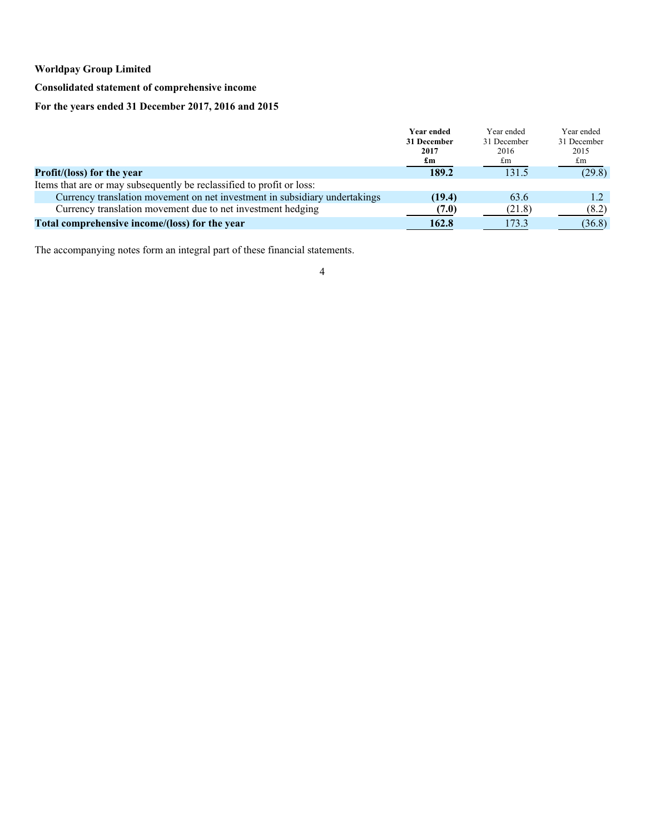# **Consolidated statement of comprehensive income**

# **For the years ended 31 December 2017, 2016 and 2015**

|                                                                            | Year ended<br>31 December<br>2017<br>£m | Year ended<br>31 December<br>2016<br>£m | Year ended<br>31 December<br>2015<br>£m |
|----------------------------------------------------------------------------|-----------------------------------------|-----------------------------------------|-----------------------------------------|
| <b>Profit/(loss)</b> for the year                                          | 189.2                                   | 131.5                                   | (29.8)                                  |
| Items that are or may subsequently be reclassified to profit or loss:      |                                         |                                         |                                         |
| Currency translation movement on net investment in subsidiary undertakings | (19.4)                                  | 63.6                                    |                                         |
| Currency translation movement due to net investment hedging                | (7.0)                                   | (21.8)                                  | (8.2)                                   |
| Total comprehensive income/(loss) for the year                             | 162.8                                   | 173.3                                   | (36.8)                                  |

4

The accompanying notes form an integral part of these financial statements.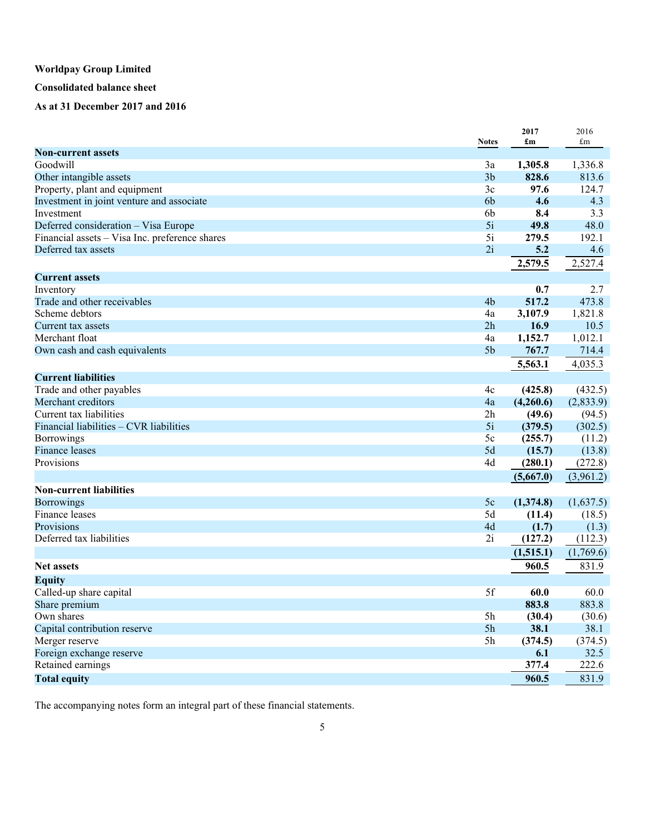## **Consolidated balance sheet**

# **As at 31 December 2017 and 2016**

|                                                | <b>Notes</b>   | 2017<br>$\mathbf{f}_{\mathbf{m}}$ | 2016<br>$\mathbf{f}_{\text{m}}$ |
|------------------------------------------------|----------------|-----------------------------------|---------------------------------|
| <b>Non-current assets</b>                      |                |                                   |                                 |
| Goodwill                                       | 3a             | 1,305.8                           | 1,336.8                         |
| Other intangible assets                        | 3 <sub>b</sub> | 828.6                             | 813.6                           |
| Property, plant and equipment                  | 3c             | 97.6                              | 124.7                           |
| Investment in joint venture and associate      | 6 <sub>b</sub> | 4.6                               | 4.3                             |
| Investment                                     | 6b             | 8.4                               | 3.3                             |
| Deferred consideration - Visa Europe           | 5i             | 49.8                              | 48.0                            |
| Financial assets - Visa Inc. preference shares | 5i             | 279.5                             | 192.1                           |
| Deferred tax assets                            | 2i             | 5.2                               | 4.6                             |
|                                                |                | 2,579.5                           | 2,527.4                         |
| <b>Current assets</b>                          |                |                                   |                                 |
| Inventory                                      |                | 0.7                               | 2.7                             |
| Trade and other receivables                    | 4 <sub>b</sub> | 517.2                             | 473.8                           |
| Scheme debtors                                 | 4a             | 3,107.9                           | 1,821.8                         |
| Current tax assets                             | 2h             | 16.9                              | 10.5                            |
| Merchant float                                 | 4a             | 1,152.7                           | 1,012.1                         |
| Own cash and cash equivalents                  | 5 <sub>b</sub> | 767.7                             | 714.4                           |
|                                                |                | 5,563.1                           | 4,035.3                         |
|                                                |                |                                   |                                 |
| <b>Current liabilities</b>                     |                |                                   |                                 |
| Trade and other payables                       | 4c             | (425.8)                           | (432.5)                         |
| Merchant creditors                             | 4a             | (4,260.6)                         | (2,833.9)                       |
| Current tax liabilities                        | 2h             | (49.6)                            | (94.5)                          |
| Financial liabilities $-CVR$ liabilities       | 5i             | (379.5)                           | (302.5)                         |
| Borrowings                                     | 5c             | (255.7)                           | (11.2)                          |
| <b>Finance leases</b>                          | 5d             | (15.7)                            | (13.8)                          |
| Provisions                                     | 4d             | (280.1)                           | (272.8)                         |
|                                                |                | (5,667.0)                         | (3,961.2)                       |
| <b>Non-current liabilities</b>                 |                |                                   |                                 |
| <b>Borrowings</b>                              | 5c             | (1,374.8)                         | (1,637.5)                       |
| Finance leases                                 | 5d             | (11.4)                            | (18.5)                          |
| Provisions                                     | 4d             | (1.7)                             | (1.3)                           |
| Deferred tax liabilities                       | 2i             | (127.2)                           | (112.3)                         |
|                                                |                | (1,515.1)                         | (1,769.6)                       |
| <b>Net assets</b>                              |                | 960.5                             | 831.9                           |
| <b>Equity</b>                                  |                |                                   |                                 |
| Called-up share capital                        | 5f             | 60.0                              | 60.0                            |
| Share premium                                  |                | 883.8                             | 883.8                           |
| Own shares                                     | 5h             | (30.4)                            | (30.6)                          |
| Capital contribution reserve                   | $5h$           | 38.1                              | 38.1                            |
| Merger reserve                                 | 5h             | (374.5)                           | (374.5)                         |
| Foreign exchange reserve                       |                | 6.1                               | 32.5                            |
| Retained earnings                              |                | 377.4                             | 222.6                           |
| <b>Total equity</b>                            |                | 960.5                             | 831.9                           |

The accompanying notes form an integral part of these financial statements.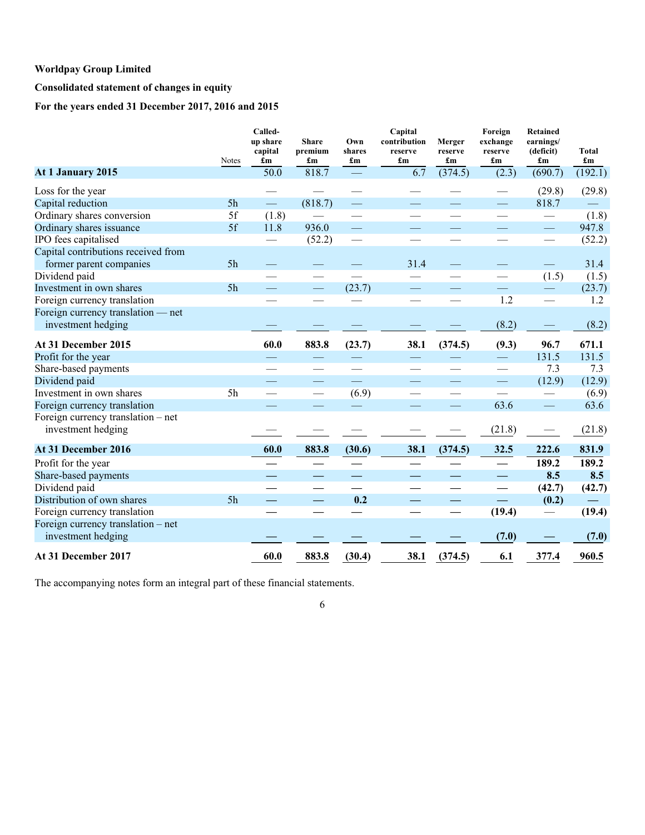# **Consolidated statement of changes in equity**

# **For the years ended 31 December 2017, 2016 and 2015**

|                                     | Notes | Called-<br>up share<br>capital<br>£m | <b>Share</b><br>premium<br>$\mathbf{f}_{\mathbf{m}}$ | Own<br>shares<br>$\mathbf{f}_{\mathbf{m}}$ | Capital<br>contribution<br>reserve<br>$\mathbf{f}_{\mathbf{m}}$ | Merger<br>reserve<br>$\mathbf{f}_{\mathbf{m}}$ | Foreign<br>exchange<br>reserve<br>$\mathbf{f}_{\mathbf{m}}$ | <b>Retained</b><br>earnings/<br>(deficit)<br>$\mathbf{f}_{\mathbf{m}}$ | <b>Total</b><br>$\mathbf{f}_{\mathbf{m}}$ |
|-------------------------------------|-------|--------------------------------------|------------------------------------------------------|--------------------------------------------|-----------------------------------------------------------------|------------------------------------------------|-------------------------------------------------------------|------------------------------------------------------------------------|-------------------------------------------|
| At 1 January 2015                   |       | 50.0                                 | 818.7                                                |                                            | 6.7                                                             | (374.5)                                        | (2.3)                                                       | (690.7)                                                                | (192.1)                                   |
| Loss for the year                   |       |                                      |                                                      |                                            |                                                                 |                                                |                                                             | (29.8)                                                                 | (29.8)                                    |
| Capital reduction                   | 5h    | $\overline{\phantom{m}}$             | (818.7)                                              | $\overline{\phantom{0}}$                   |                                                                 |                                                |                                                             | 818.7                                                                  |                                           |
| Ordinary shares conversion          | 5f    | (1.8)                                |                                                      |                                            |                                                                 |                                                |                                                             | $\qquad \qquad$                                                        | (1.8)                                     |
| Ordinary shares issuance            | 5f    | 11.8                                 | 936.0                                                | $\overline{\phantom{0}}$                   | $\overline{\phantom{0}}$                                        | ш,                                             | $\equiv$                                                    | $\frac{1}{2}$                                                          | 947.8                                     |
| IPO fees capitalised                |       |                                      | (52.2)                                               |                                            |                                                                 |                                                |                                                             |                                                                        | (52.2)                                    |
| Capital contributions received from |       |                                      |                                                      |                                            |                                                                 |                                                |                                                             |                                                                        |                                           |
| former parent companies             | 5h    |                                      |                                                      |                                            | 31.4                                                            |                                                |                                                             |                                                                        | 31.4                                      |
| Dividend paid                       |       |                                      |                                                      |                                            |                                                                 |                                                |                                                             | (1.5)                                                                  | (1.5)                                     |
| Investment in own shares            | 5h    |                                      |                                                      | (23.7)                                     | $\overline{\phantom{0}}$                                        |                                                |                                                             | $\frac{1}{2}$                                                          | (23.7)                                    |
| Foreign currency translation        |       |                                      |                                                      |                                            |                                                                 |                                                | 1.2                                                         |                                                                        | 1.2                                       |
| Foreign currency translation — net  |       |                                      |                                                      |                                            |                                                                 |                                                |                                                             |                                                                        |                                           |
| investment hedging                  |       |                                      |                                                      |                                            |                                                                 |                                                | (8.2)                                                       |                                                                        | (8.2)                                     |
| At 31 December 2015                 |       | 60.0                                 | 883.8                                                | (23.7)                                     | 38.1                                                            | (374.5)                                        | (9.3)                                                       | 96.7                                                                   | 671.1                                     |
| Profit for the year                 |       |                                      |                                                      |                                            | $\overline{\phantom{0}}$                                        |                                                |                                                             | 131.5                                                                  | 131.5                                     |
| Share-based payments                |       |                                      |                                                      |                                            |                                                                 |                                                | $\qquad \qquad$                                             | 7.3                                                                    | 7.3                                       |
| Dividend paid                       |       | <u>e a</u>                           | $\frac{1}{2}$                                        | $\equiv$                                   | $\overline{\phantom{0}}$                                        | $\equiv$                                       | $\equiv$                                                    | (12.9)                                                                 | (12.9)                                    |
| Investment in own shares            | 5h    | $\qquad \qquad$                      | $\frac{1}{1}$                                        | (6.9)                                      |                                                                 |                                                | $\overline{\phantom{0}}$                                    |                                                                        | (6.9)                                     |
| Foreign currency translation        |       |                                      |                                                      |                                            |                                                                 |                                                | 63.6                                                        | $\frac{1}{1}$                                                          | 63.6                                      |
| Foreign currency translation – net  |       |                                      |                                                      |                                            |                                                                 |                                                |                                                             |                                                                        |                                           |
| investment hedging                  |       |                                      |                                                      |                                            |                                                                 |                                                | (21.8)                                                      |                                                                        | (21.8)                                    |
| At 31 December 2016                 |       | 60.0                                 | 883.8                                                | (30.6)                                     | 38.1                                                            | (374.5)                                        | 32.5                                                        | 222.6                                                                  | 831.9                                     |
| Profit for the year                 |       |                                      |                                                      |                                            |                                                                 |                                                |                                                             | 189.2                                                                  | 189.2                                     |
| Share-based payments                |       |                                      |                                                      | —                                          | $\overline{\phantom{0}}$                                        |                                                |                                                             | 8.5                                                                    | 8.5                                       |
| Dividend paid                       |       |                                      |                                                      |                                            |                                                                 |                                                |                                                             | (42.7)                                                                 | (42.7)                                    |
| Distribution of own shares          | 5h    |                                      |                                                      | 0.2                                        |                                                                 |                                                |                                                             | (0.2)                                                                  |                                           |
| Foreign currency translation        |       |                                      |                                                      |                                            |                                                                 | $\overline{\phantom{0}}$                       | (19.4)                                                      | $\qquad \qquad \overline{\qquad \qquad }$                              | (19.4)                                    |
| Foreign currency translation - net  |       |                                      |                                                      |                                            |                                                                 |                                                |                                                             |                                                                        |                                           |
| investment hedging                  |       |                                      |                                                      |                                            |                                                                 |                                                | (7.0)                                                       |                                                                        | (7.0)                                     |
| At 31 December 2017                 |       | 60.0                                 | 883.8                                                | (30.4)                                     | 38.1                                                            | (374.5)                                        | 6.1                                                         | 377.4                                                                  | 960.5                                     |

The accompanying notes form an integral part of these financial statements.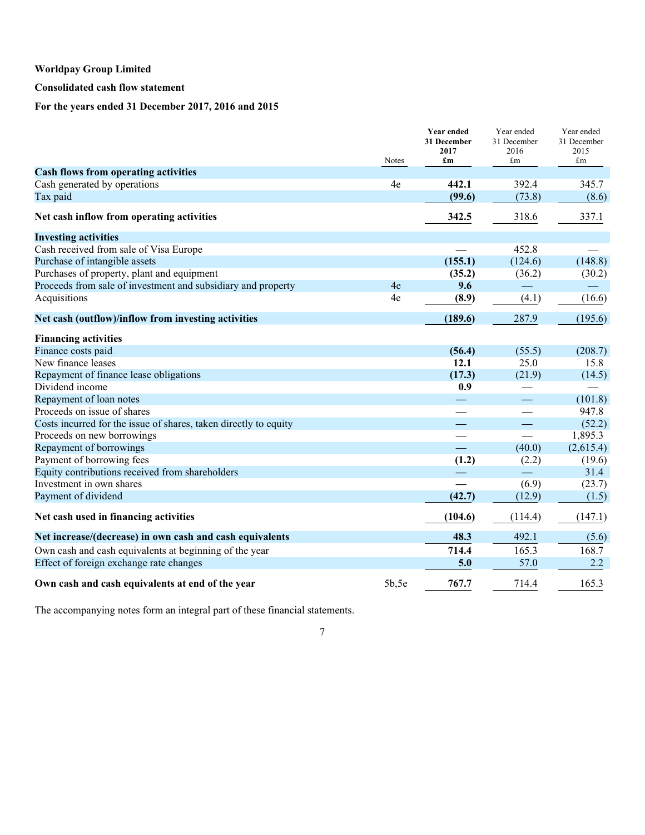# **Consolidated cash flow statement**

# **For the years ended 31 December 2017, 2016 and 2015**

|                                                                  |       | <b>Year ended</b><br>31 December<br>2017 | Year ended<br>31 December<br>2016 | Year ended<br>31 December<br>2015 |
|------------------------------------------------------------------|-------|------------------------------------------|-----------------------------------|-----------------------------------|
|                                                                  | Notes | $\mathbf{f}_{\mathbf{m}}$                | £m                                | $\mathbf{f}_{\text{m}}$           |
| <b>Cash flows from operating activities</b>                      |       |                                          |                                   |                                   |
| Cash generated by operations                                     | 4e    | 442.1                                    | 392.4                             | 345.7                             |
| Tax paid                                                         |       | (99.6)                                   | (73.8)                            | (8.6)                             |
| Net cash inflow from operating activities                        |       | 342.5                                    | 318.6                             | 337.1                             |
| <b>Investing activities</b>                                      |       |                                          |                                   |                                   |
| Cash received from sale of Visa Europe                           |       |                                          | 452.8                             |                                   |
| Purchase of intangible assets                                    |       | (155.1)                                  | (124.6)                           | (148.8)                           |
| Purchases of property, plant and equipment                       |       | (35.2)                                   | (36.2)                            | (30.2)                            |
| Proceeds from sale of investment and subsidiary and property     | 4e    | 9.6                                      |                                   |                                   |
| Acquisitions                                                     | 4e    | (8.9)                                    | (4.1)                             | (16.6)                            |
| Net cash (outflow)/inflow from investing activities              |       | (189.6)                                  | 287.9                             | (195.6)                           |
| <b>Financing activities</b>                                      |       |                                          |                                   |                                   |
| Finance costs paid                                               |       | (56.4)                                   | (55.5)                            | (208.7)                           |
| New finance leases                                               |       | 12.1                                     | 25.0                              | 15.8                              |
| Repayment of finance lease obligations                           |       | (17.3)                                   | (21.9)                            | (14.5)                            |
| Dividend income                                                  |       | 0.9                                      |                                   |                                   |
| Repayment of loan notes                                          |       | —                                        |                                   | (101.8)                           |
| Proceeds on issue of shares                                      |       |                                          |                                   | 947.8                             |
| Costs incurred for the issue of shares, taken directly to equity |       |                                          |                                   | (52.2)                            |
| Proceeds on new borrowings                                       |       |                                          | $\overline{\phantom{0}}$          | 1,895.3                           |
| Repayment of borrowings                                          |       |                                          | (40.0)                            | (2,615.4)                         |
| Payment of borrowing fees                                        |       | (1.2)                                    | (2.2)                             | (19.6)                            |
| Equity contributions received from shareholders                  |       |                                          |                                   | 31.4                              |
| Investment in own shares                                         |       |                                          | (6.9)                             | (23.7)                            |
| Payment of dividend                                              |       | (42.7)                                   | (12.9)                            | (1.5)                             |
| Net cash used in financing activities                            |       | (104.6)                                  | (114.4)                           | (147.1)                           |
| Net increase/(decrease) in own cash and cash equivalents         |       | 48.3                                     | 492.1                             | (5.6)                             |
| Own cash and cash equivalents at beginning of the year           |       | 714.4                                    | 165.3                             | 168.7                             |
| Effect of foreign exchange rate changes                          |       | 5.0                                      | 57.0                              | 2.2                               |
| Own cash and cash equivalents at end of the year                 | 5b,5e | 767.7                                    | 714.4                             | 165.3                             |

The accompanying notes form an integral part of these financial statements.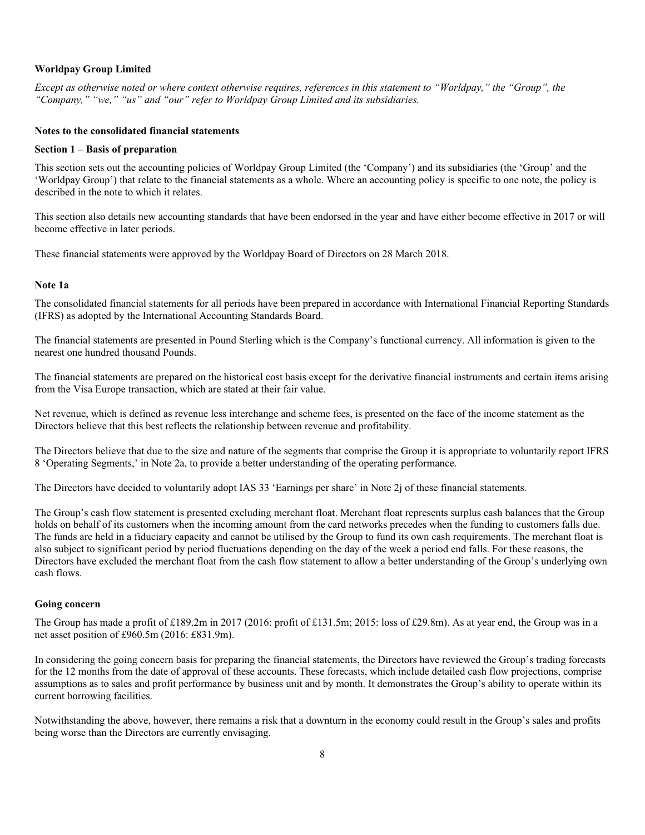*Except as otherwise noted or where context otherwise requires, references in this statement to "Worldpay," the "Group", the "Company," "we," "us" and "our" refer to Worldpay Group Limited and its subsidiaries.* 

#### **Notes to the consolidated financial statements**

#### **Section 1 – Basis of preparation**

This section sets out the accounting policies of Worldpay Group Limited (the 'Company') and its subsidiaries (the 'Group' and the 'Worldpay Group') that relate to the financial statements as a whole. Where an accounting policy is specific to one note, the policy is described in the note to which it relates.

This section also details new accounting standards that have been endorsed in the year and have either become effective in 2017 or will become effective in later periods.

These financial statements were approved by the Worldpay Board of Directors on 28 March 2018.

#### **Note 1a**

The consolidated financial statements for all periods have been prepared in accordance with International Financial Reporting Standards (IFRS) as adopted by the International Accounting Standards Board.

The financial statements are presented in Pound Sterling which is the Company's functional currency. All information is given to the nearest one hundred thousand Pounds.

The financial statements are prepared on the historical cost basis except for the derivative financial instruments and certain items arising from the Visa Europe transaction, which are stated at their fair value.

Net revenue, which is defined as revenue less interchange and scheme fees, is presented on the face of the income statement as the Directors believe that this best reflects the relationship between revenue and profitability.

The Directors believe that due to the size and nature of the segments that comprise the Group it is appropriate to voluntarily report IFRS 8 'Operating Segments,' in Note 2a, to provide a better understanding of the operating performance.

The Directors have decided to voluntarily adopt IAS 33 'Earnings per share' in Note 2j of these financial statements.

The Group's cash flow statement is presented excluding merchant float. Merchant float represents surplus cash balances that the Group holds on behalf of its customers when the incoming amount from the card networks precedes when the funding to customers falls due. The funds are held in a fiduciary capacity and cannot be utilised by the Group to fund its own cash requirements. The merchant float is also subject to significant period by period fluctuations depending on the day of the week a period end falls. For these reasons, the Directors have excluded the merchant float from the cash flow statement to allow a better understanding of the Group's underlying own cash flows.

#### **Going concern**

The Group has made a profit of £189.2m in 2017 (2016: profit of £131.5m; 2015: loss of £29.8m). As at year end, the Group was in a net asset position of £960.5m (2016: £831.9m).

In considering the going concern basis for preparing the financial statements, the Directors have reviewed the Group's trading forecasts for the 12 months from the date of approval of these accounts. These forecasts, which include detailed cash flow projections, comprise assumptions as to sales and profit performance by business unit and by month. It demonstrates the Group's ability to operate within its current borrowing facilities.

Notwithstanding the above, however, there remains a risk that a downturn in the economy could result in the Group's sales and profits being worse than the Directors are currently envisaging.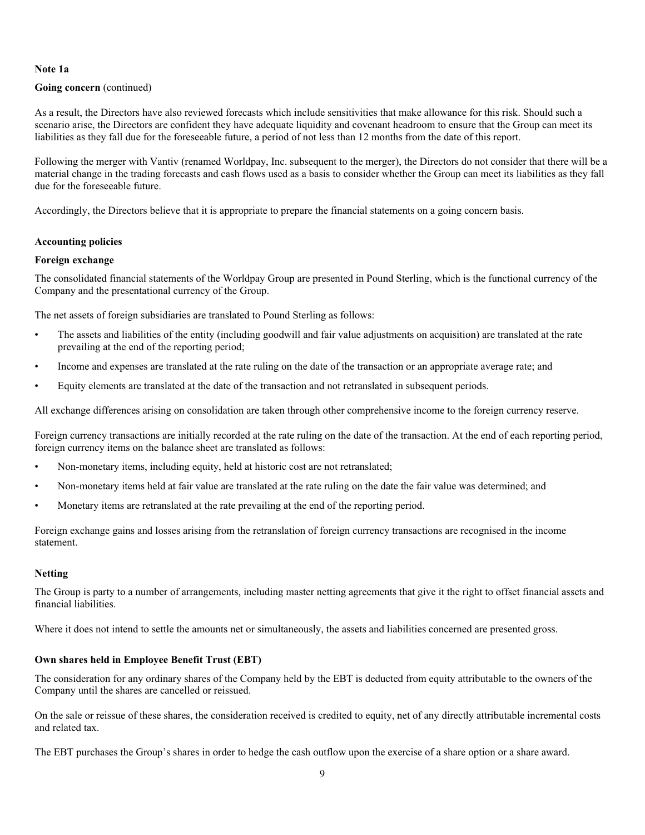### **Note 1a**

### **Going concern** (continued)

As a result, the Directors have also reviewed forecasts which include sensitivities that make allowance for this risk. Should such a scenario arise, the Directors are confident they have adequate liquidity and covenant headroom to ensure that the Group can meet its liabilities as they fall due for the foreseeable future, a period of not less than 12 months from the date of this report.

Following the merger with Vantiv (renamed Worldpay, Inc. subsequent to the merger), the Directors do not consider that there will be a material change in the trading forecasts and cash flows used as a basis to consider whether the Group can meet its liabilities as they fall due for the foreseeable future.

Accordingly, the Directors believe that it is appropriate to prepare the financial statements on a going concern basis.

#### **Accounting policies**

## **Foreign exchange**

The consolidated financial statements of the Worldpay Group are presented in Pound Sterling, which is the functional currency of the Company and the presentational currency of the Group.

The net assets of foreign subsidiaries are translated to Pound Sterling as follows:

- The assets and liabilities of the entity (including goodwill and fair value adjustments on acquisition) are translated at the rate prevailing at the end of the reporting period;
- Income and expenses are translated at the rate ruling on the date of the transaction or an appropriate average rate; and
- Equity elements are translated at the date of the transaction and not retranslated in subsequent periods.

All exchange differences arising on consolidation are taken through other comprehensive income to the foreign currency reserve.

Foreign currency transactions are initially recorded at the rate ruling on the date of the transaction. At the end of each reporting period, foreign currency items on the balance sheet are translated as follows:

- Non-monetary items, including equity, held at historic cost are not retranslated;
- Non-monetary items held at fair value are translated at the rate ruling on the date the fair value was determined; and
- Monetary items are retranslated at the rate prevailing at the end of the reporting period.

Foreign exchange gains and losses arising from the retranslation of foreign currency transactions are recognised in the income statement.

#### **Netting**

The Group is party to a number of arrangements, including master netting agreements that give it the right to offset financial assets and financial liabilities.

Where it does not intend to settle the amounts net or simultaneously, the assets and liabilities concerned are presented gross.

## **Own shares held in Employee Benefit Trust (EBT)**

The consideration for any ordinary shares of the Company held by the EBT is deducted from equity attributable to the owners of the Company until the shares are cancelled or reissued.

On the sale or reissue of these shares, the consideration received is credited to equity, net of any directly attributable incremental costs and related tax.

The EBT purchases the Group's shares in order to hedge the cash outflow upon the exercise of a share option or a share award.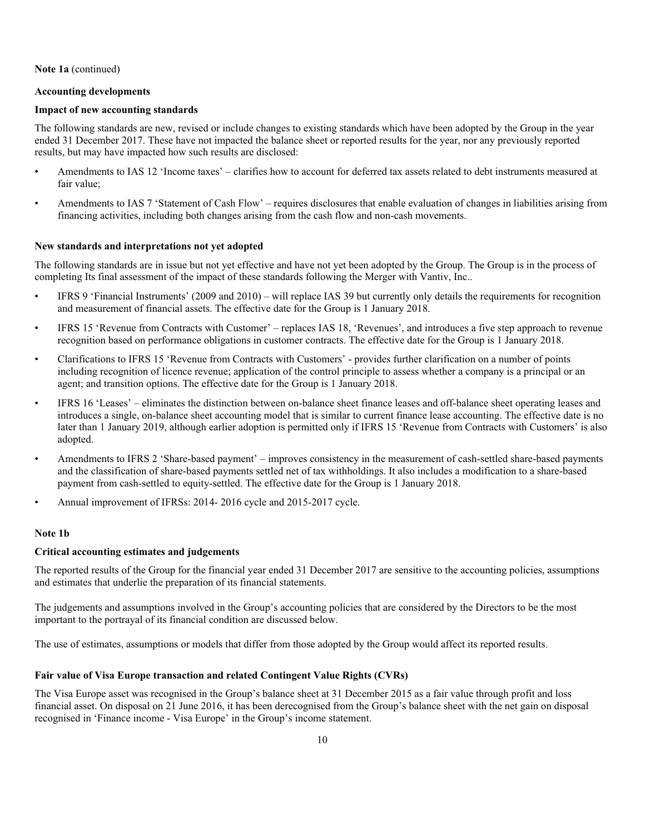#### **Note 1a** (continued)

#### **Accounting developments**

## **Impact of new accounting standards**

The following standards are new, revised or include changes to existing standards which have been adopted by the Group in the year ended 31 December 2017. These have not impacted the balance sheet or reported results for the year, nor any previously reported results, but may have impacted how such results are disclosed:

- Amendments to IAS 12 'Income taxes' clarifies how to account for deferred tax assets related to debt instruments measured at fair value;
- Amendments to IAS 7 'Statement of Cash Flow' requires disclosures that enable evaluation of changes in liabilities arising from financing activities, including both changes arising from the cash flow and non-cash movements.

## **New standards and interpretations not yet adopted**

The following standards are in issue but not yet effective and have not yet been adopted by the Group. The Group is in the process of completing Its final assessment of the impact of these standards following the Merger with Vantiv, Inc..

- IFRS 9 'Financial Instruments' (2009 and 2010) will replace IAS 39 but currently only details the requirements for recognition and measurement of financial assets. The effective date for the Group is 1 January 2018.
- IFRS 15 'Revenue from Contracts with Customer' replaces IAS 18, 'Revenues', and introduces a five step approach to revenue recognition based on performance obligations in customer contracts. The effective date for the Group is 1 January 2018.
- Clarifications to IFRS 15 'Revenue from Contracts with Customers' provides further clarification on a number of points including recognition of licence revenue; application of the control principle to assess whether a company is a principal or an agent; and transition options. The effective date for the Group is 1 January 2018.
- IFRS 16 'Leases' eliminates the distinction between on-balance sheet finance leases and off-balance sheet operating leases and introduces a single, on-balance sheet accounting model that is similar to current finance lease accounting. The effective date is no later than 1 January 2019, although earlier adoption is permitted only if IFRS 15 'Revenue from Contracts with Customers' is also adopted.
- Amendments to IFRS 2 'Share-based payment' improves consistency in the measurement of cash-settled share-based payments and the classification of share-based payments settled net of tax withholdings. It also includes a modification to a share-based payment from cash-settled to equity-settled. The effective date for the Group is 1 January 2018.
- Annual improvement of IFRSs: 2014- 2016 cycle and 2015-2017 cycle.

## **Note 1b**

## **Critical accounting estimates and judgements**

The reported results of the Group for the financial year ended 31 December 2017 are sensitive to the accounting policies, assumptions and estimates that underlie the preparation of its financial statements.

The judgements and assumptions involved in the Group's accounting policies that are considered by the Directors to be the most important to the portrayal of its financial condition are discussed below.

The use of estimates, assumptions or models that differ from those adopted by the Group would affect its reported results.

## **Fair value of Visa Europe transaction and related Contingent Value Rights (CVRs)**

The Visa Europe asset was recognised in the Group's balance sheet at 31 December 2015 as a fair value through profit and loss financial asset. On disposal on 21 June 2016, it has been derecognised from the Group's balance sheet with the net gain on disposal recognised in 'Finance income - Visa Europe' in the Group's income statement.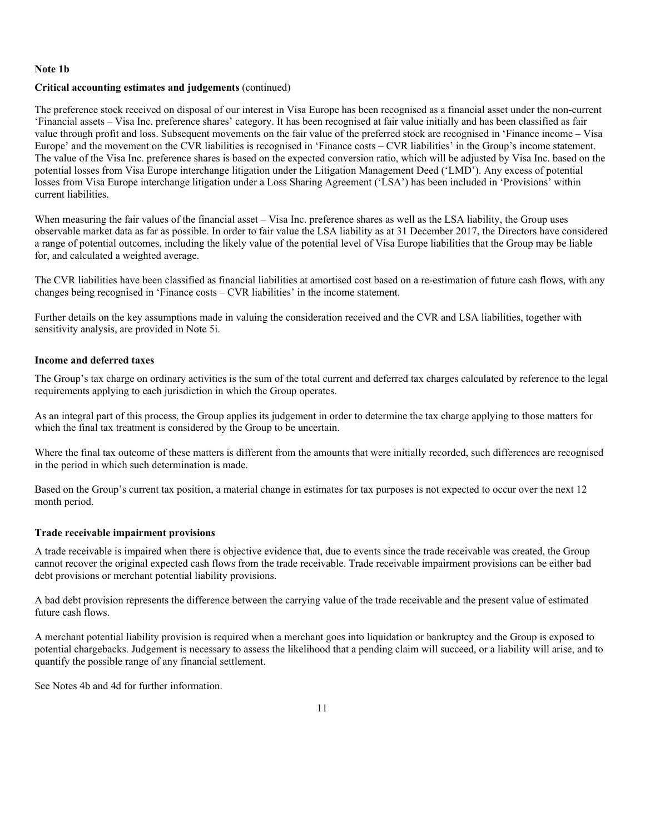#### **Note 1b**

#### **Critical accounting estimates and judgements** (continued)

The preference stock received on disposal of our interest in Visa Europe has been recognised as a financial asset under the non-current 'Financial assets – Visa Inc. preference shares' category. It has been recognised at fair value initially and has been classified as fair value through profit and loss. Subsequent movements on the fair value of the preferred stock are recognised in 'Finance income – Visa Europe' and the movement on the CVR liabilities is recognised in 'Finance costs – CVR liabilities' in the Group's income statement. The value of the Visa Inc. preference shares is based on the expected conversion ratio, which will be adjusted by Visa Inc. based on the potential losses from Visa Europe interchange litigation under the Litigation Management Deed ('LMD'). Any excess of potential losses from Visa Europe interchange litigation under a Loss Sharing Agreement ('LSA') has been included in 'Provisions' within current liabilities.

When measuring the fair values of the financial asset – Visa Inc. preference shares as well as the LSA liability, the Group uses observable market data as far as possible. In order to fair value the LSA liability as at 31 December 2017, the Directors have considered a range of potential outcomes, including the likely value of the potential level of Visa Europe liabilities that the Group may be liable for, and calculated a weighted average.

The CVR liabilities have been classified as financial liabilities at amortised cost based on a re-estimation of future cash flows, with any changes being recognised in 'Finance costs – CVR liabilities' in the income statement.

Further details on the key assumptions made in valuing the consideration received and the CVR and LSA liabilities, together with sensitivity analysis, are provided in Note 5i.

#### **Income and deferred taxes**

The Group's tax charge on ordinary activities is the sum of the total current and deferred tax charges calculated by reference to the legal requirements applying to each jurisdiction in which the Group operates.

As an integral part of this process, the Group applies its judgement in order to determine the tax charge applying to those matters for which the final tax treatment is considered by the Group to be uncertain.

Where the final tax outcome of these matters is different from the amounts that were initially recorded, such differences are recognised in the period in which such determination is made.

Based on the Group's current tax position, a material change in estimates for tax purposes is not expected to occur over the next 12 month period.

### **Trade receivable impairment provisions**

A trade receivable is impaired when there is objective evidence that, due to events since the trade receivable was created, the Group cannot recover the original expected cash flows from the trade receivable. Trade receivable impairment provisions can be either bad debt provisions or merchant potential liability provisions.

A bad debt provision represents the difference between the carrying value of the trade receivable and the present value of estimated future cash flows.

A merchant potential liability provision is required when a merchant goes into liquidation or bankruptcy and the Group is exposed to potential chargebacks. Judgement is necessary to assess the likelihood that a pending claim will succeed, or a liability will arise, and to quantify the possible range of any financial settlement.

See Notes 4b and 4d for further information.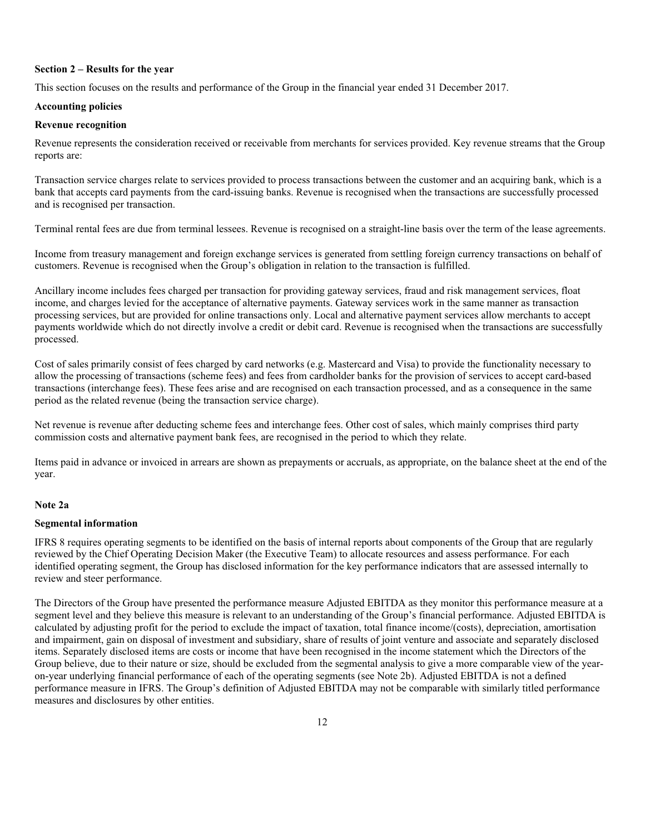#### **Section 2 – Results for the year**

This section focuses on the results and performance of the Group in the financial year ended 31 December 2017.

#### **Accounting policies**

#### **Revenue recognition**

Revenue represents the consideration received or receivable from merchants for services provided. Key revenue streams that the Group reports are:

Transaction service charges relate to services provided to process transactions between the customer and an acquiring bank, which is a bank that accepts card payments from the card-issuing banks. Revenue is recognised when the transactions are successfully processed and is recognised per transaction.

Terminal rental fees are due from terminal lessees. Revenue is recognised on a straight-line basis over the term of the lease agreements.

Income from treasury management and foreign exchange services is generated from settling foreign currency transactions on behalf of customers. Revenue is recognised when the Group's obligation in relation to the transaction is fulfilled.

Ancillary income includes fees charged per transaction for providing gateway services, fraud and risk management services, float income, and charges levied for the acceptance of alternative payments. Gateway services work in the same manner as transaction processing services, but are provided for online transactions only. Local and alternative payment services allow merchants to accept payments worldwide which do not directly involve a credit or debit card. Revenue is recognised when the transactions are successfully processed.

Cost of sales primarily consist of fees charged by card networks (e.g. Mastercard and Visa) to provide the functionality necessary to allow the processing of transactions (scheme fees) and fees from cardholder banks for the provision of services to accept card-based transactions (interchange fees). These fees arise and are recognised on each transaction processed, and as a consequence in the same period as the related revenue (being the transaction service charge).

Net revenue is revenue after deducting scheme fees and interchange fees. Other cost of sales, which mainly comprises third party commission costs and alternative payment bank fees, are recognised in the period to which they relate.

Items paid in advance or invoiced in arrears are shown as prepayments or accruals, as appropriate, on the balance sheet at the end of the year.

## **Note 2a**

## **Segmental information**

IFRS 8 requires operating segments to be identified on the basis of internal reports about components of the Group that are regularly reviewed by the Chief Operating Decision Maker (the Executive Team) to allocate resources and assess performance. For each identified operating segment, the Group has disclosed information for the key performance indicators that are assessed internally to review and steer performance.

The Directors of the Group have presented the performance measure Adjusted EBITDA as they monitor this performance measure at a segment level and they believe this measure is relevant to an understanding of the Group's financial performance. Adjusted EBITDA is calculated by adjusting profit for the period to exclude the impact of taxation, total finance income/(costs), depreciation, amortisation and impairment, gain on disposal of investment and subsidiary, share of results of joint venture and associate and separately disclosed items. Separately disclosed items are costs or income that have been recognised in the income statement which the Directors of the Group believe, due to their nature or size, should be excluded from the segmental analysis to give a more comparable view of the yearon-year underlying financial performance of each of the operating segments (see Note 2b). Adjusted EBITDA is not a defined performance measure in IFRS. The Group's definition of Adjusted EBITDA may not be comparable with similarly titled performance measures and disclosures by other entities.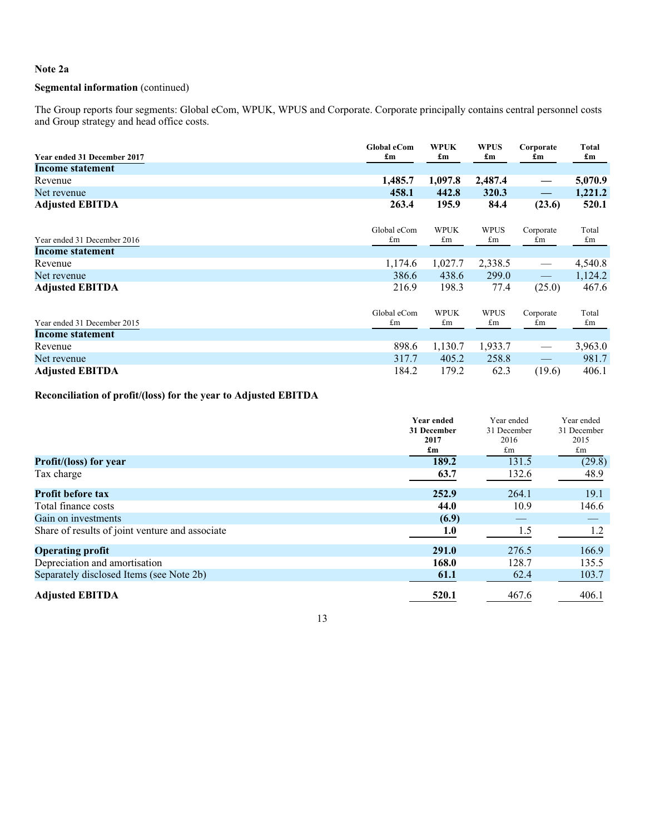## **Note 2a**

## **Segmental information** (continued)

The Group reports four segments: Global eCom, WPUK, WPUS and Corporate. Corporate principally contains central personnel costs and Group strategy and head office costs.

|                             | Global eCom               | <b>WPUK</b> | <b>WPUS</b>               | Corporate                      | Total   |
|-----------------------------|---------------------------|-------------|---------------------------|--------------------------------|---------|
| Year ended 31 December 2017 | $\mathbf{f}_{\mathbf{m}}$ | £m          | $\mathbf{f}_{\mathbf{m}}$ | £m                             | £m      |
| Income statement            |                           |             |                           |                                |         |
| Revenue                     | 1,485.7                   | 1,097.8     | 2,487.4                   |                                | 5,070.9 |
| Net revenue                 | 458.1                     | 442.8       | 320.3                     | —                              | 1,221.2 |
| <b>Adjusted EBITDA</b>      | 263.4                     | 195.9       | 84.4                      | (23.6)                         | 520.1   |
|                             | Global eCom               | <b>WPUK</b> | <b>WPUS</b>               | Corporate                      | Total   |
| Year ended 31 December 2016 | £m                        | $\pounds$ m | $\pounds$ m               | $\pounds$ m                    | £m      |
| Income statement            |                           |             |                           |                                |         |
| Revenue                     | 1,174.6                   | 1,027.7     | 2,338.5                   |                                | 4,540.8 |
| Net revenue                 | 386.6                     | 438.6       | 299.0                     | $\qquad \qquad \longleftarrow$ | 1,124.2 |
| <b>Adjusted EBITDA</b>      | 216.9                     | 198.3       | 77.4                      | (25.0)                         | 467.6   |
|                             | Global eCom               | <b>WPUK</b> | <b>WPUS</b>               | Corporate                      | Total   |
| Year ended 31 December 2015 | £m                        | £m          | $\pounds$ m               | £m                             | £m      |
| Income statement            |                           |             |                           |                                |         |
| Revenue                     | 898.6                     | 1,130.7     | 1,933.7                   |                                | 3,963.0 |
| Net revenue                 | 317.7                     | 405.2       | 258.8                     |                                | 981.7   |
| <b>Adjusted EBITDA</b>      | 184.2                     | 179.2       | 62.3                      | (19.6)                         | 406.1   |

# **Reconciliation of profit/(loss) for the year to Adjusted EBITDA**

|                                                 | <b>Year ended</b><br>31 December<br>2017<br>£m | Year ended<br>31 December<br>2016<br>£m | Year ended<br>31 December<br>2015<br>£m |
|-------------------------------------------------|------------------------------------------------|-----------------------------------------|-----------------------------------------|
| <b>Profit/(loss)</b> for year                   | 189.2                                          | 131.5                                   | (29.8)                                  |
| Tax charge                                      | 63.7                                           | 132.6                                   | 48.9                                    |
| <b>Profit before tax</b>                        | 252.9                                          | 264.1                                   | 19.1                                    |
| Total finance costs                             | 44.0                                           | 10.9                                    | 146.6                                   |
| Gain on investments                             | (6.9)                                          |                                         |                                         |
| Share of results of joint venture and associate | 1.0                                            | 1.5                                     | 1.2                                     |
| <b>Operating profit</b>                         | 291.0                                          | 276.5                                   | 166.9                                   |
| Depreciation and amortisation                   | 168.0                                          | 128.7                                   | 135.5                                   |
| Separately disclosed Items (see Note 2b)        | 61.1                                           | 62.4                                    | 103.7                                   |
| <b>Adjusted EBITDA</b>                          | 520.1                                          | 467.6                                   | 406.1                                   |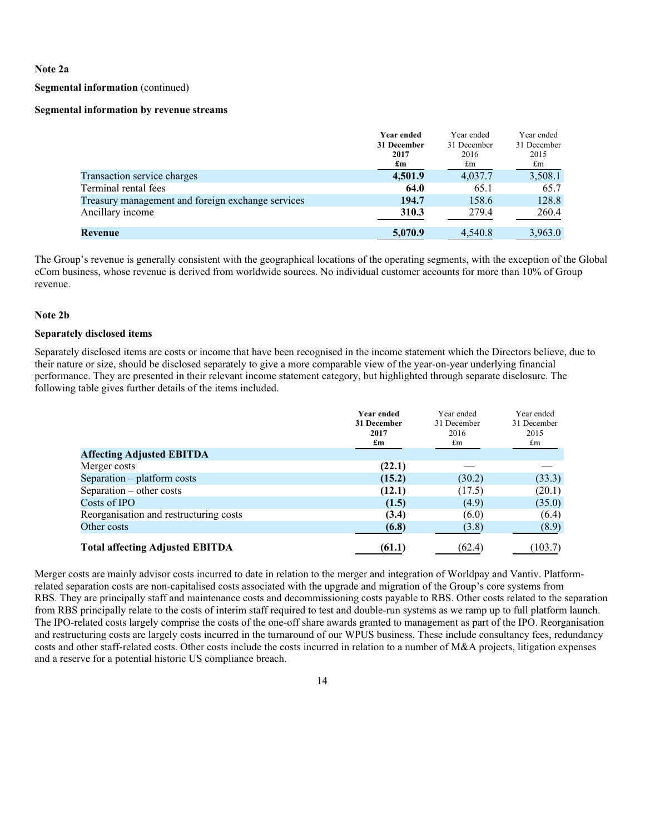#### **Note 2a**

#### **Segmental information** (continued)

#### **Segmental information by revenue streams**

|                                                   | Year ended<br>31 December<br>2017<br>£m | Year ended<br>31 December<br>2016<br>£m | Year ended<br>31 December<br>2015<br>£m |
|---------------------------------------------------|-----------------------------------------|-----------------------------------------|-----------------------------------------|
| Transaction service charges                       | 4,501.9                                 | 4,037.7                                 | 3,508.1                                 |
| Terminal rental fees                              | 64.0                                    | 65.1                                    | 65.7                                    |
| Treasury management and foreign exchange services | 194.7                                   | 158.6                                   | 128.8                                   |
| Ancillary income                                  | 310.3                                   | 279.4                                   | 260.4                                   |
| <b>Revenue</b>                                    | 5,070.9                                 | 4.540.8                                 | 3,963.0                                 |

The Group's revenue is generally consistent with the geographical locations of the operating segments, with the exception of the Global eCom business, whose revenue is derived from worldwide sources. No individual customer accounts for more than 10% of Group revenue.

#### **Note 2b**

#### **Separately disclosed items**

Separately disclosed items are costs or income that have been recognised in the income statement which the Directors believe, due to their nature or size, should be disclosed separately to give a more comparable view of the year-on-year underlying financial performance. They are presented in their relevant income statement category, but highlighted through separate disclosure. The following table gives further details of the items included.

|                                        | <b>Year ended</b> | Year ended  | Year ended  |
|----------------------------------------|-------------------|-------------|-------------|
|                                        | 31 December       | 31 December | 31 December |
|                                        | 2017              | 2016        | 2015        |
|                                        | £m                | £m          | £m          |
| <b>Affecting Adjusted EBITDA</b>       |                   |             |             |
| Merger costs                           | (22.1)            |             |             |
| Separation – platform costs            | (15.2)            | (30.2)      | (33.3)      |
| Separation – other costs               | (12.1)            | (17.5)      | (20.1)      |
| Costs of IPO                           | (1.5)             | (4.9)       | (35.0)      |
| Reorganisation and restructuring costs | (3.4)             | (6.0)       | (6.4)       |
| Other costs                            | (6.8)             | (3.8)       | (8.9)       |
| <b>Total affecting Adjusted EBITDA</b> | (61.1)            | (62.4)      | (103.7)     |
|                                        |                   |             |             |

Merger costs are mainly advisor costs incurred to date in relation to the merger and integration of Worldpay and Vantiv. Platformrelated separation costs are non-capitalised costs associated with the upgrade and migration of the Group's core systems from RBS. They are principally staff and maintenance costs and decommissioning costs payable to RBS. Other costs related to the separation from RBS principally relate to the costs of interim staff required to test and double-run systems as we ramp up to full platform launch. The IPO-related costs largely comprise the costs of the one-off share awards granted to management as part of the IPO. Reorganisation and restructuring costs are largely costs incurred in the turnaround of our WPUS business. These include consultancy fees, redundancy costs and other staff-related costs. Other costs include the costs incurred in relation to a number of M&A projects, litigation expenses and a reserve for a potential historic US compliance breach.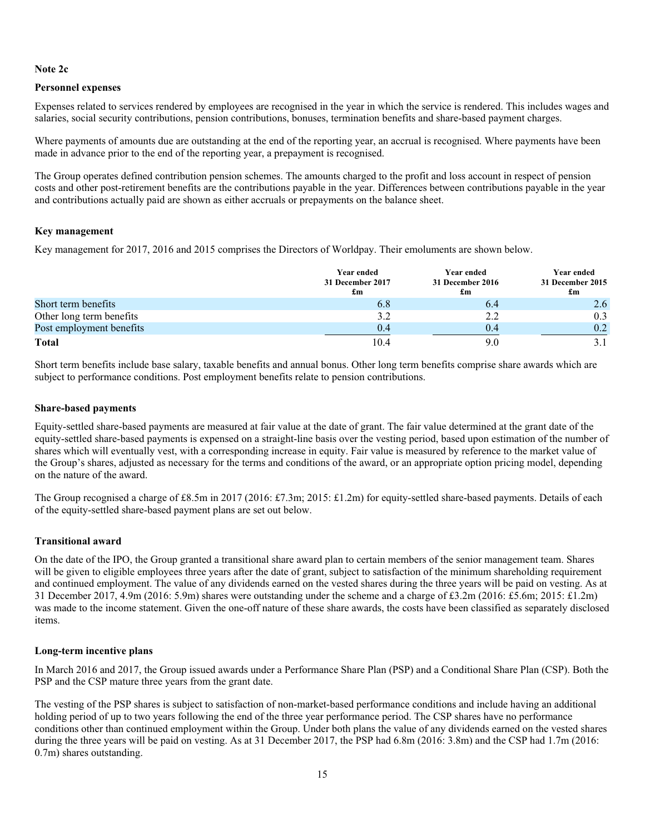### **Note 2c**

#### **Personnel expenses**

Expenses related to services rendered by employees are recognised in the year in which the service is rendered. This includes wages and salaries, social security contributions, pension contributions, bonuses, termination benefits and share-based payment charges.

Where payments of amounts due are outstanding at the end of the reporting year, an accrual is recognised. Where payments have been made in advance prior to the end of the reporting year, a prepayment is recognised.

The Group operates defined contribution pension schemes. The amounts charged to the profit and loss account in respect of pension costs and other post-retirement benefits are the contributions payable in the year. Differences between contributions payable in the year and contributions actually paid are shown as either accruals or prepayments on the balance sheet.

## **Key management**

Key management for 2017, 2016 and 2015 comprises the Directors of Worldpay. Their emoluments are shown below.

|                          | Year ended<br>31 December 2017<br>$_{\rm fm}$ | Year ended<br>31 December 2016<br>£m | Year ended<br>31 December 2015<br>£m |
|--------------------------|-----------------------------------------------|--------------------------------------|--------------------------------------|
| Short term benefits      | 6.8                                           | 6.4                                  | 2.6                                  |
| Other long term benefits | 3.2                                           | 2.2                                  | 0.3                                  |
| Post employment benefits | 0.4                                           | 0.4                                  | 0.2                                  |
| <b>Total</b>             | 10.4                                          |                                      |                                      |

Short term benefits include base salary, taxable benefits and annual bonus. Other long term benefits comprise share awards which are subject to performance conditions. Post employment benefits relate to pension contributions.

#### **Share-based payments**

Equity-settled share-based payments are measured at fair value at the date of grant. The fair value determined at the grant date of the equity-settled share-based payments is expensed on a straight-line basis over the vesting period, based upon estimation of the number of shares which will eventually vest, with a corresponding increase in equity. Fair value is measured by reference to the market value of the Group's shares, adjusted as necessary for the terms and conditions of the award, or an appropriate option pricing model, depending on the nature of the award.

The Group recognised a charge of £8.5m in 2017 (2016: £7.3m; 2015: £1.2m) for equity-settled share-based payments. Details of each of the equity-settled share-based payment plans are set out below.

#### **Transitional award**

On the date of the IPO, the Group granted a transitional share award plan to certain members of the senior management team. Shares will be given to eligible employees three years after the date of grant, subject to satisfaction of the minimum shareholding requirement and continued employment. The value of any dividends earned on the vested shares during the three years will be paid on vesting. As at 31 December 2017, 4.9m (2016: 5.9m) shares were outstanding under the scheme and a charge of £3.2m (2016: £5.6m; 2015: £1.2m) was made to the income statement. Given the one-off nature of these share awards, the costs have been classified as separately disclosed items.

#### **Long-term incentive plans**

In March 2016 and 2017, the Group issued awards under a Performance Share Plan (PSP) and a Conditional Share Plan (CSP). Both the PSP and the CSP mature three years from the grant date.

The vesting of the PSP shares is subject to satisfaction of non-market-based performance conditions and include having an additional holding period of up to two years following the end of the three year performance period. The CSP shares have no performance conditions other than continued employment within the Group. Under both plans the value of any dividends earned on the vested shares during the three years will be paid on vesting. As at 31 December 2017, the PSP had 6.8m (2016: 3.8m) and the CSP had 1.7m (2016: 0.7m) shares outstanding.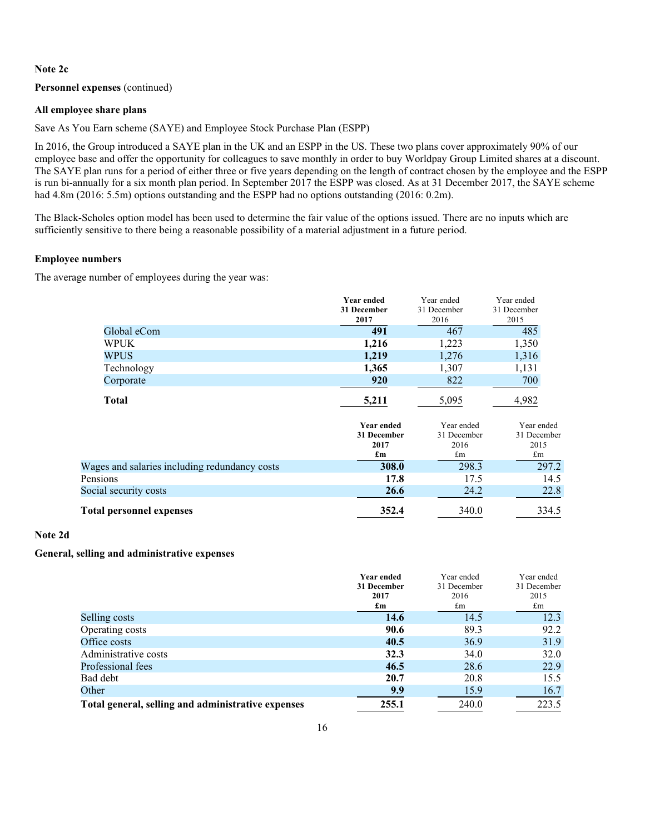## **Note 2c**

## **Personnel expenses** (continued)

## **All employee share plans**

Save As You Earn scheme (SAYE) and Employee Stock Purchase Plan (ESPP)

In 2016, the Group introduced a SAYE plan in the UK and an ESPP in the US. These two plans cover approximately 90% of our employee base and offer the opportunity for colleagues to save monthly in order to buy Worldpay Group Limited shares at a discount. The SAYE plan runs for a period of either three or five years depending on the length of contract chosen by the employee and the ESPP is run bi-annually for a six month plan period. In September 2017 the ESPP was closed. As at 31 December 2017, the SAYE scheme had 4.8m (2016: 5.5m) options outstanding and the ESPP had no options outstanding (2016: 0.2m).

The Black-Scholes option model has been used to determine the fair value of the options issued. There are no inputs which are sufficiently sensitive to there being a reasonable possibility of a material adjustment in a future period.

## **Employee numbers**

The average number of employees during the year was:

|                                               | <b>Year ended</b><br>31 December<br>2017                              | Year ended<br>31 December<br>2016       | Year ended<br>31 December<br>2015                |
|-----------------------------------------------|-----------------------------------------------------------------------|-----------------------------------------|--------------------------------------------------|
| Global eCom                                   | 491                                                                   | 467                                     | 485                                              |
| WPUK                                          | 1,216                                                                 | 1,223                                   | 1,350                                            |
| <b>WPUS</b>                                   | 1,219                                                                 | 1,276                                   | 1,316                                            |
| Technology                                    | 1,365                                                                 | 1,307                                   | 1,131                                            |
| Corporate                                     | 920                                                                   | 822                                     | 700                                              |
| <b>Total</b>                                  | 5,211                                                                 | 5,095                                   | 4,982                                            |
|                                               | <b>Year ended</b><br>31 December<br>2017<br>$\mathbf{f}_{\mathbf{m}}$ | Year ended<br>31 December<br>2016<br>£m | Year ended<br>31 December<br>2015<br>$\pounds$ m |
| Wages and salaries including redundancy costs | 308.0                                                                 | 298.3                                   | 297.2                                            |
| Pensions                                      | 17.8                                                                  | 17.5                                    | 14.5                                             |
| Social security costs                         | 26.6                                                                  | 24.2                                    | 22.8                                             |
| <b>Total personnel expenses</b>               | 352.4                                                                 | 340.0                                   | 334.5                                            |
|                                               |                                                                       |                                         |                                                  |

## **Note 2d**

## **General, selling and administrative expenses**

|                                                    | <b>Year ended</b><br>31 December<br>2017<br>£m | Year ended<br>31 December<br>2016<br>£m | Year ended<br>31 December<br>2015<br>£m |
|----------------------------------------------------|------------------------------------------------|-----------------------------------------|-----------------------------------------|
| Selling costs                                      | 14.6                                           | 14.5                                    | 12.3                                    |
| Operating costs                                    | 90.6                                           | 89.3                                    | 92.2                                    |
| Office costs                                       | 40.5                                           | 36.9                                    | 31.9                                    |
| Administrative costs                               | 32.3                                           | 34.0                                    | 32.0                                    |
| Professional fees                                  | 46.5                                           | 28.6                                    | 22.9                                    |
| Bad debt                                           | 20.7                                           | 20.8                                    | 15.5                                    |
| Other                                              | 9.9                                            | 15.9                                    | 16.7                                    |
| Total general, selling and administrative expenses | 255.1                                          | 240.0                                   | 223.5                                   |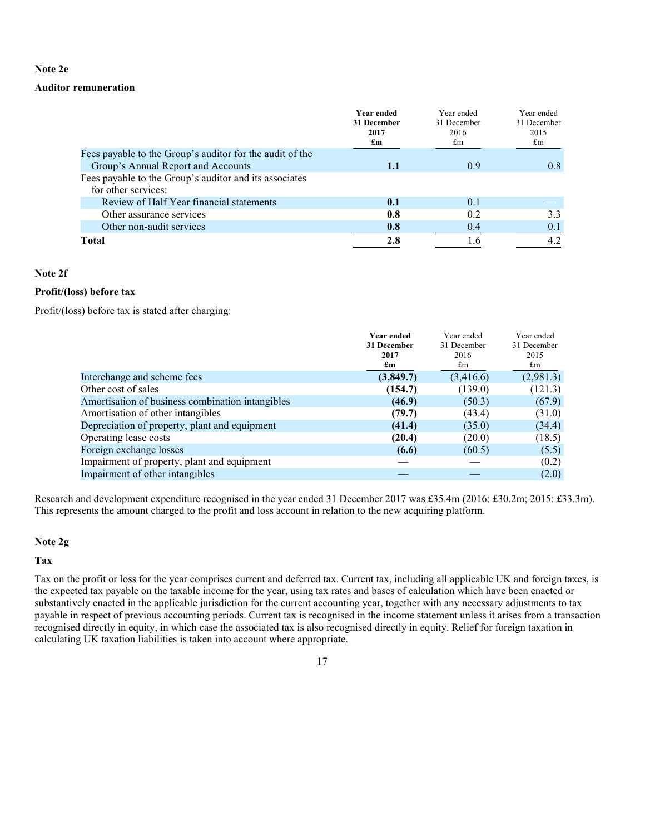### **Note 2e**

### **Auditor remuneration**

|                                                          | <b>Year ended</b><br>31 December<br>2017<br>$\mathbf{f}_{\mathbf{m}}$ | Year ended<br>31 December<br>2016<br>$\pounds$ m | Year ended<br>31 December<br>2015<br>£m |
|----------------------------------------------------------|-----------------------------------------------------------------------|--------------------------------------------------|-----------------------------------------|
| Fees payable to the Group's auditor for the audit of the |                                                                       |                                                  |                                         |
| Group's Annual Report and Accounts                       | 1.1                                                                   | 0.9                                              | 0.8                                     |
| Fees payable to the Group's auditor and its associates   |                                                                       |                                                  |                                         |
| for other services:                                      |                                                                       |                                                  |                                         |
| Review of Half Year financial statements                 | 0.1                                                                   | 0.1                                              |                                         |
| Other assurance services                                 | 0.8                                                                   | 0.2                                              | 3.3                                     |
| Other non-audit services                                 | 0.8                                                                   | 0.4                                              | 0.1                                     |
| <b>Total</b>                                             | 2.8                                                                   | 1.6                                              | 4.2                                     |

## **Note 2f**

## **Profit/(loss) before tax**

Profit/(loss) before tax is stated after charging:

|                                                  | <b>Year ended</b><br>31 December<br>2017<br>£m | Year ended<br>31 December<br>2016<br>£m | Year ended<br>31 December<br>2015<br>£m |
|--------------------------------------------------|------------------------------------------------|-----------------------------------------|-----------------------------------------|
| Interchange and scheme fees                      | (3,849.7)                                      | (3,416.6)                               | (2,981.3)                               |
| Other cost of sales                              | (154.7)                                        | (139.0)                                 | (121.3)                                 |
| Amortisation of business combination intangibles | (46.9)                                         | (50.3)                                  | (67.9)                                  |
| Amortisation of other intangibles                | (79.7)                                         | (43.4)                                  | (31.0)                                  |
| Depreciation of property, plant and equipment    | (41.4)                                         | (35.0)                                  | (34.4)                                  |
| Operating lease costs                            | (20.4)                                         | (20.0)                                  | (18.5)                                  |
| Foreign exchange losses                          | (6.6)                                          | (60.5)                                  | (5.5)                                   |
| Impairment of property, plant and equipment      |                                                |                                         | (0.2)                                   |
| Impairment of other intangibles                  |                                                |                                         | (2.0)                                   |

Research and development expenditure recognised in the year ended 31 December 2017 was £35.4m (2016: £30.2m; 2015: £33.3m). This represents the amount charged to the profit and loss account in relation to the new acquiring platform.

## **Note 2g**

#### **Tax**

Tax on the profit or loss for the year comprises current and deferred tax. Current tax, including all applicable UK and foreign taxes, is the expected tax payable on the taxable income for the year, using tax rates and bases of calculation which have been enacted or substantively enacted in the applicable jurisdiction for the current accounting year, together with any necessary adjustments to tax payable in respect of previous accounting periods. Current tax is recognised in the income statement unless it arises from a transaction recognised directly in equity, in which case the associated tax is also recognised directly in equity. Relief for foreign taxation in calculating UK taxation liabilities is taken into account where appropriate.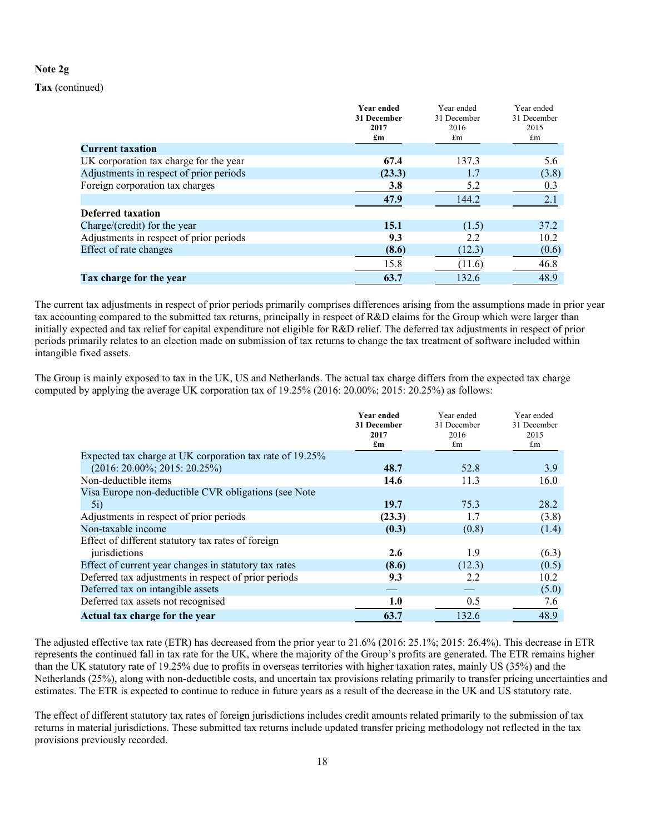#### **Note 2g**

**Tax** (continued)

|                                         | <b>Year ended</b><br>31 December<br>2017<br>£m | Year ended<br>31 December<br>2016<br>£m | Year ended<br>31 December<br>2015<br>£m |
|-----------------------------------------|------------------------------------------------|-----------------------------------------|-----------------------------------------|
| <b>Current taxation</b>                 |                                                |                                         |                                         |
| UK corporation tax charge for the year  | 67.4                                           | 137.3                                   | 5.6                                     |
| Adjustments in respect of prior periods | (23.3)                                         | 1.7                                     | (3.8)                                   |
| Foreign corporation tax charges         | 3.8                                            | 5.2                                     | 0.3                                     |
|                                         | 47.9                                           | 144.2                                   | 2.1                                     |
| <b>Deferred taxation</b>                |                                                |                                         |                                         |
| Charge/(credit) for the year            | 15.1                                           | (1.5)                                   | 37.2                                    |
| Adjustments in respect of prior periods | 9.3                                            | 2.2                                     | 10.2                                    |
| Effect of rate changes                  | (8.6)                                          | (12.3)                                  | (0.6)                                   |
|                                         | 15.8                                           | (11.6)                                  | 46.8                                    |
| Tax charge for the year                 | 63.7                                           | 132.6                                   | 48.9                                    |

The current tax adjustments in respect of prior periods primarily comprises differences arising from the assumptions made in prior year tax accounting compared to the submitted tax returns, principally in respect of R&D claims for the Group which were larger than initially expected and tax relief for capital expenditure not eligible for R&D relief. The deferred tax adjustments in respect of prior periods primarily relates to an election made on submission of tax returns to change the tax treatment of software included within intangible fixed assets.

The Group is mainly exposed to tax in the UK, US and Netherlands. The actual tax charge differs from the expected tax charge computed by applying the average UK corporation tax of 19.25% (2016: 20.00%; 2015: 20.25%) as follows:

|                                                          | Year ended<br>31 December<br>2017<br>£m | Year ended<br>31 December<br>2016<br>£m | Year ended<br>31 December<br>2015<br>£m |
|----------------------------------------------------------|-----------------------------------------|-----------------------------------------|-----------------------------------------|
| Expected tax charge at UK corporation tax rate of 19.25% |                                         |                                         |                                         |
| $(2016: 20.00\%; 2015: 20.25\%)$                         | 48.7                                    | 52.8                                    | 3.9                                     |
| Non-deductible items                                     | 14.6                                    | 11.3                                    | 16.0                                    |
| Visa Europe non-deductible CVR obligations (see Note     |                                         |                                         |                                         |
| 5i)                                                      | 19.7                                    | 75.3                                    | 28.2                                    |
| Adjustments in respect of prior periods                  | (23.3)                                  | 1.7                                     | (3.8)                                   |
| Non-taxable income                                       | (0.3)                                   | (0.8)                                   | (1.4)                                   |
| Effect of different statutory tax rates of foreign       |                                         |                                         |                                         |
| jurisdictions                                            | 2.6                                     | 1.9                                     | (6.3)                                   |
| Effect of current year changes in statutory tax rates    | (8.6)                                   | (12.3)                                  | (0.5)                                   |
| Deferred tax adjustments in respect of prior periods     | 9.3                                     | 2.2                                     | 10.2                                    |
| Deferred tax on intangible assets                        |                                         |                                         | (5.0)                                   |
| Deferred tax assets not recognised                       | 1.0                                     | 0.5                                     | 7.6                                     |
| Actual tax charge for the year                           | 63.7                                    | 132.6                                   | 48.9                                    |

The adjusted effective tax rate (ETR) has decreased from the prior year to 21.6% (2016: 25.1%; 2015: 26.4%). This decrease in ETR represents the continued fall in tax rate for the UK, where the majority of the Group's profits are generated. The ETR remains higher than the UK statutory rate of 19.25% due to profits in overseas territories with higher taxation rates, mainly US (35%) and the Netherlands (25%), along with non-deductible costs, and uncertain tax provisions relating primarily to transfer pricing uncertainties and estimates. The ETR is expected to continue to reduce in future years as a result of the decrease in the UK and US statutory rate.

The effect of different statutory tax rates of foreign jurisdictions includes credit amounts related primarily to the submission of tax returns in material jurisdictions. These submitted tax returns include updated transfer pricing methodology not reflected in the tax provisions previously recorded.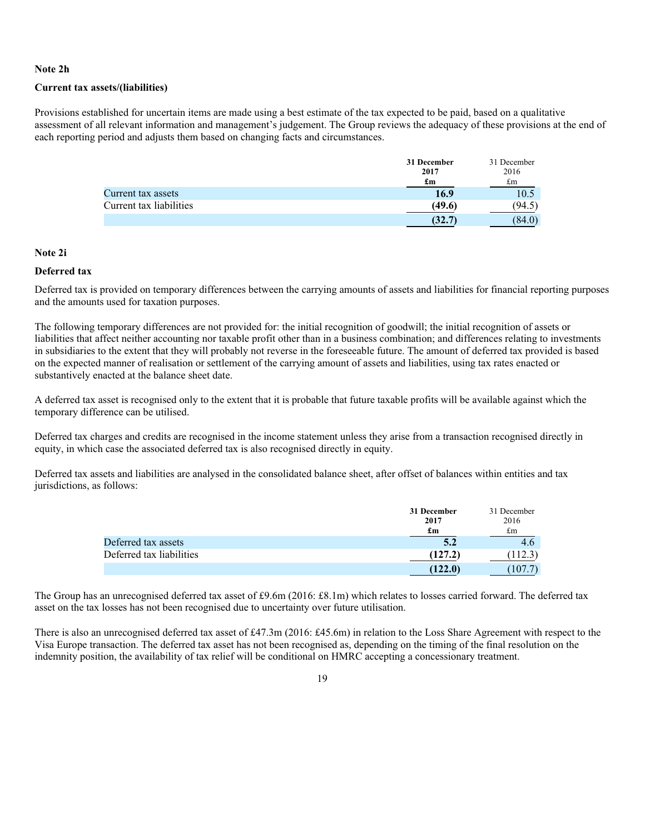#### **Note 2h**

#### **Current tax assets/(liabilities)**

Provisions established for uncertain items are made using a best estimate of the tax expected to be paid, based on a qualitative assessment of all relevant information and management's judgement. The Group reviews the adequacy of these provisions at the end of each reporting period and adjusts them based on changing facts and circumstances.

|                         | 31 December | 31 December |
|-------------------------|-------------|-------------|
|                         | 2017        | 2016        |
|                         | £m          | $\pounds$ m |
| Current tax assets      | 16.9        | 10.5        |
| Current tax liabilities | (49.6)      | (94.5)      |
|                         | (32.7)      | (84.0)      |

#### **Note 2i**

#### **Deferred tax**

Deferred tax is provided on temporary differences between the carrying amounts of assets and liabilities for financial reporting purposes and the amounts used for taxation purposes.

The following temporary differences are not provided for: the initial recognition of goodwill; the initial recognition of assets or liabilities that affect neither accounting nor taxable profit other than in a business combination; and differences relating to investments in subsidiaries to the extent that they will probably not reverse in the foreseeable future. The amount of deferred tax provided is based on the expected manner of realisation or settlement of the carrying amount of assets and liabilities, using tax rates enacted or substantively enacted at the balance sheet date.

A deferred tax asset is recognised only to the extent that it is probable that future taxable profits will be available against which the temporary difference can be utilised.

Deferred tax charges and credits are recognised in the income statement unless they arise from a transaction recognised directly in equity, in which case the associated deferred tax is also recognised directly in equity.

Deferred tax assets and liabilities are analysed in the consolidated balance sheet, after offset of balances within entities and tax jurisdictions, as follows:

|                          | 31 December<br>2017<br>£m | 31 December<br>2016<br>£m |
|--------------------------|---------------------------|---------------------------|
| Deferred tax assets      | 5.2                       | 4.0                       |
| Deferred tax liabilities | (127.2)                   | 112.3                     |
|                          | (122.0)                   | 107.7                     |

The Group has an unrecognised deferred tax asset of £9.6m (2016: £8.1m) which relates to losses carried forward. The deferred tax asset on the tax losses has not been recognised due to uncertainty over future utilisation.

There is also an unrecognised deferred tax asset of £47.3m (2016: £45.6m) in relation to the Loss Share Agreement with respect to the Visa Europe transaction. The deferred tax asset has not been recognised as, depending on the timing of the final resolution on the indemnity position, the availability of tax relief will be conditional on HMRC accepting a concessionary treatment.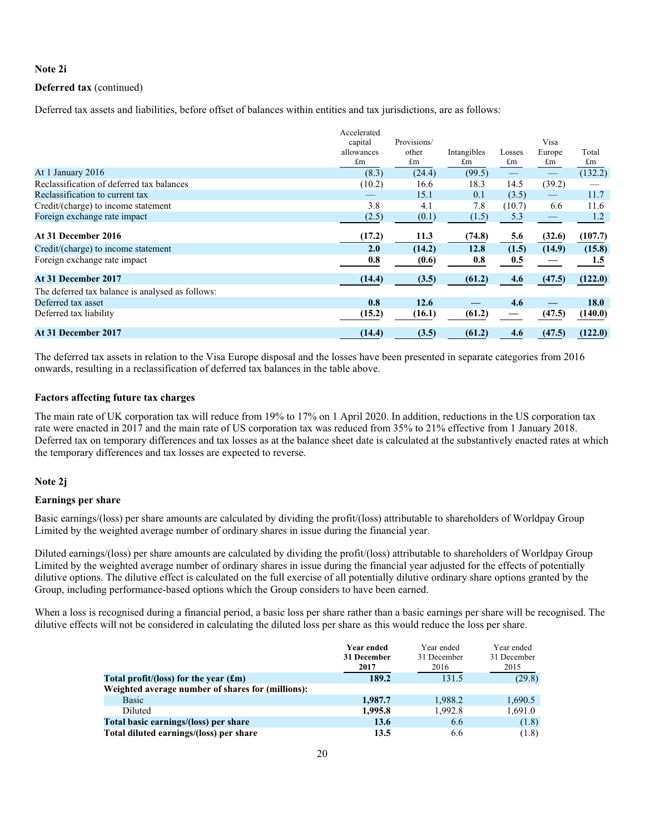#### **Note 2i**

## **Deferred tax** (continued)

Deferred tax assets and liabilities, before offset of balances within entities and tax jurisdictions, are as follows:

|                                                  | Accelerated<br>capital | Provisions/ |                   |              | Visa                          |                      |
|--------------------------------------------------|------------------------|-------------|-------------------|--------------|-------------------------------|----------------------|
|                                                  | allowances<br>£m       | other<br>£m | Intangibles<br>£m | Losses<br>£m | Europe<br>$\pounds$ m         | Total<br>$\pounds$ m |
| At 1 January 2016                                | (8.3)                  | (24.4)      | (99.5)            |              | $\overbrace{\phantom{12333}}$ | (132.2)              |
| Reclassification of deferred tax balances        | (10.2)                 | 16.6        | 18.3              | 14.5         | (39.2)                        |                      |
| Reclassification to current tax                  |                        | 15.1        | 0.1               | (3.5)        |                               | 11.7                 |
| Credit/(charge) to income statement              | 3.8                    | 4.1         | 7.8               | (10.7)       | 6.6                           | 11.6                 |
| Foreign exchange rate impact                     | (2.5)                  | (0.1)       | (1.5)             | 5.3          |                               | 1.2                  |
| At 31 December 2016                              | (17.2)                 | 11.3        | (74.8)            | 5.6          | (32.6)                        | (107.7)              |
| Credit/(charge) to income statement              | 2.0                    | (14.2)      | 12.8              | (1.5)        | (14.9)                        | (15.8)               |
| Foreign exchange rate impact                     | 0.8                    | (0.6)       | 0.8               | 0.5          |                               | 1.5                  |
| At 31 December 2017                              | (14.4)                 | (3.5)       | (61.2)            | 4.6          | (47.5)                        | (122.0)              |
| The deferred tax balance is analysed as follows: |                        |             |                   |              |                               |                      |
| Deferred tax asset                               | 0.8                    | 12.6        |                   | 4.6          |                               | <b>18.0</b>          |
| Deferred tax liability                           | (15.2)                 | (16.1)      | (61.2)            |              | (47.5)                        | (140.0)              |
| At 31 December 2017                              | (14.4)                 | (3.5)       | (61.2)            | 4.6          | (47.5)                        | (122.0)              |

The deferred tax assets in relation to the Visa Europe disposal and the losses have been presented in separate categories from 2016 onwards, resulting in a reclassification of deferred tax balances in the table above.

## **Factors affecting future tax charges**

The main rate of UK corporation tax will reduce from 19% to 17% on 1 April 2020. In addition, reductions in the US corporation tax rate were enacted in 2017 and the main rate of US corporation tax was reduced from 35% to 21% effective from 1 January 2018. Deferred tax on temporary differences and tax losses as at the balance sheet date is calculated at the substantively enacted rates at which the temporary differences and tax losses are expected to reverse.

#### **Note 2j**

#### **Earnings per share**

Basic earnings/(loss) per share amounts are calculated by dividing the profit/(loss) attributable to shareholders of Worldpay Group Limited by the weighted average number of ordinary shares in issue during the financial year.

Diluted earnings/(loss) per share amounts are calculated by dividing the profit/(loss) attributable to shareholders of Worldpay Group Limited by the weighted average number of ordinary shares in issue during the financial year adjusted for the effects of potentially dilutive options. The dilutive effect is calculated on the full exercise of all potentially dilutive ordinary share options granted by the Group, including performance-based options which the Group considers to have been earned.

When a loss is recognised during a financial period, a basic loss per share rather than a basic earnings per share will be recognised. The dilutive effects will not be considered in calculating the diluted loss per share as this would reduce the loss per share.

|                                                   | Year ended<br>31 December<br>2017 | Year ended<br>31 December<br>2016 | Year ended<br>31 December<br>2015 |
|---------------------------------------------------|-----------------------------------|-----------------------------------|-----------------------------------|
| Total profit/(loss) for the year $(fm)$           | 189.2                             | 131.5                             | (29.8)                            |
| Weighted average number of shares for (millions): |                                   |                                   |                                   |
| Basic                                             | 1,987.7                           | 1.988.2                           | 1,690.5                           |
| Diluted                                           | 1,995.8                           | 1,992.8                           | 1,691.0                           |
| Total basic earnings/(loss) per share             | 13.6                              | 6.6                               | (1.8)                             |
| Total diluted earnings/(loss) per share           | 13.5                              | 6.6                               | (1.8)                             |
|                                                   |                                   |                                   |                                   |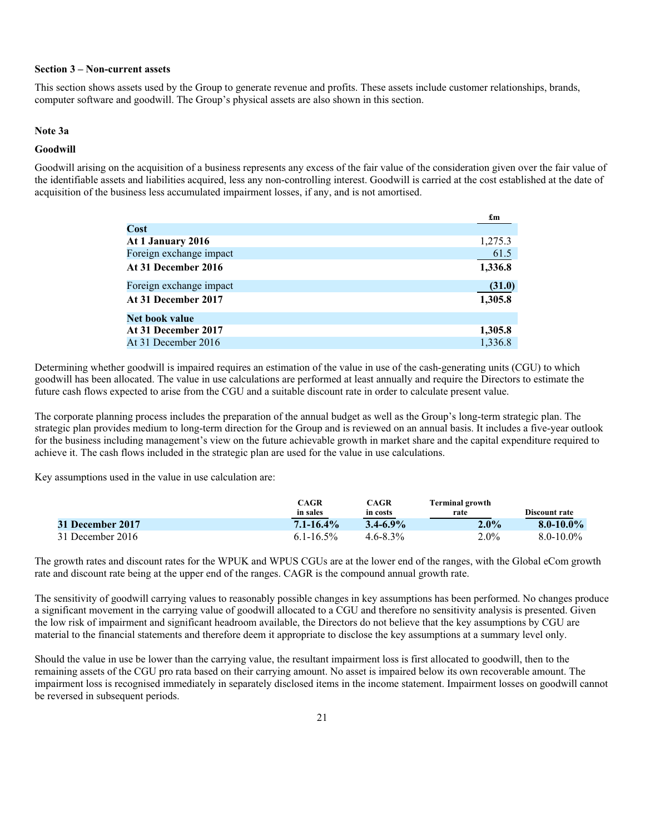#### **Section 3 – Non-current assets**

This section shows assets used by the Group to generate revenue and profits. These assets include customer relationships, brands, computer software and goodwill. The Group's physical assets are also shown in this section.

#### **Note 3a**

#### **Goodwill**

Goodwill arising on the acquisition of a business represents any excess of the fair value of the consideration given over the fair value of the identifiable assets and liabilities acquired, less any non-controlling interest. Goodwill is carried at the cost established at the date of acquisition of the business less accumulated impairment losses, if any, and is not amortised.

|                         | £m      |
|-------------------------|---------|
| Cost                    |         |
| At 1 January 2016       | 1,275.3 |
| Foreign exchange impact | 61.5    |
| At 31 December 2016     | 1,336.8 |
| Foreign exchange impact | (31.0)  |
| At 31 December 2017     | 1,305.8 |
| Net book value          |         |
| At 31 December 2017     | 1,305.8 |
| At 31 December 2016     | 1,336.8 |

Determining whether goodwill is impaired requires an estimation of the value in use of the cash-generating units (CGU) to which goodwill has been allocated. The value in use calculations are performed at least annually and require the Directors to estimate the future cash flows expected to arise from the CGU and a suitable discount rate in order to calculate present value.

The corporate planning process includes the preparation of the annual budget as well as the Group's long-term strategic plan. The strategic plan provides medium to long-term direction for the Group and is reviewed on an annual basis. It includes a five-year outlook for the business including management's view on the future achievable growth in market share and the capital expenditure required to achieve it. The cash flows included in the strategic plan are used for the value in use calculations.

Key assumptions used in the value in use calculation are:

|                  | CAGR           | CAGR          | <b>Terminal growth</b> |                |
|------------------|----------------|---------------|------------------------|----------------|
|                  | in sales       | in costs      | rate                   | Discount rate  |
| 31 December 2017 | $7.1 - 16.4\%$ | $3.4 - 6.9\%$ | $2.0\%$                | $8.0 - 10.0\%$ |
| 31 December 2016 | $6.1 - 16.5\%$ | $4.6 - 8.3\%$ | $2.0\%$                | $8.0 - 10.0\%$ |

The growth rates and discount rates for the WPUK and WPUS CGUs are at the lower end of the ranges, with the Global eCom growth rate and discount rate being at the upper end of the ranges. CAGR is the compound annual growth rate.

The sensitivity of goodwill carrying values to reasonably possible changes in key assumptions has been performed. No changes produce a significant movement in the carrying value of goodwill allocated to a CGU and therefore no sensitivity analysis is presented. Given the low risk of impairment and significant headroom available, the Directors do not believe that the key assumptions by CGU are material to the financial statements and therefore deem it appropriate to disclose the key assumptions at a summary level only.

Should the value in use be lower than the carrying value, the resultant impairment loss is first allocated to goodwill, then to the remaining assets of the CGU pro rata based on their carrying amount. No asset is impaired below its own recoverable amount. The impairment loss is recognised immediately in separately disclosed items in the income statement. Impairment losses on goodwill cannot be reversed in subsequent periods.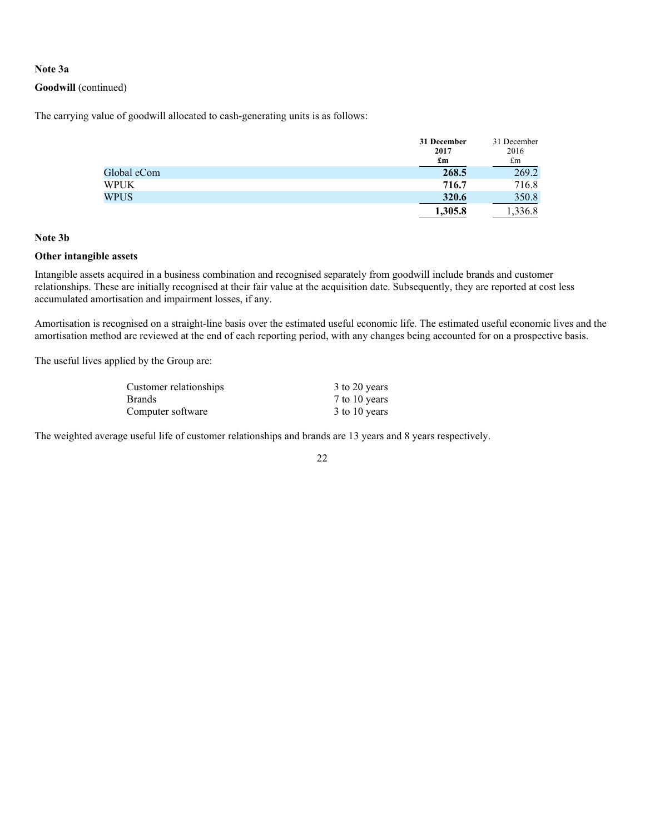#### **Note 3a**

### **Goodwill** (continued)

The carrying value of goodwill allocated to cash-generating units is as follows:

|             | 31 December<br>2017 | 31 December<br>2016 |
|-------------|---------------------|---------------------|
|             | £m                  | £m                  |
| Global eCom | 268.5               | 269.2               |
| <b>WPUK</b> | 716.7               | 716.8               |
| <b>WPUS</b> | 320.6               | 350.8               |
|             | 1,305.8             | 1,336.8             |

## **Note 3b**

#### **Other intangible assets**

Intangible assets acquired in a business combination and recognised separately from goodwill include brands and customer relationships. These are initially recognised at their fair value at the acquisition date. Subsequently, they are reported at cost less accumulated amortisation and impairment losses, if any.

Amortisation is recognised on a straight-line basis over the estimated useful economic life. The estimated useful economic lives and the amortisation method are reviewed at the end of each reporting period, with any changes being accounted for on a prospective basis.

The useful lives applied by the Group are:

| Customer relationships | 3 to 20 years |
|------------------------|---------------|
| <b>Brands</b>          | 7 to 10 years |
| Computer software      | 3 to 10 years |

The weighted average useful life of customer relationships and brands are 13 years and 8 years respectively.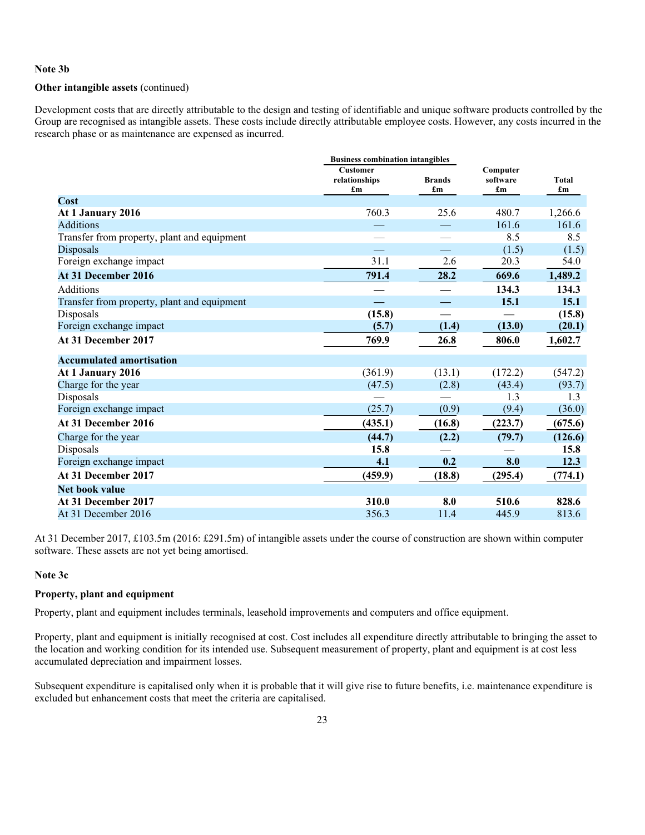#### **Note 3b**

#### **Other intangible assets** (continued)

Development costs that are directly attributable to the design and testing of identifiable and unique software products controlled by the Group are recognised as intangible assets. These costs include directly attributable employee costs. However, any costs incurred in the research phase or as maintenance are expensed as incurred.

|                                             |                                                               | <b>Business combination intangibles</b>    |                            |                                           |
|---------------------------------------------|---------------------------------------------------------------|--------------------------------------------|----------------------------|-------------------------------------------|
|                                             | <b>Customer</b><br>relationships<br>$\mathbf{f}_{\mathbf{m}}$ | <b>Brands</b><br>$\mathbf{f}_{\mathbf{m}}$ | Computer<br>software<br>£m | <b>Total</b><br>$\mathbf{f}_{\mathbf{m}}$ |
| Cost                                        |                                                               |                                            |                            |                                           |
| At 1 January 2016                           | 760.3                                                         | 25.6                                       | 480.7                      | 1,266.6                                   |
| <b>Additions</b>                            |                                                               |                                            | 161.6                      | 161.6                                     |
| Transfer from property, plant and equipment |                                                               |                                            | 8.5                        | 8.5                                       |
| Disposals                                   |                                                               | $\overline{\phantom{a}}$                   | (1.5)                      | (1.5)                                     |
| Foreign exchange impact                     | 31.1                                                          | 2.6                                        | 20.3                       | 54.0                                      |
| At 31 December 2016                         | 791.4                                                         | 28.2                                       | 669.6                      | 1,489.2                                   |
| <b>Additions</b>                            |                                                               |                                            | 134.3                      | 134.3                                     |
| Transfer from property, plant and equipment |                                                               |                                            | 15.1                       | 15.1                                      |
| Disposals                                   | (15.8)                                                        |                                            |                            | (15.8)                                    |
| Foreign exchange impact                     | (5.7)                                                         | (1.4)                                      | (13.0)                     | (20.1)                                    |
| At 31 December 2017                         | 769.9                                                         | 26.8                                       | 806.0                      | 1,602.7                                   |
| <b>Accumulated amortisation</b>             |                                                               |                                            |                            |                                           |
| At 1 January 2016                           | (361.9)                                                       | (13.1)                                     | (172.2)                    | (547.2)                                   |
| Charge for the year                         | (47.5)                                                        | (2.8)                                      | (43.4)                     | (93.7)                                    |
| Disposals                                   |                                                               |                                            | 1.3                        | 1.3                                       |
| Foreign exchange impact                     | (25.7)                                                        | (0.9)                                      | (9.4)                      | (36.0)                                    |
| At 31 December 2016                         | (435.1)                                                       | (16.8)                                     | (223.7)                    | (675.6)                                   |
| Charge for the year                         | (44.7)                                                        | (2.2)                                      | (79.7)                     | (126.6)                                   |
| Disposals                                   | 15.8                                                          |                                            |                            | 15.8                                      |
| Foreign exchange impact                     | 4.1                                                           | 0.2                                        | 8.0                        | 12.3                                      |
| At 31 December 2017                         | (459.9)                                                       | (18.8)                                     | (295.4)                    | (774.1)                                   |
| Net book value                              |                                                               |                                            |                            |                                           |
| At 31 December 2017                         | 310.0                                                         | 8.0                                        | 510.6                      | 828.6                                     |
| At 31 December 2016                         | 356.3                                                         | 11.4                                       | 445.9                      | 813.6                                     |

At 31 December 2017, £103.5m (2016: £291.5m) of intangible assets under the course of construction are shown within computer software. These assets are not yet being amortised.

#### **Note 3c**

#### **Property, plant and equipment**

Property, plant and equipment includes terminals, leasehold improvements and computers and office equipment.

Property, plant and equipment is initially recognised at cost. Cost includes all expenditure directly attributable to bringing the asset to the location and working condition for its intended use. Subsequent measurement of property, plant and equipment is at cost less accumulated depreciation and impairment losses.

Subsequent expenditure is capitalised only when it is probable that it will give rise to future benefits, i.e. maintenance expenditure is excluded but enhancement costs that meet the criteria are capitalised.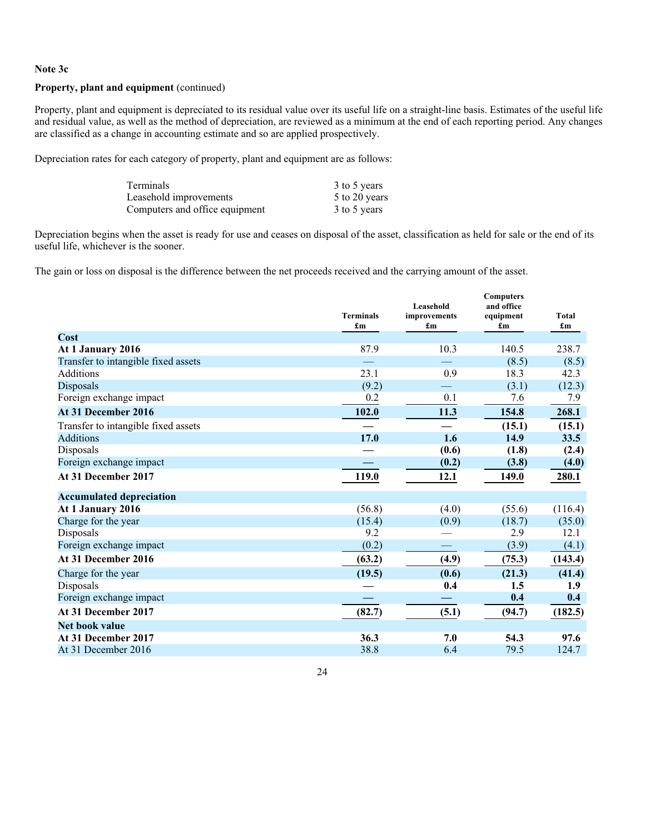#### **Note 3c**

### Property, plant and equipment (continued)

Property, plant and equipment is depreciated to its residual value over its useful life on a straight-line basis. Estimates of the useful life and residual value, as well as the method of depreciation, are reviewed as a minimum at the end of each reporting period. Any changes are classified as a change in accounting estimate and so are applied prospectively.

Depreciation rates for each category of property, plant and equipment are as follows:

| Terminals                      | 3 to 5 years  |
|--------------------------------|---------------|
| Leasehold improvements         | 5 to 20 years |
| Computers and office equipment | 3 to 5 years  |

Depreciation begins when the asset is ready for use and ceases on disposal of the asset, classification as held for sale or the end of its useful life, whichever is the sooner.

The gain or loss on disposal is the difference between the net proceeds received and the carrying amount of the asset.

|                                     | <b>Terminals</b><br>$\mathbf{f}_{\mathbf{m}}$ | Leasehold<br>improvements<br>$\mathbf{f}_{\mathbf{m}}$ | Computers<br>and office<br>equipment<br>$\mathbf{f}_{\mathbf{m}}$ | <b>Total</b><br>$\mathbf{f}_{\mathbf{m}}$ |
|-------------------------------------|-----------------------------------------------|--------------------------------------------------------|-------------------------------------------------------------------|-------------------------------------------|
| Cost                                |                                               |                                                        |                                                                   |                                           |
| At 1 January 2016                   | 87.9                                          | 10.3                                                   | 140.5                                                             | 238.7                                     |
| Transfer to intangible fixed assets |                                               |                                                        | (8.5)                                                             | (8.5)                                     |
| Additions                           | 23.1                                          | 0.9                                                    | 18.3                                                              | 42.3                                      |
| Disposals                           | (9.2)                                         |                                                        | (3.1)                                                             | (12.3)                                    |
| Foreign exchange impact             | 0.2                                           | 0.1                                                    | 7.6                                                               | 7.9                                       |
| At 31 December 2016                 | 102.0                                         | 11.3                                                   | 154.8                                                             | 268.1                                     |
| Transfer to intangible fixed assets |                                               |                                                        | (15.1)                                                            | (15.1)                                    |
| <b>Additions</b>                    | 17.0                                          | 1.6                                                    | 14.9                                                              | 33.5                                      |
| Disposals                           |                                               | (0.6)                                                  | (1.8)                                                             | (2.4)                                     |
| Foreign exchange impact             |                                               | (0.2)                                                  | (3.8)                                                             | (4.0)                                     |
| At 31 December 2017                 | 119.0                                         | 12.1                                                   | 149.0                                                             | 280.1                                     |
| <b>Accumulated depreciation</b>     |                                               |                                                        |                                                                   |                                           |
| At 1 January 2016                   | (56.8)                                        | (4.0)                                                  | (55.6)                                                            | (116.4)                                   |
| Charge for the year                 | (15.4)                                        | (0.9)                                                  | (18.7)                                                            | (35.0)                                    |
| Disposals                           | 9.2                                           |                                                        | 2.9                                                               | 12.1                                      |
| Foreign exchange impact             | (0.2)                                         |                                                        | (3.9)                                                             | (4.1)                                     |
| At 31 December 2016                 | (63.2)                                        | (4.9)                                                  | (75.3)                                                            | (143.4)                                   |
| Charge for the year                 | (19.5)                                        | (0.6)                                                  | (21.3)                                                            | (41.4)                                    |
| Disposals                           |                                               | 0.4                                                    | 1.5                                                               | 1.9                                       |
| Foreign exchange impact             |                                               |                                                        | 0.4                                                               | 0.4                                       |
| At 31 December 2017                 | (82.7)                                        | (5.1)                                                  | (94.7)                                                            | (182.5)                                   |
| <b>Net book value</b>               |                                               |                                                        |                                                                   |                                           |
| At 31 December 2017                 | 36.3                                          | 7.0                                                    | 54.3                                                              | 97.6                                      |
| At 31 December 2016                 | 38.8                                          | 6.4                                                    | 79.5                                                              | 124.7                                     |
|                                     |                                               |                                                        |                                                                   |                                           |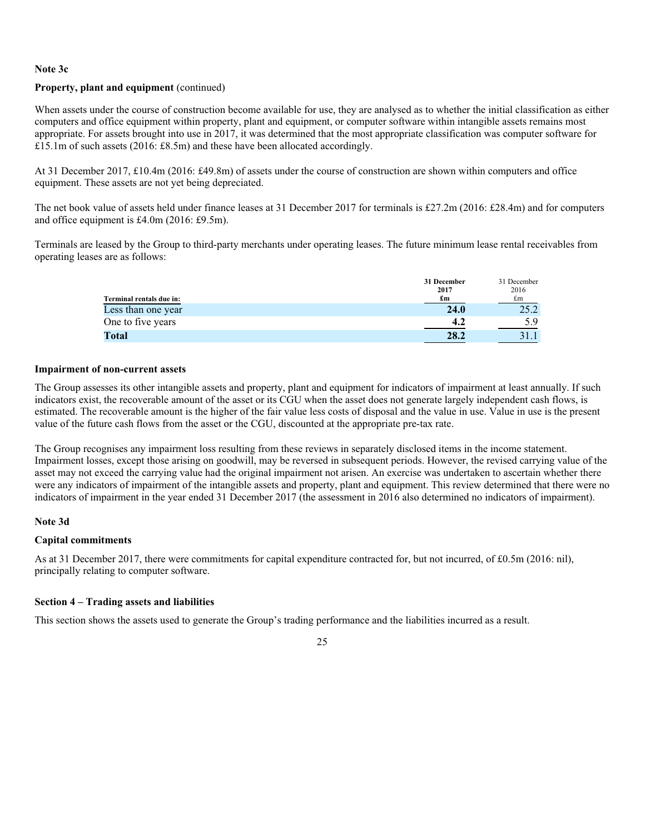#### **Note 3c**

### **Property, plant and equipment** (continued)

When assets under the course of construction become available for use, they are analysed as to whether the initial classification as either computers and office equipment within property, plant and equipment, or computer software within intangible assets remains most appropriate. For assets brought into use in 2017, it was determined that the most appropriate classification was computer software for £15.1m of such assets (2016: £8.5m) and these have been allocated accordingly.

At 31 December 2017, £10.4m (2016: £49.8m) of assets under the course of construction are shown within computers and office equipment. These assets are not yet being depreciated.

The net book value of assets held under finance leases at 31 December 2017 for terminals is £27.2m (2016: £28.4m) and for computers and office equipment is £4.0m (2016: £9.5m).

Terminals are leased by the Group to third-party merchants under operating leases. The future minimum lease rental receivables from operating leases are as follows:

|                          | 31 December | 31 December |
|--------------------------|-------------|-------------|
|                          | 2017        | 2016        |
| Terminal rentals due in: | £m          | £m          |
| Less than one year       | 24.0        | 25.2        |
| One to five years        | 4.2         | ح ت         |
| Total                    | 28.2        |             |

#### **Impairment of non-current assets**

The Group assesses its other intangible assets and property, plant and equipment for indicators of impairment at least annually. If such indicators exist, the recoverable amount of the asset or its CGU when the asset does not generate largely independent cash flows, is estimated. The recoverable amount is the higher of the fair value less costs of disposal and the value in use. Value in use is the present value of the future cash flows from the asset or the CGU, discounted at the appropriate pre-tax rate.

The Group recognises any impairment loss resulting from these reviews in separately disclosed items in the income statement. Impairment losses, except those arising on goodwill, may be reversed in subsequent periods. However, the revised carrying value of the asset may not exceed the carrying value had the original impairment not arisen. An exercise was undertaken to ascertain whether there were any indicators of impairment of the intangible assets and property, plant and equipment. This review determined that there were no indicators of impairment in the year ended 31 December 2017 (the assessment in 2016 also determined no indicators of impairment).

### **Note 3d**

#### **Capital commitments**

As at 31 December 2017, there were commitments for capital expenditure contracted for, but not incurred, of £0.5m (2016: nil), principally relating to computer software.

#### **Section 4 – Trading assets and liabilities**

This section shows the assets used to generate the Group's trading performance and the liabilities incurred as a result.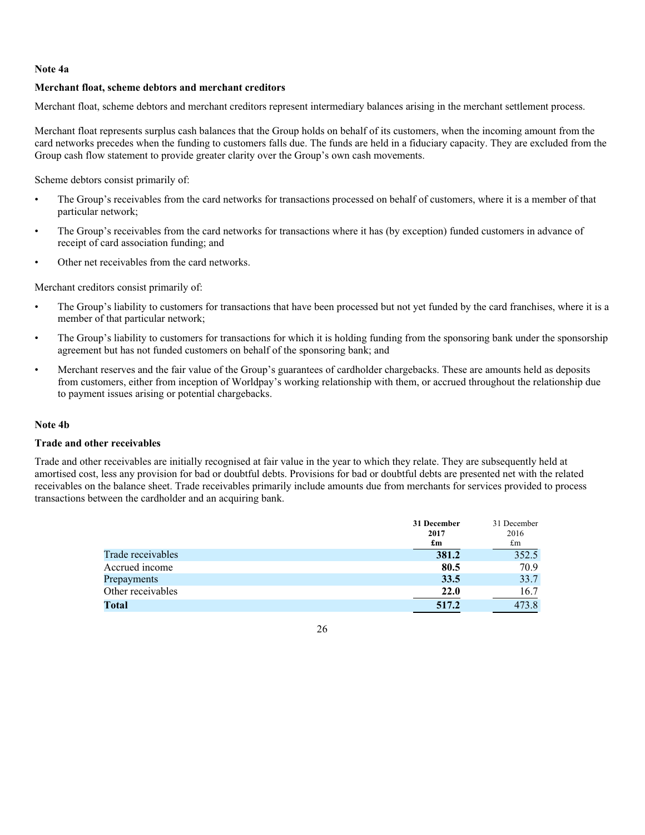#### **Note 4a**

#### **Merchant float, scheme debtors and merchant creditors**

Merchant float, scheme debtors and merchant creditors represent intermediary balances arising in the merchant settlement process.

Merchant float represents surplus cash balances that the Group holds on behalf of its customers, when the incoming amount from the card networks precedes when the funding to customers falls due. The funds are held in a fiduciary capacity. They are excluded from the Group cash flow statement to provide greater clarity over the Group's own cash movements.

Scheme debtors consist primarily of:

- The Group's receivables from the card networks for transactions processed on behalf of customers, where it is a member of that particular network;
- The Group's receivables from the card networks for transactions where it has (by exception) funded customers in advance of receipt of card association funding; and
- Other net receivables from the card networks.

Merchant creditors consist primarily of:

- The Group's liability to customers for transactions that have been processed but not yet funded by the card franchises, where it is a member of that particular network;
- The Group's liability to customers for transactions for which it is holding funding from the sponsoring bank under the sponsorship agreement but has not funded customers on behalf of the sponsoring bank; and
- Merchant reserves and the fair value of the Group's guarantees of cardholder chargebacks. These are amounts held as deposits from customers, either from inception of Worldpay's working relationship with them, or accrued throughout the relationship due to payment issues arising or potential chargebacks.

#### **Note 4b**

#### **Trade and other receivables**

Trade and other receivables are initially recognised at fair value in the year to which they relate. They are subsequently held at amortised cost, less any provision for bad or doubtful debts. Provisions for bad or doubtful debts are presented net with the related receivables on the balance sheet. Trade receivables primarily include amounts due from merchants for services provided to process transactions between the cardholder and an acquiring bank.

|                   | 31 December<br>2017 | 31 December<br>2016 |
|-------------------|---------------------|---------------------|
|                   | £m                  | £m                  |
| Trade receivables | 381.2               | 352.5               |
| Accrued income    | 80.5                | 70.9                |
| Prepayments       | 33.5                | 33.7                |
| Other receivables | <b>22.0</b>         | 16.7                |
| <b>Total</b>      | 517.2               | 473.8               |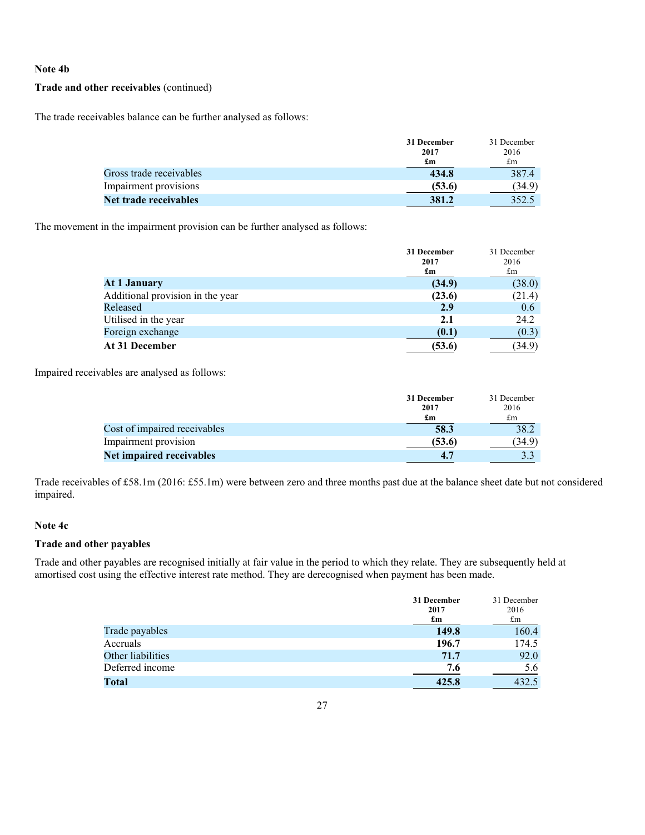### **Note 4b**

## **Trade and other receivables** (continued)

The trade receivables balance can be further analysed as follows:

|                         | 31 December | 31 December |
|-------------------------|-------------|-------------|
|                         | 2017        | 2016        |
|                         | £m          | £m          |
| Gross trade receivables | 434.8       | 387.4       |
| Impairment provisions   | (53.6)      | (34.9)      |
| Net trade receivables   | 381.2       |             |

The movement in the impairment provision can be further analysed as follows:

|                                  | 31 December<br>2017 | 31 December<br>2016 |
|----------------------------------|---------------------|---------------------|
|                                  | £m                  | £m                  |
| <b>At 1 January</b>              | (34.9)              | (38.0)              |
| Additional provision in the year | (23.6)              | (21.4)              |
| Released                         | 2.9                 | 0.6                 |
| Utilised in the year             | 2.1                 | 24.2                |
| Foreign exchange                 | (0.1)               | (0.3)               |
| At 31 December                   | (53.6)              | (34.9)              |

Impaired receivables are analysed as follows:

|                              | 31 December | 31 December |
|------------------------------|-------------|-------------|
|                              | 2017        | 2016        |
|                              | £m          | £m          |
| Cost of impaired receivables | 58.3        | 38.2        |
| Impairment provision         | (53.6)      | (34.9)      |
| Net impaired receivables     | 4.7         |             |

Trade receivables of £58.1m (2016: £55.1m) were between zero and three months past due at the balance sheet date but not considered impaired.

#### **Note 4c**

## **Trade and other payables**

Trade and other payables are recognised initially at fair value in the period to which they relate. They are subsequently held at amortised cost using the effective interest rate method. They are derecognised when payment has been made.

|                   | 31 December               | 31 December |
|-------------------|---------------------------|-------------|
|                   | 2017                      | 2016        |
|                   | $\mathbf{f}_{\mathbf{m}}$ | £m          |
| Trade payables    | 149.8                     | 160.4       |
| Accruals          | 196.7                     | 174.5       |
| Other liabilities | 71.7                      | 92.0        |
| Deferred income   | 7.6                       | 5.6         |
| Total             | 425.8                     | 432.5       |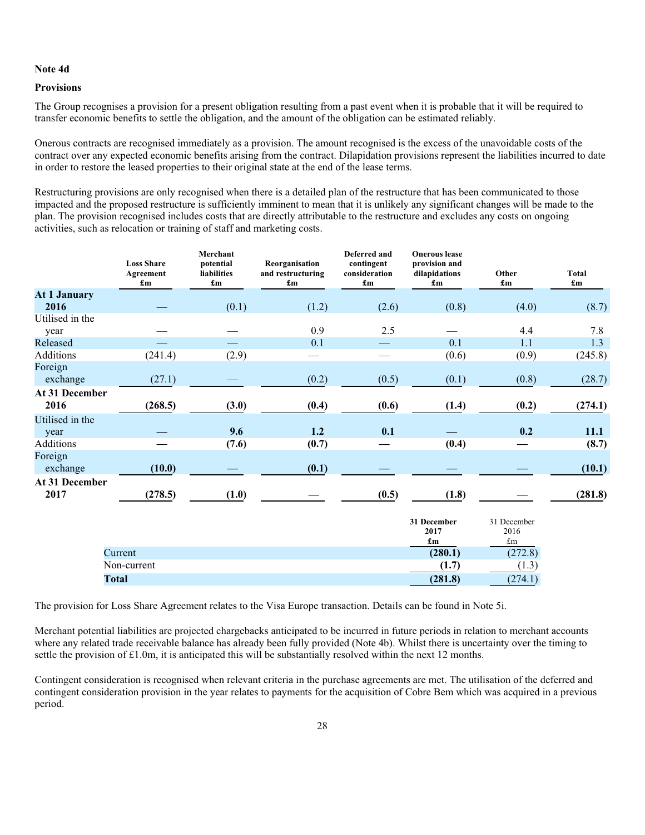#### **Note 4d**

#### **Provisions**

The Group recognises a provision for a present obligation resulting from a past event when it is probable that it will be required to transfer economic benefits to settle the obligation, and the amount of the obligation can be estimated reliably.

Onerous contracts are recognised immediately as a provision. The amount recognised is the excess of the unavoidable costs of the contract over any expected economic benefits arising from the contract. Dilapidation provisions represent the liabilities incurred to date in order to restore the leased properties to their original state at the end of the lease terms.

Restructuring provisions are only recognised when there is a detailed plan of the restructure that has been communicated to those impacted and the proposed restructure is sufficiently imminent to mean that it is unlikely any significant changes will be made to the plan. The provision recognised includes costs that are directly attributable to the restructure and excludes any costs on ongoing activities, such as relocation or training of staff and marketing costs.

|                     | <b>Loss Share</b><br>Agreement<br>$\mathbf{f}_{\mathbf{m}}$ | Merchant<br>potential<br>liabilities<br>$\mathbf{f}_{\mathbf{m}}$ | Reorganisation<br>and restructuring<br>$\mathbf{f}_{\mathbf{m}}$ | Deferred and<br>contingent<br>consideration<br>$\mathbf{f}_{\mathbf{m}}$ | <b>Onerous</b> lease<br>provision and<br>dilapidations<br>$\mathbf{f}_{\mathbf{m}}$ | Other<br>$\mathbf{f}_{\mathbf{m}}$ | Total<br>$\mathbf{f}_{\mathbf{m}}$ |
|---------------------|-------------------------------------------------------------|-------------------------------------------------------------------|------------------------------------------------------------------|--------------------------------------------------------------------------|-------------------------------------------------------------------------------------|------------------------------------|------------------------------------|
| <b>At 1 January</b> |                                                             |                                                                   |                                                                  |                                                                          |                                                                                     |                                    |                                    |
| 2016                |                                                             | (0.1)                                                             | (1.2)                                                            | (2.6)                                                                    | (0.8)                                                                               | (4.0)                              | (8.7)                              |
| Utilised in the     |                                                             |                                                                   |                                                                  |                                                                          |                                                                                     |                                    |                                    |
| year                |                                                             |                                                                   | 0.9                                                              | 2.5                                                                      |                                                                                     | 4.4                                | 7.8                                |
| Released            |                                                             |                                                                   | 0.1                                                              |                                                                          | 0.1                                                                                 | 1.1                                | 1.3                                |
| Additions           | (241.4)                                                     | (2.9)                                                             |                                                                  |                                                                          | (0.6)                                                                               | (0.9)                              | (245.8)                            |
| Foreign             |                                                             |                                                                   |                                                                  |                                                                          |                                                                                     |                                    |                                    |
| exchange            | (27.1)                                                      |                                                                   | (0.2)                                                            | (0.5)                                                                    | (0.1)                                                                               | (0.8)                              | (28.7)                             |
| At 31 December      |                                                             |                                                                   |                                                                  |                                                                          |                                                                                     |                                    |                                    |
| 2016                | (268.5)                                                     | (3.0)                                                             | (0.4)                                                            | (0.6)                                                                    | (1.4)                                                                               | (0.2)                              | (274.1)                            |
| Utilised in the     |                                                             |                                                                   |                                                                  |                                                                          |                                                                                     |                                    |                                    |
| year                |                                                             | 9.6                                                               | 1.2                                                              | 0.1                                                                      |                                                                                     | 0.2                                | 11.1                               |
| Additions           |                                                             | (7.6)                                                             | (0.7)                                                            |                                                                          | (0.4)                                                                               |                                    | (8.7)                              |
| Foreign             |                                                             |                                                                   |                                                                  |                                                                          |                                                                                     |                                    |                                    |
| exchange            | (10.0)                                                      |                                                                   | (0.1)                                                            |                                                                          |                                                                                     |                                    | (10.1)                             |
| At 31 December      |                                                             |                                                                   |                                                                  |                                                                          |                                                                                     |                                    |                                    |
| 2017                | (278.5)                                                     | (1.0)                                                             |                                                                  | (0.5)                                                                    | (1.8)                                                                               |                                    | (281.8)                            |
|                     |                                                             |                                                                   |                                                                  |                                                                          | $210 - 222$                                                                         | $21$ December                      |                                    |

|              | 31 December | 31 December |
|--------------|-------------|-------------|
|              | 2017        | 2016        |
|              | £m          | £m          |
| Current      | (280.1)     | (272.8)     |
| Non-current  | (1.7)       | (1.3)       |
| <b>Total</b> | (281.8)     | 274.1       |

The provision for Loss Share Agreement relates to the Visa Europe transaction. Details can be found in Note 5i.

Merchant potential liabilities are projected chargebacks anticipated to be incurred in future periods in relation to merchant accounts where any related trade receivable balance has already been fully provided (Note 4b). Whilst there is uncertainty over the timing to settle the provision of £1.0m, it is anticipated this will be substantially resolved within the next 12 months.

Contingent consideration is recognised when relevant criteria in the purchase agreements are met. The utilisation of the deferred and contingent consideration provision in the year relates to payments for the acquisition of Cobre Bem which was acquired in a previous period.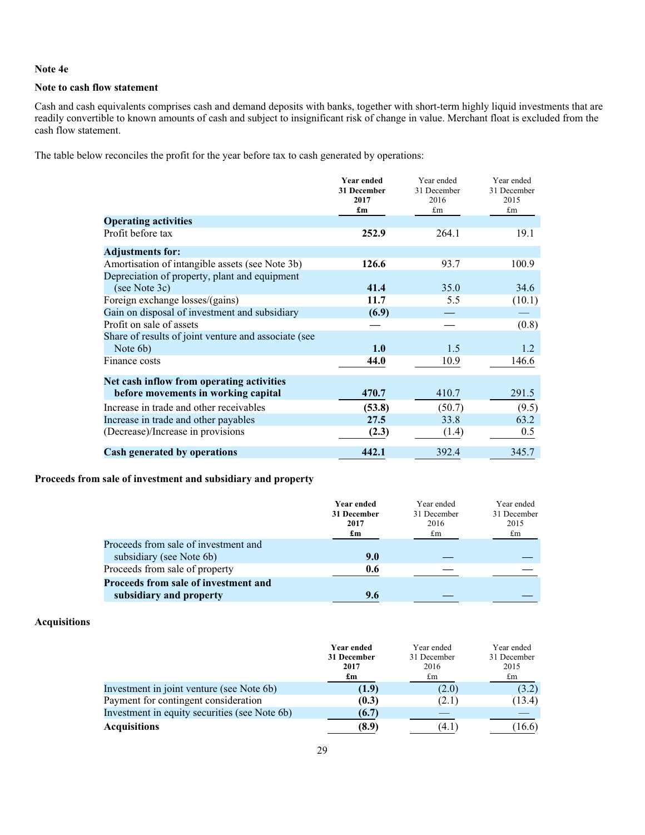#### **Note 4e**

## **Note to cash flow statement**

Cash and cash equivalents comprises cash and demand deposits with banks, together with short-term highly liquid investments that are readily convertible to known amounts of cash and subject to insignificant risk of change in value. Merchant float is excluded from the cash flow statement.

The table below reconciles the profit for the year before tax to cash generated by operations:

|                                                      | <b>Year ended</b><br>31 December  | Year ended<br>31 December       | Year ended<br>31 December |
|------------------------------------------------------|-----------------------------------|---------------------------------|---------------------------|
|                                                      | 2017<br>$\mathbf{f}_{\mathbf{m}}$ | 2016<br>$\mathbf{f}_{\text{m}}$ | 2015<br>£m                |
| <b>Operating activities</b>                          |                                   |                                 |                           |
| Profit before tax                                    | 252.9                             | 264.1                           | 19.1                      |
| <b>Adjustments for:</b>                              |                                   |                                 |                           |
| Amortisation of intangible assets (see Note 3b)      | 126.6                             | 93.7                            | 100.9                     |
| Depreciation of property, plant and equipment        |                                   |                                 |                           |
| (see Note 3c)                                        | 41.4                              | 35.0                            | 34.6                      |
| Foreign exchange losses/(gains)                      | 11.7                              | 5.5                             | (10.1)                    |
| Gain on disposal of investment and subsidiary        | (6.9)                             |                                 |                           |
| Profit on sale of assets                             |                                   |                                 | (0.8)                     |
| Share of results of joint venture and associate (see |                                   |                                 |                           |
| Note 6b)                                             | 1.0                               | 1.5                             | 1.2                       |
| Finance costs                                        | 44.0                              | 10.9                            | 146.6                     |
| Net cash inflow from operating activities            |                                   |                                 |                           |
| before movements in working capital                  | 470.7                             | 410.7                           | 291.5                     |
| Increase in trade and other receivables              | (53.8)                            | (50.7)                          | (9.5)                     |
| Increase in trade and other payables                 | 27.5                              | 33.8                            | 63.2                      |
| (Decrease)/Increase in provisions                    | (2.3)                             | (1.4)                           | 0.5                       |
| Cash generated by operations                         | 442.1                             | 392.4                           | 345.7                     |

## **Proceeds from sale of investment and subsidiary and property**

|                                      | <b>Year ended</b><br>31 December<br>2017<br>£m | Year ended<br>31 December<br>2016<br>$\pounds$ m | Year ended<br>31 December<br>2015<br>$\pounds$ m |
|--------------------------------------|------------------------------------------------|--------------------------------------------------|--------------------------------------------------|
| Proceeds from sale of investment and |                                                |                                                  |                                                  |
| subsidiary (see Note 6b)             | 9.0                                            |                                                  |                                                  |
| Proceeds from sale of property       | 0.6                                            |                                                  |                                                  |
| Proceeds from sale of investment and |                                                |                                                  |                                                  |
| subsidiary and property              | 9.6                                            |                                                  |                                                  |

## **Acquisitions**

|                                               | Year ended<br>31 December | Year ended<br>31 December | Year ended<br>31 December |
|-----------------------------------------------|---------------------------|---------------------------|---------------------------|
|                                               | 2017                      | 2016                      | 2015                      |
|                                               | £m                        | £m                        | £m                        |
| Investment in joint venture (see Note 6b)     | (1.9)                     | (2.0)                     | (3.2)                     |
| Payment for contingent consideration          | (0.3)                     | (2.1)                     | (13.4)                    |
| Investment in equity securities (see Note 6b) | (6.7)                     |                           |                           |
| <b>Acquisitions</b>                           | (8.9)                     | (4.1                      | (16.6)                    |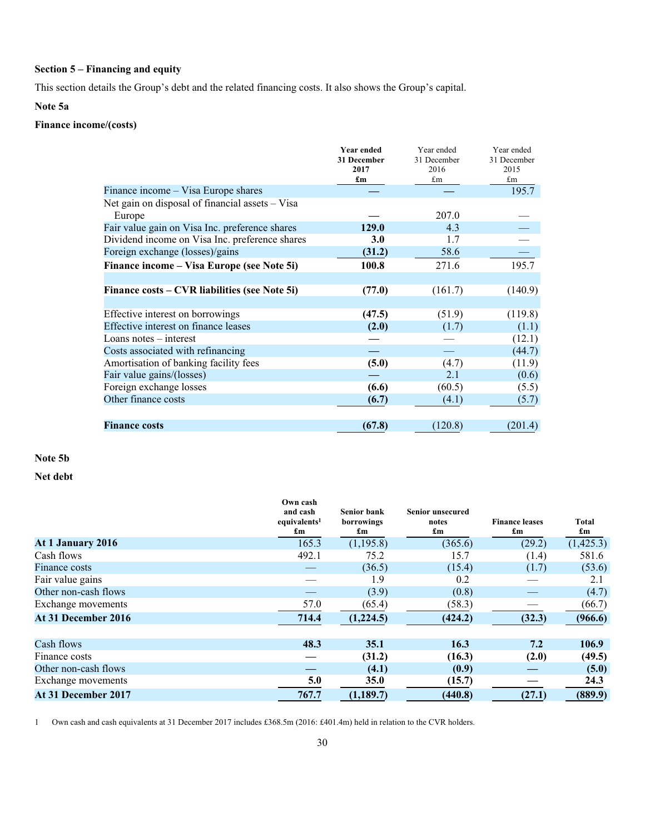# **Section 5 – Financing and equity**

This section details the Group's debt and the related financing costs. It also shows the Group's capital.

#### **Note 5a**

## **Finance income/(costs)**

|                                                 | <b>Year ended</b><br>31 December<br>2017<br>$\mathbf{f}_{\mathbf{m}}$ | Year ended<br>31 December<br>2016<br>$\mathbf{f}_{\text{m}}$ | Year ended<br>31 December<br>2015<br>$\mathbf{f}_{\text{m}}$ |
|-------------------------------------------------|-----------------------------------------------------------------------|--------------------------------------------------------------|--------------------------------------------------------------|
| Finance income – Visa Europe shares             |                                                                       |                                                              | 195.7                                                        |
| Net gain on disposal of financial assets – Visa |                                                                       |                                                              |                                                              |
| Europe                                          |                                                                       | 207.0                                                        |                                                              |
| Fair value gain on Visa Inc. preference shares  | 129.0                                                                 | 4.3                                                          |                                                              |
| Dividend income on Visa Inc. preference shares  | <b>3.0</b>                                                            | 1.7                                                          |                                                              |
| Foreign exchange (losses)/gains                 | (31.2)                                                                | 58.6                                                         |                                                              |
| Finance income – Visa Europe (see Note 5i)      | 100.8                                                                 | 271.6                                                        | 195.7                                                        |
|                                                 |                                                                       |                                                              |                                                              |
| Finance costs – CVR liabilities (see Note 5i)   | (77.0)                                                                | (161.7)                                                      | (140.9)                                                      |
|                                                 |                                                                       |                                                              |                                                              |
| Effective interest on borrowings                | (47.5)                                                                | (51.9)                                                       | (119.8)                                                      |
| Effective interest on finance leases            | (2.0)                                                                 | (1.7)                                                        | (1.1)                                                        |
| Loans notes $-$ interest                        |                                                                       |                                                              | (12.1)                                                       |
| Costs associated with refinancing               |                                                                       |                                                              | (44.7)                                                       |
| Amortisation of banking facility fees           | (5.0)                                                                 | (4.7)                                                        | (11.9)                                                       |
| Fair value gains/(losses)                       |                                                                       | 2.1                                                          | (0.6)                                                        |
| Foreign exchange losses                         | (6.6)                                                                 | (60.5)                                                       | (5.5)                                                        |
| Other finance costs                             | (6.7)                                                                 | (4.1)                                                        | (5.7)                                                        |
|                                                 |                                                                       |                                                              |                                                              |
| <b>Finance costs</b>                            | (67.8)                                                                | (120.8)                                                      | (201.4)                                                      |

### **Note 5b**

## **Net debt**

|                      | Own cash<br>and cash<br>equivalents <sup>1</sup><br>£m | Senior bank<br>borrowings<br>£m | <b>Senior unsecured</b><br>notes<br>£m | <b>Finance leases</b><br>$\mathbf{f}_{\mathbf{m}}$ | Total<br>$\mathbf{f}_{\mathbf{m}}$ |
|----------------------|--------------------------------------------------------|---------------------------------|----------------------------------------|----------------------------------------------------|------------------------------------|
| At 1 January 2016    | 165.3                                                  | (1,195.8)                       | (365.6)                                | (29.2)                                             | (1,425.3)                          |
| Cash flows           | 492.1                                                  | 75.2                            | 15.7                                   | (1.4)                                              | 581.6                              |
| Finance costs        |                                                        | (36.5)                          | (15.4)                                 | (1.7)                                              | (53.6)                             |
| Fair value gains     |                                                        | 1.9                             | 0.2                                    |                                                    | 2.1                                |
| Other non-cash flows |                                                        | (3.9)                           | (0.8)                                  |                                                    | (4.7)                              |
| Exchange movements   | 57.0                                                   | (65.4)                          | (58.3)                                 |                                                    | (66.7)                             |
| At 31 December 2016  | 714.4                                                  | (1,224.5)                       | (424.2)                                | (32.3)                                             | (966.6)                            |
| Cash flows           | 48.3                                                   | 35.1                            | 16.3                                   | 7.2                                                | 106.9                              |
| Finance costs        |                                                        | (31.2)                          | (16.3)                                 | (2.0)                                              | (49.5)                             |
| Other non-cash flows |                                                        | (4.1)                           | (0.9)                                  |                                                    | (5.0)                              |
| Exchange movements   | 5.0                                                    | <b>35.0</b>                     | (15.7)                                 |                                                    | 24.3                               |
| At 31 December 2017  | 767.7                                                  | (1,189.7)                       | (440.8)                                | (27.1)                                             | (889.9)                            |

1 Own cash and cash equivalents at 31 December 2017 includes £368.5m (2016: £401.4m) held in relation to the CVR holders.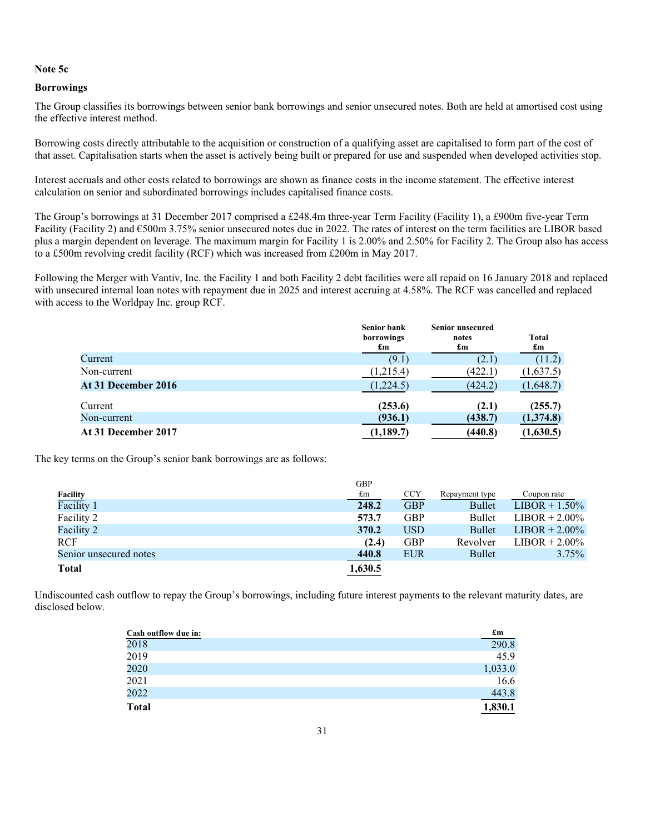#### **Note 5c**

## **Borrowings**

The Group classifies its borrowings between senior bank borrowings and senior unsecured notes. Both are held at amortised cost using the effective interest method.

Borrowing costs directly attributable to the acquisition or construction of a qualifying asset are capitalised to form part of the cost of that asset. Capitalisation starts when the asset is actively being built or prepared for use and suspended when developed activities stop.

Interest accruals and other costs related to borrowings are shown as finance costs in the income statement. The effective interest calculation on senior and subordinated borrowings includes capitalised finance costs.

The Group's borrowings at 31 December 2017 comprised a £248.4m three-year Term Facility (Facility 1), a £900m five-year Term Facility (Facility 2) and €500m 3.75% senior unsecured notes due in 2022. The rates of interest on the term facilities are LIBOR based plus a margin dependent on leverage. The maximum margin for Facility 1 is 2.00% and 2.50% for Facility 2. The Group also has access to a £500m revolving credit facility (RCF) which was increased from £200m in May 2017.

Following the Merger with Vantiv, Inc. the Facility 1 and both Facility 2 debt facilities were all repaid on 16 January 2018 and replaced with unsecured internal loan notes with repayment due in 2025 and interest accruing at 4.58%. The RCF was cancelled and replaced with access to the Worldpay Inc. group RCF.

|                     | <b>Senior bank</b><br>borrowings<br>£m | <b>Senior unsecured</b><br>notes<br>£m | Total<br>$\mathbf{f}_{\mathbf{m}}$ |
|---------------------|----------------------------------------|----------------------------------------|------------------------------------|
| Current             | (9.1)                                  | (2.1)                                  | (11.2)                             |
| Non-current         | (1,215.4)                              | (422.1)                                | (1,637.5)                          |
| At 31 December 2016 | (1,224.5)                              | (424.2)                                | (1,648.7)                          |
| Current             | (253.6)                                | (2.1)                                  | (255.7)                            |
| Non-current         | (936.1)                                | (438.7)                                | (1,374.8)                          |
| At 31 December 2017 | (1, 189.7)                             | (440.8)                                | (1,630.5)                          |

The key terms on the Group's senior bank borrowings are as follows:

|                        | <b>GBP</b>   |            |                |                  |
|------------------------|--------------|------------|----------------|------------------|
| <b>Facility</b>        | $\mathbf{m}$ | CCY        | Repayment type | Coupon rate      |
| Facility 1             | 248.2        | <b>GBP</b> | Bullet         | $LIBOR + 1.50\%$ |
| Facility 2             | 573.7        | <b>GBP</b> | Bullet         | $LIBOR + 2.00\%$ |
| Facility 2             | 370.2        | <b>USD</b> | <b>Bullet</b>  | $LIBOR + 2.00\%$ |
| <b>RCF</b>             | (2.4)        | <b>GBP</b> | Revolver       | $LIBOR + 2.00\%$ |
| Senior unsecured notes | 440.8        | <b>EUR</b> | <b>Bullet</b>  | $3.75\%$         |
| <b>Total</b>           | 1,630.5      |            |                |                  |

Undiscounted cash outflow to repay the Group's borrowings, including future interest payments to the relevant maturity dates, are disclosed below.

| Cash outflow due in: | $\mathbf{f}_{\mathbf{m}}$ |
|----------------------|---------------------------|
| 2018                 | 290.8                     |
| 2019                 | 45.9                      |
| 2020                 | 1,033.0                   |
| 2021                 | 16.6                      |
| 2022                 | 443.8                     |
| <b>Total</b>         | 1,830.1                   |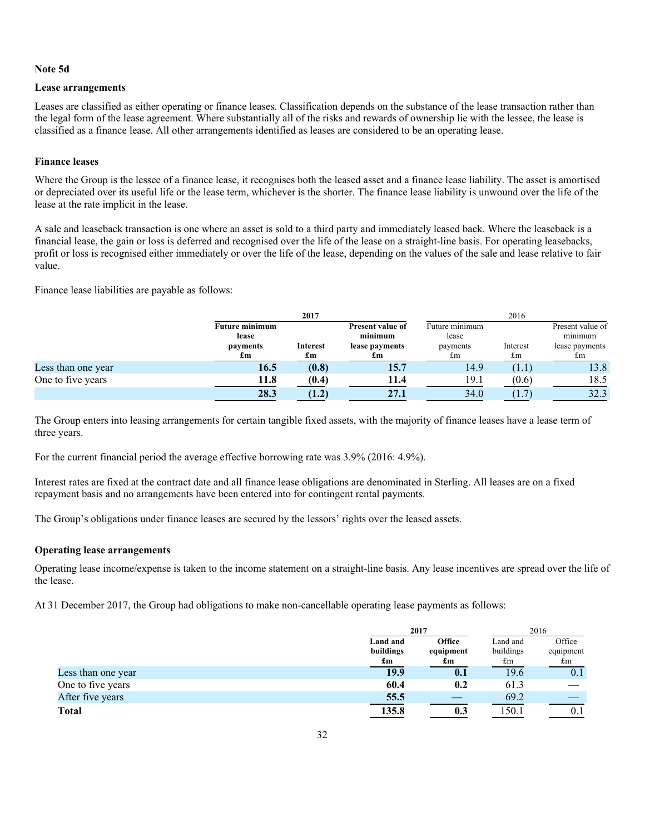#### **Note 5d**

#### **Lease arrangements**

Leases are classified as either operating or finance leases. Classification depends on the substance of the lease transaction rather than the legal form of the lease agreement. Where substantially all of the risks and rewards of ownership lie with the lessee, the lease is classified as a finance lease. All other arrangements identified as leases are considered to be an operating lease.

## **Finance leases**

Where the Group is the lessee of a finance lease, it recognises both the leased asset and a finance lease liability. The asset is amortised or depreciated over its useful life or the lease term, whichever is the shorter. The finance lease liability is unwound over the life of the lease at the rate implicit in the lease.

A sale and leaseback transaction is one where an asset is sold to a third party and immediately leased back. Where the leaseback is a financial lease, the gain or loss is deferred and recognised over the life of the lease on a straight-line basis. For operating leasebacks, profit or loss is recognised either immediately or over the life of the lease, depending on the values of the sale and lease relative to fair value.

Finance lease liabilities are payable as follows:

|                    |                                                  | 2017                                         |                                                            |                                           | 2016           |                                                     |
|--------------------|--------------------------------------------------|----------------------------------------------|------------------------------------------------------------|-------------------------------------------|----------------|-----------------------------------------------------|
|                    | <b>Future minimum</b><br>lease<br>payments<br>£m | <b>Interest</b><br>$\mathbf{f}_{\mathbf{m}}$ | <b>Present value of</b><br>minimum<br>lease payments<br>£m | Future minimum<br>lease<br>payments<br>£m | Interest<br>£m | Present value of<br>minimum<br>lease payments<br>£m |
| Less than one year | 16.5                                             | (0.8)                                        | 15.7                                                       | 14.9                                      | [1.1]          | 13.8                                                |
| One to five years  | 11.8                                             | (0.4)                                        | 11.4                                                       | 19.1                                      | (0.6)          | 18.5                                                |
|                    | 28.3                                             | (1.2)                                        | 27.1                                                       | 34.0                                      | 1.7            | 32.3                                                |

The Group enters into leasing arrangements for certain tangible fixed assets, with the majority of finance leases have a lease term of three years.

For the current financial period the average effective borrowing rate was 3.9% (2016: 4.9%).

Interest rates are fixed at the contract date and all finance lease obligations are denominated in Sterling. All leases are on a fixed repayment basis and no arrangements have been entered into for contingent rental payments.

The Group's obligations under finance leases are secured by the lessors' rights over the leased assets.

#### **Operating lease arrangements**

Operating lease income/expense is taken to the income statement on a straight-line basis. Any lease incentives are spread over the life of the lease.

At 31 December 2017, the Group had obligations to make non-cancellable operating lease payments as follows:

|                    |                                                    | 2017                      |                             | 2016                               |  |
|--------------------|----------------------------------------------------|---------------------------|-----------------------------|------------------------------------|--|
|                    | Land and<br>buildings<br>$\mathbf{f}_{\mathbf{m}}$ | Office<br>equipment<br>£m | Land and<br>buildings<br>£m | Office<br>equipment<br>$\pounds$ m |  |
| Less than one year | 19.9                                               | 0.1                       | 19.6                        | 0.1                                |  |
| One to five years  | 60.4                                               | 0.2                       | 61.3                        |                                    |  |
| After five years   | 55.5                                               |                           | 69.2                        |                                    |  |
| Total              | 135.8                                              | 0.3                       | 150.1                       | 0.1                                |  |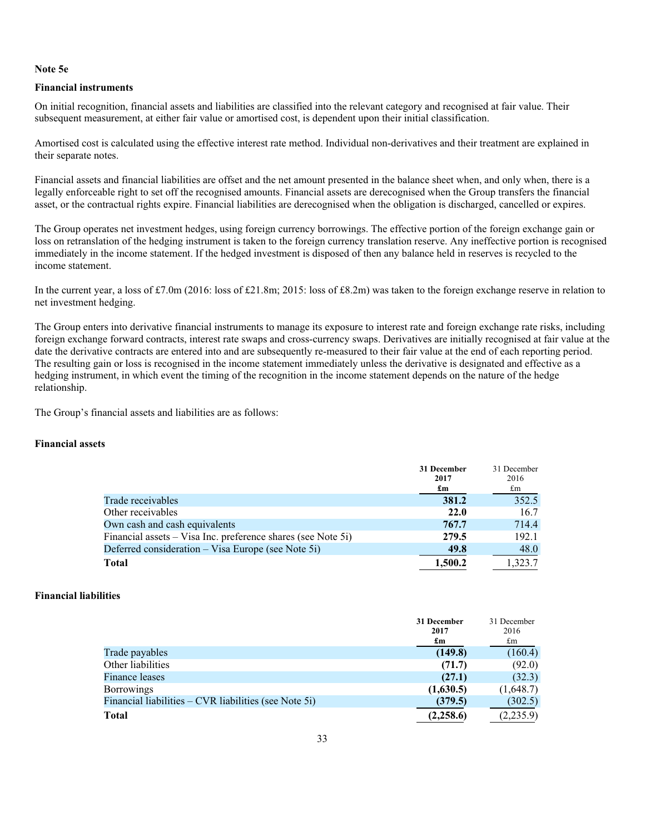#### **Financial instruments**

On initial recognition, financial assets and liabilities are classified into the relevant category and recognised at fair value. Their subsequent measurement, at either fair value or amortised cost, is dependent upon their initial classification.

Amortised cost is calculated using the effective interest rate method. Individual non-derivatives and their treatment are explained in their separate notes.

Financial assets and financial liabilities are offset and the net amount presented in the balance sheet when, and only when, there is a legally enforceable right to set off the recognised amounts. Financial assets are derecognised when the Group transfers the financial asset, or the contractual rights expire. Financial liabilities are derecognised when the obligation is discharged, cancelled or expires.

The Group operates net investment hedges, using foreign currency borrowings. The effective portion of the foreign exchange gain or loss on retranslation of the hedging instrument is taken to the foreign currency translation reserve. Any ineffective portion is recognised immediately in the income statement. If the hedged investment is disposed of then any balance held in reserves is recycled to the income statement.

In the current year, a loss of £7.0m (2016: loss of £21.8m; 2015: loss of £8.2m) was taken to the foreign exchange reserve in relation to net investment hedging.

The Group enters into derivative financial instruments to manage its exposure to interest rate and foreign exchange rate risks, including foreign exchange forward contracts, interest rate swaps and cross-currency swaps. Derivatives are initially recognised at fair value at the date the derivative contracts are entered into and are subsequently re-measured to their fair value at the end of each reporting period. The resulting gain or loss is recognised in the income statement immediately unless the derivative is designated and effective as a hedging instrument, in which event the timing of the recognition in the income statement depends on the nature of the hedge relationship.

The Group's financial assets and liabilities are as follows:

## **Financial assets**

|                                                              | 31 December | 31 December |
|--------------------------------------------------------------|-------------|-------------|
|                                                              | 2017        | 2016        |
|                                                              | £m          | £m          |
| Trade receivables                                            | 381.2       | 352.5       |
| Other receivables                                            | 22.0        | 16.7        |
| Own cash and cash equivalents                                | 767.7       | 714.4       |
| Financial assets – Visa Inc. preference shares (see Note 5i) | 279.5       | 192.1       |
| Deferred consideration – Visa Europe (see Note 5i)           | 49.8        | 48.0        |
| <b>Total</b>                                                 | 1,500.2     | 1,323.7     |

#### **Financial liabilities**

|                                                       | 31 December<br>2017 | 31 December<br>2016 |
|-------------------------------------------------------|---------------------|---------------------|
|                                                       | £m                  | £m                  |
| Trade payables                                        | (149.8)             | (160.4)             |
| Other liabilities                                     | (71.7)              | (92.0)              |
| <b>Finance leases</b>                                 | (27.1)              | (32.3)              |
| <b>Borrowings</b>                                     | (1,630.5)           | (1,648.7)           |
| Financial liabilities – CVR liabilities (see Note 5i) | (379.5)             | (302.5)             |
| <b>Total</b>                                          | (2,258.6)           | (2,235.9)           |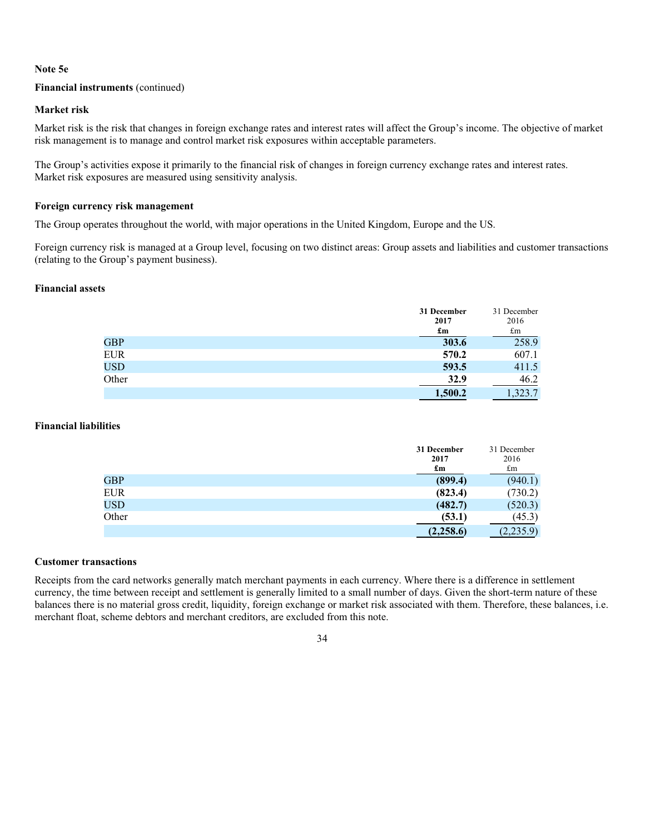## **Financial instruments** (continued)

## **Market risk**

Market risk is the risk that changes in foreign exchange rates and interest rates will affect the Group's income. The objective of market risk management is to manage and control market risk exposures within acceptable parameters.

The Group's activities expose it primarily to the financial risk of changes in foreign currency exchange rates and interest rates. Market risk exposures are measured using sensitivity analysis.

### **Foreign currency risk management**

The Group operates throughout the world, with major operations in the United Kingdom, Europe and the US.

Foreign currency risk is managed at a Group level, focusing on two distinct areas: Group assets and liabilities and customer transactions (relating to the Group's payment business).

#### **Financial assets**

|            | 31 December               | 31 December |
|------------|---------------------------|-------------|
|            | 2017                      | 2016        |
|            | $\mathbf{f}_{\mathbf{m}}$ | £m          |
| <b>GBP</b> | 303.6                     | 258.9       |
| <b>EUR</b> | 570.2                     | 607.1       |
| <b>USD</b> | 593.5                     | 411.5       |
| Other      | 32.9                      | 46.2        |
|            | 1,500.2                   | 323.7       |

## **Financial liabilities**

|            | 31 December | 31 December |
|------------|-------------|-------------|
|            | 2017        | 2016        |
|            | £m          | $\pounds$ m |
| <b>GBP</b> | (899.4)     | (940.1)     |
| <b>EUR</b> | (823.4)     | (730.2)     |
| <b>USD</b> | (482.7)     | (520.3)     |
| Other      | (53.1)      | (45.3)      |
|            | (2,258.6)   | (2,235.9)   |

#### **Customer transactions**

Receipts from the card networks generally match merchant payments in each currency. Where there is a difference in settlement currency, the time between receipt and settlement is generally limited to a small number of days. Given the short-term nature of these balances there is no material gross credit, liquidity, foreign exchange or market risk associated with them. Therefore, these balances, i.e. merchant float, scheme debtors and merchant creditors, are excluded from this note.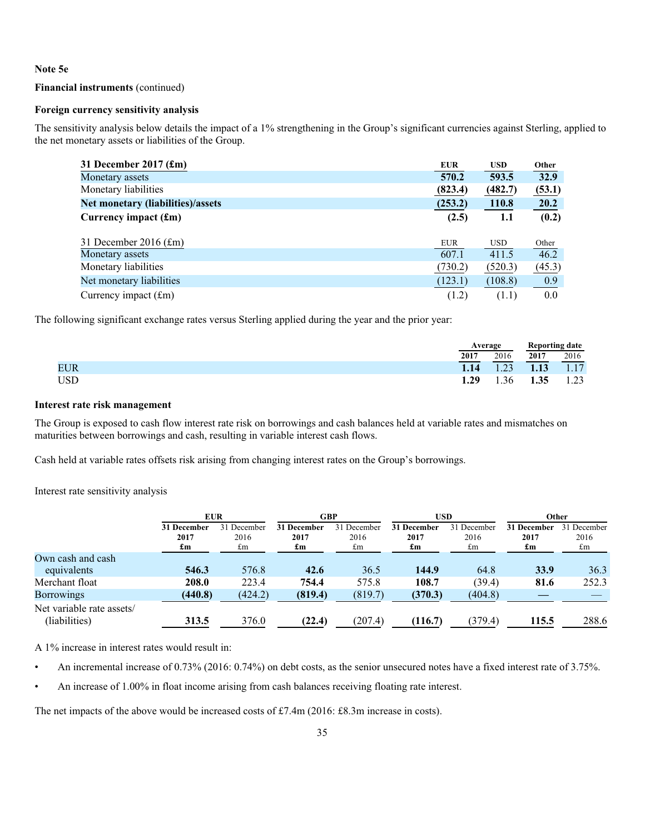#### **Financial instruments** (continued)

### **Foreign currency sensitivity analysis**

The sensitivity analysis below details the impact of a 1% strengthening in the Group's significant currencies against Sterling, applied to the net monetary assets or liabilities of the Group.

| 31 December 2017 (£m)             | <b>EUR</b> | <b>USD</b> | Other             |
|-----------------------------------|------------|------------|-------------------|
| Monetary assets                   | 570.2      | 593.5      | 32.9              |
| Monetary liabilities              | (823.4)    | (482.7)    | (53.1)            |
| Net monetary (liabilities)/assets | (253.2)    | 110.8      | 20.2              |
| Currency impact $(fm)$            | (2.5)      | 1.1        | (0.2)             |
| 31 December 2016 $(\text{fm})$    | <b>EUR</b> | <b>USD</b> | Other             |
| Monetary assets                   | 607.1      | 411.5      | 46.2              |
| Monetary liabilities              | (730.2)    | (520.3)    | (45.3)            |
| Net monetary liabilities          | (123.1)    | (108.8)    | $\frac{0.9}{0.5}$ |
| Currency impact $(fm)$            | (1.2)      | (1.1)      | 0.0               |

The following significant exchange rates versus Sterling applied during the year and the prior year:

|            |      | Average |      | Reporting date |  |
|------------|------|---------|------|----------------|--|
|            | 2017 | 2016    | 2017 | 2016           |  |
| EUR        | 1.14 | 1.23    | 1.13 | 1.17           |  |
| <b>USD</b> | 1.29 | 1.36    | 1.35 | 1.23           |  |

#### **Interest rate risk management**

The Group is exposed to cash flow interest rate risk on borrowings and cash balances held at variable rates and mismatches on maturities between borrowings and cash, resulting in variable interest cash flows.

Cash held at variable rates offsets risk arising from changing interest rates on the Group's borrowings.

Interest rate sensitivity analysis

|                                            | <b>EUR</b>                |                           | <b>GBP</b>                |                           | <b>USD</b>                                       |                           | Other                     |                           |
|--------------------------------------------|---------------------------|---------------------------|---------------------------|---------------------------|--------------------------------------------------|---------------------------|---------------------------|---------------------------|
|                                            | 31 December<br>2017<br>£m | 31 December<br>2016<br>£m | 31 December<br>2017<br>£m | 31 December<br>2016<br>£m | 31 December<br>2017<br>$\mathbf{f}_{\mathbf{m}}$ | 31 December<br>2016<br>£m | 31 December<br>2017<br>£m | 31 December<br>2016<br>£m |
| Own cash and cash                          |                           |                           |                           |                           |                                                  |                           |                           |                           |
| equivalents                                | 546.3                     | 576.8                     | 42.6                      | 36.5                      | 144.9                                            | 64.8                      | 33.9                      | 36.3                      |
| Merchant float                             | 208.0                     | 223.4                     | 754.4                     | 575.8                     | 108.7                                            | (39.4)                    | 81.6                      | 252.3                     |
| <b>Borrowings</b>                          | (440.8)                   | (424.2)                   | (819.4)                   | (819.7)                   | (370.3)                                          | (404.8)                   |                           |                           |
| Net variable rate assets/<br>(liabilities) | 313.5                     | 376.0                     | (22.4)                    | (207.4)                   | (116.7)                                          | (379.4)                   | 115.5                     | 288.6                     |

A 1% increase in interest rates would result in:

- An incremental increase of 0.73% (2016: 0.74%) on debt costs, as the senior unsecured notes have a fixed interest rate of 3.75%.
- An increase of 1.00% in float income arising from cash balances receiving floating rate interest.

The net impacts of the above would be increased costs of £7.4m (2016: £8.3m increase in costs).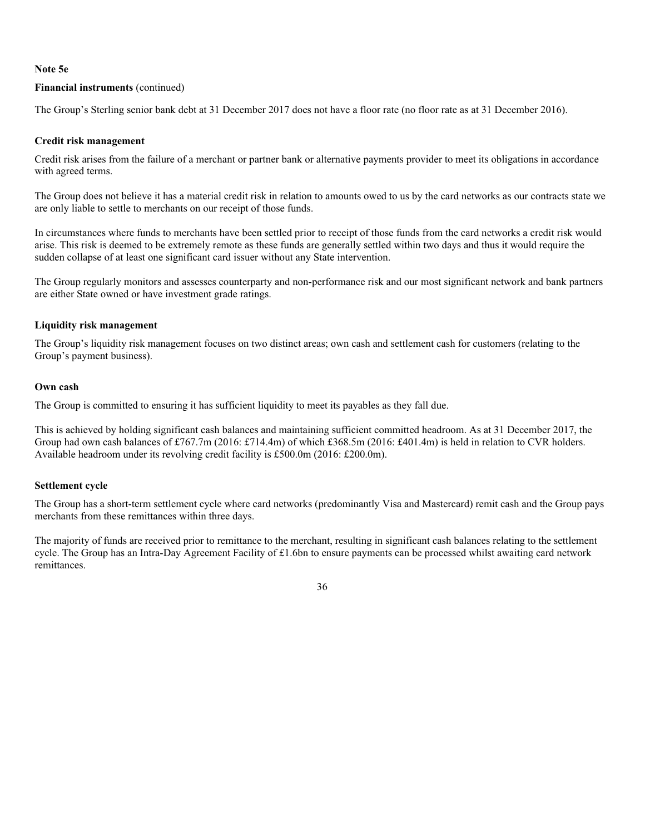### **Financial instruments** (continued)

The Group's Sterling senior bank debt at 31 December 2017 does not have a floor rate (no floor rate as at 31 December 2016).

#### **Credit risk management**

Credit risk arises from the failure of a merchant or partner bank or alternative payments provider to meet its obligations in accordance with agreed terms.

The Group does not believe it has a material credit risk in relation to amounts owed to us by the card networks as our contracts state we are only liable to settle to merchants on our receipt of those funds.

In circumstances where funds to merchants have been settled prior to receipt of those funds from the card networks a credit risk would arise. This risk is deemed to be extremely remote as these funds are generally settled within two days and thus it would require the sudden collapse of at least one significant card issuer without any State intervention.

The Group regularly monitors and assesses counterparty and non-performance risk and our most significant network and bank partners are either State owned or have investment grade ratings.

## **Liquidity risk management**

The Group's liquidity risk management focuses on two distinct areas; own cash and settlement cash for customers (relating to the Group's payment business).

#### **Own cash**

The Group is committed to ensuring it has sufficient liquidity to meet its payables as they fall due.

This is achieved by holding significant cash balances and maintaining sufficient committed headroom. As at 31 December 2017, the Group had own cash balances of £767.7m (2016: £714.4m) of which £368.5m (2016: £401.4m) is held in relation to CVR holders. Available headroom under its revolving credit facility is £500.0m (2016: £200.0m).

## **Settlement cycle**

The Group has a short-term settlement cycle where card networks (predominantly Visa and Mastercard) remit cash and the Group pays merchants from these remittances within three days.

The majority of funds are received prior to remittance to the merchant, resulting in significant cash balances relating to the settlement cycle. The Group has an Intra-Day Agreement Facility of £1.6bn to ensure payments can be processed whilst awaiting card network remittances.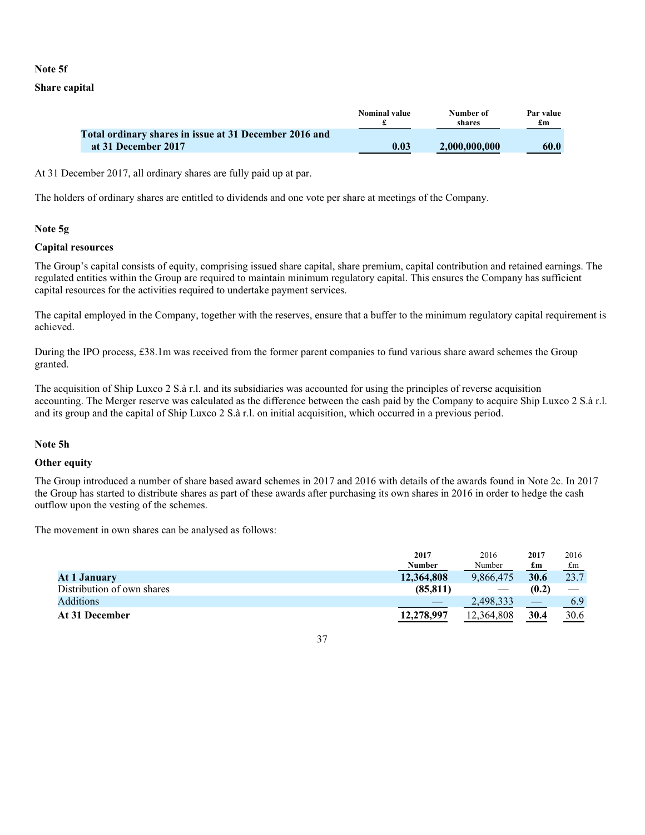## **Note 5f**

## **Share capital**

|                                                        | Nominal value | Number of<br>shares | Par value<br>£m |
|--------------------------------------------------------|---------------|---------------------|-----------------|
| Total ordinary shares in issue at 31 December 2016 and |               |                     |                 |
| at 31 December 2017                                    | 0.03          | 2,000,000,000       | 60.0            |

At 31 December 2017, all ordinary shares are fully paid up at par.

The holders of ordinary shares are entitled to dividends and one vote per share at meetings of the Company.

## **Note 5g**

## **Capital resources**

The Group's capital consists of equity, comprising issued share capital, share premium, capital contribution and retained earnings. The regulated entities within the Group are required to maintain minimum regulatory capital. This ensures the Company has sufficient capital resources for the activities required to undertake payment services.

The capital employed in the Company, together with the reserves, ensure that a buffer to the minimum regulatory capital requirement is achieved.

During the IPO process, £38.1m was received from the former parent companies to fund various share award schemes the Group granted.

The acquisition of Ship Luxco 2 S.à r.l. and its subsidiaries was accounted for using the principles of reverse acquisition accounting. The Merger reserve was calculated as the difference between the cash paid by the Company to acquire Ship Luxco 2 S.à r.l. and its group and the capital of Ship Luxco 2 S.à r.l. on initial acquisition, which occurred in a previous period.

## **Note 5h**

## **Other equity**

The Group introduced a number of share based award schemes in 2017 and 2016 with details of the awards found in Note 2c. In 2017 the Group has started to distribute shares as part of these awards after purchasing its own shares in 2016 in order to hedge the cash outflow upon the vesting of the schemes.

The movement in own shares can be analysed as follows:

|                            | 2017          | 2016       | 2017                      | 2016 |
|----------------------------|---------------|------------|---------------------------|------|
|                            | <b>Number</b> | Number     | $\mathbf{f}_{\mathbf{m}}$ | £m   |
| <b>At 1 January</b>        | 12.364.808    | 9.866.475  | 30.6                      | 23.7 |
| Distribution of own shares | (85, 811)     |            | (0.2)                     |      |
| <b>Additions</b>           |               | 2,498,333  | —                         | 6.9  |
| At 31 December             | 12,278,997    | 12,364,808 | 30.4                      | 30.6 |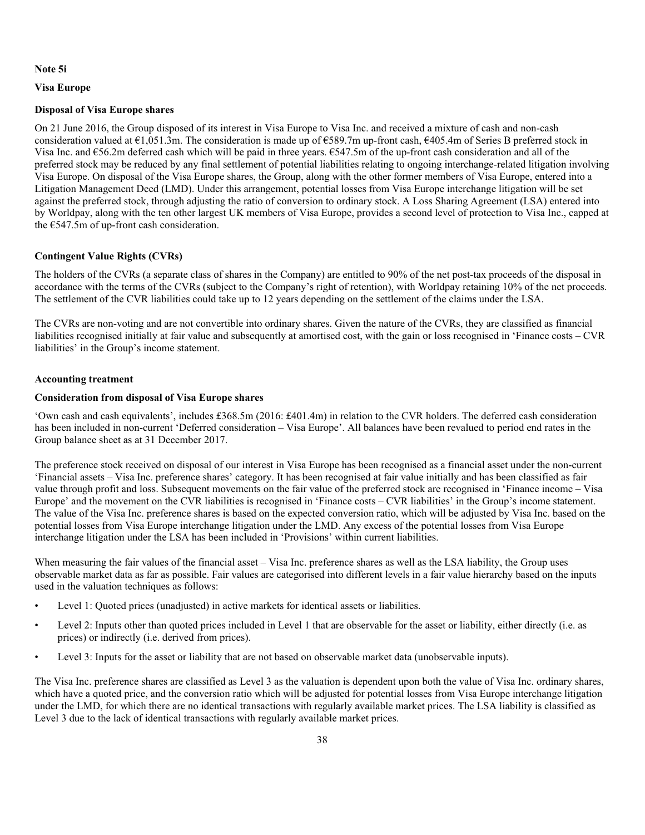#### **Note 5i**

## **Visa Europe**

## **Disposal of Visa Europe shares**

On 21 June 2016, the Group disposed of its interest in Visa Europe to Visa Inc. and received a mixture of cash and non-cash consideration valued at  $\epsilon$ 1,051.3m. The consideration is made up of  $\epsilon$ 589.7m up-front cash,  $\epsilon$ 405.4m of Series B preferred stock in Visa Inc. and €56.2m deferred cash which will be paid in three years. €547.5m of the up-front cash consideration and all of the preferred stock may be reduced by any final settlement of potential liabilities relating to ongoing interchange-related litigation involving Visa Europe. On disposal of the Visa Europe shares, the Group, along with the other former members of Visa Europe, entered into a Litigation Management Deed (LMD). Under this arrangement, potential losses from Visa Europe interchange litigation will be set against the preferred stock, through adjusting the ratio of conversion to ordinary stock. A Loss Sharing Agreement (LSA) entered into by Worldpay, along with the ten other largest UK members of Visa Europe, provides a second level of protection to Visa Inc., capped at the €547.5m of up-front cash consideration.

## **Contingent Value Rights (CVRs)**

The holders of the CVRs (a separate class of shares in the Company) are entitled to 90% of the net post-tax proceeds of the disposal in accordance with the terms of the CVRs (subject to the Company's right of retention), with Worldpay retaining 10% of the net proceeds. The settlement of the CVR liabilities could take up to 12 years depending on the settlement of the claims under the LSA.

The CVRs are non-voting and are not convertible into ordinary shares. Given the nature of the CVRs, they are classified as financial liabilities recognised initially at fair value and subsequently at amortised cost, with the gain or loss recognised in 'Finance costs – CVR liabilities' in the Group's income statement.

#### **Accounting treatment**

#### **Consideration from disposal of Visa Europe shares**

'Own cash and cash equivalents', includes £368.5m (2016: £401.4m) in relation to the CVR holders. The deferred cash consideration has been included in non-current 'Deferred consideration – Visa Europe'. All balances have been revalued to period end rates in the Group balance sheet as at 31 December 2017.

The preference stock received on disposal of our interest in Visa Europe has been recognised as a financial asset under the non-current 'Financial assets – Visa Inc. preference shares' category. It has been recognised at fair value initially and has been classified as fair value through profit and loss. Subsequent movements on the fair value of the preferred stock are recognised in 'Finance income – Visa Europe' and the movement on the CVR liabilities is recognised in 'Finance costs – CVR liabilities' in the Group's income statement. The value of the Visa Inc. preference shares is based on the expected conversion ratio, which will be adjusted by Visa Inc. based on the potential losses from Visa Europe interchange litigation under the LMD. Any excess of the potential losses from Visa Europe interchange litigation under the LSA has been included in 'Provisions' within current liabilities.

When measuring the fair values of the financial asset – Visa Inc. preference shares as well as the LSA liability, the Group uses observable market data as far as possible. Fair values are categorised into different levels in a fair value hierarchy based on the inputs used in the valuation techniques as follows:

- Level 1: Quoted prices (unadjusted) in active markets for identical assets or liabilities.
- Level 2: Inputs other than quoted prices included in Level 1 that are observable for the asset or liability, either directly (i.e. as prices) or indirectly (i.e. derived from prices).
- Level 3: Inputs for the asset or liability that are not based on observable market data (unobservable inputs).

The Visa Inc. preference shares are classified as Level 3 as the valuation is dependent upon both the value of Visa Inc. ordinary shares, which have a quoted price, and the conversion ratio which will be adjusted for potential losses from Visa Europe interchange litigation under the LMD, for which there are no identical transactions with regularly available market prices. The LSA liability is classified as Level 3 due to the lack of identical transactions with regularly available market prices.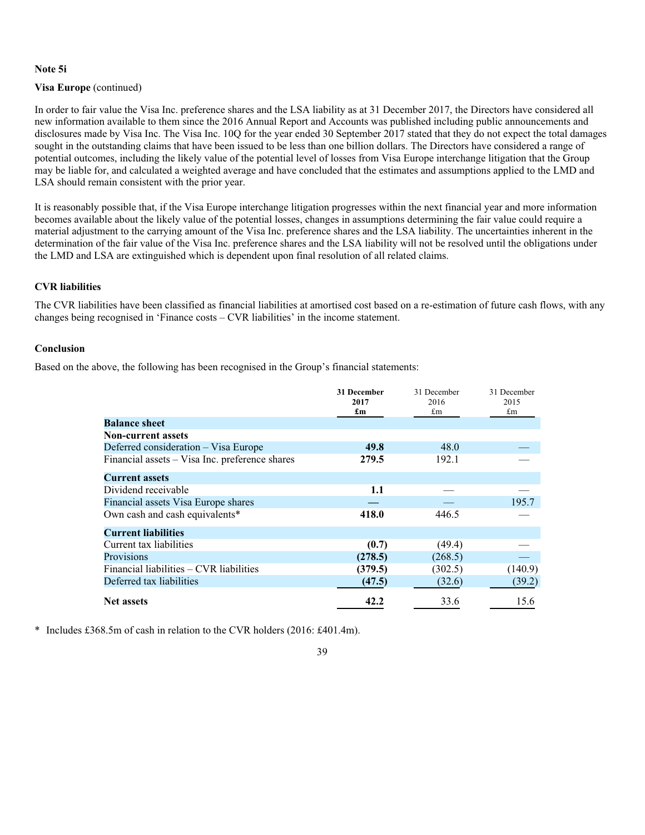### **Note 5i**

## **Visa Europe** (continued)

In order to fair value the Visa Inc. preference shares and the LSA liability as at 31 December 2017, the Directors have considered all new information available to them since the 2016 Annual Report and Accounts was published including public announcements and disclosures made by Visa Inc. The Visa Inc. 10Q for the year ended 30 September 2017 stated that they do not expect the total damages sought in the outstanding claims that have been issued to be less than one billion dollars. The Directors have considered a range of potential outcomes, including the likely value of the potential level of losses from Visa Europe interchange litigation that the Group may be liable for, and calculated a weighted average and have concluded that the estimates and assumptions applied to the LMD and LSA should remain consistent with the prior year.

It is reasonably possible that, if the Visa Europe interchange litigation progresses within the next financial year and more information becomes available about the likely value of the potential losses, changes in assumptions determining the fair value could require a material adjustment to the carrying amount of the Visa Inc. preference shares and the LSA liability. The uncertainties inherent in the determination of the fair value of the Visa Inc. preference shares and the LSA liability will not be resolved until the obligations under the LMD and LSA are extinguished which is dependent upon final resolution of all related claims.

## **CVR liabilities**

The CVR liabilities have been classified as financial liabilities at amortised cost based on a re-estimation of future cash flows, with any changes being recognised in 'Finance costs – CVR liabilities' in the income statement.

### **Conclusion**

Based on the above, the following has been recognised in the Group's financial statements:

|                                                | 31 December<br>2017 | 31 December<br>2016 | 31 December<br>2015 |
|------------------------------------------------|---------------------|---------------------|---------------------|
| <b>Balance sheet</b>                           | £m                  | £m                  | £m                  |
| <b>Non-current assets</b>                      |                     |                     |                     |
| Deferred consideration - Visa Europe           | 49.8                | 48.0                |                     |
| Financial assets – Visa Inc. preference shares | 279.5               | 192.1               |                     |
| <b>Current assets</b>                          |                     |                     |                     |
| Dividend receivable                            | 1.1                 |                     |                     |
| Financial assets Visa Europe shares            |                     |                     | 195.7               |
| Own cash and cash equivalents*                 | 418.0               | 446.5               |                     |
| <b>Current liabilities</b>                     |                     |                     |                     |
| Current tax liabilities                        | (0.7)               | (49.4)              |                     |
| Provisions                                     | (278.5)             | (268.5)             |                     |
| $Financial$ liabilities $-$ CVR liabilities    | (379.5)             | (302.5)             | (140.9)             |
| Deferred tax liabilities                       | (47.5)              | (32.6)              | (39.2)              |
| <b>Net assets</b>                              | 42.2                | 33.6                | 15.6                |

\* Includes £368.5m of cash in relation to the CVR holders (2016: £401.4m).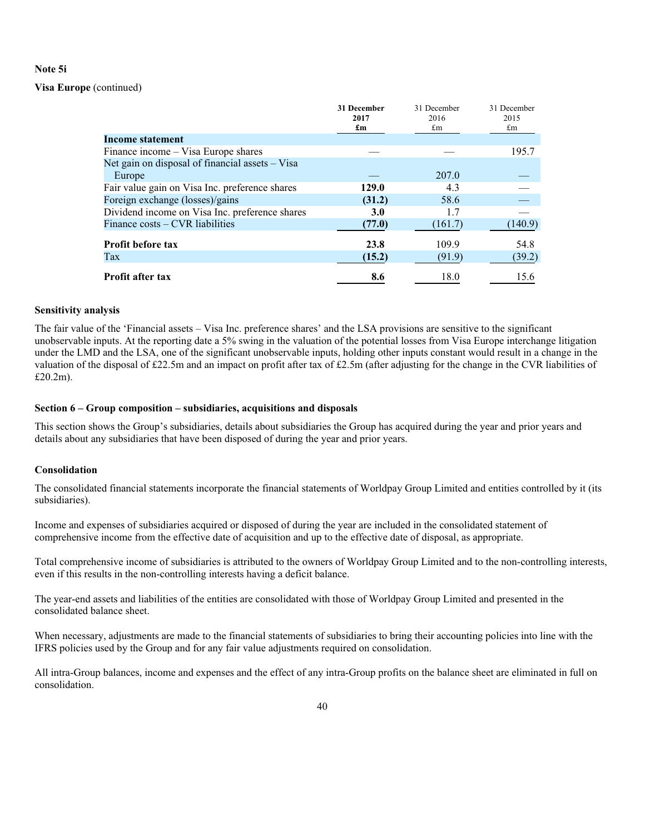## **Note 5i**

**Visa Europe** (continued)

|                                                 | 31 December<br>2017<br>£m | 31 December<br>2016<br>$\pounds$ m | 31 December<br>2015<br>£m |
|-------------------------------------------------|---------------------------|------------------------------------|---------------------------|
| <b>Income statement</b>                         |                           |                                    |                           |
| Finance income – Visa Europe shares             |                           |                                    | 195.7                     |
| Net gain on disposal of financial assets – Visa |                           |                                    |                           |
| Europe                                          |                           | 207.0                              |                           |
| Fair value gain on Visa Inc. preference shares  | 129.0                     | 4.3                                |                           |
| Foreign exchange (losses)/gains                 | (31.2)                    | 58.6                               |                           |
| Dividend income on Visa Inc. preference shares  | <b>3.0</b>                | 1.7                                |                           |
| Finance $costs - CVR$ liabilities               | (77.0)                    | (161.7)                            | (140.9)                   |
| <b>Profit before tax</b>                        | 23.8                      | 109.9                              | 54.8                      |
| Tax                                             | (15.2)                    | (91.9)                             | (39.2)                    |
| <b>Profit after tax</b>                         | 8.6                       | 18.0                               | 15.6                      |

#### **Sensitivity analysis**

The fair value of the 'Financial assets – Visa Inc. preference shares' and the LSA provisions are sensitive to the significant unobservable inputs. At the reporting date a 5% swing in the valuation of the potential losses from Visa Europe interchange litigation under the LMD and the LSA, one of the significant unobservable inputs, holding other inputs constant would result in a change in the valuation of the disposal of £22.5m and an impact on profit after tax of £2.5m (after adjusting for the change in the CVR liabilities of £20.2m).

#### **Section 6 – Group composition – subsidiaries, acquisitions and disposals**

This section shows the Group's subsidiaries, details about subsidiaries the Group has acquired during the year and prior years and details about any subsidiaries that have been disposed of during the year and prior years.

#### **Consolidation**

The consolidated financial statements incorporate the financial statements of Worldpay Group Limited and entities controlled by it (its subsidiaries).

Income and expenses of subsidiaries acquired or disposed of during the year are included in the consolidated statement of comprehensive income from the effective date of acquisition and up to the effective date of disposal, as appropriate.

Total comprehensive income of subsidiaries is attributed to the owners of Worldpay Group Limited and to the non-controlling interests, even if this results in the non-controlling interests having a deficit balance.

The year-end assets and liabilities of the entities are consolidated with those of Worldpay Group Limited and presented in the consolidated balance sheet.

When necessary, adjustments are made to the financial statements of subsidiaries to bring their accounting policies into line with the IFRS policies used by the Group and for any fair value adjustments required on consolidation.

All intra-Group balances, income and expenses and the effect of any intra-Group profits on the balance sheet are eliminated in full on consolidation.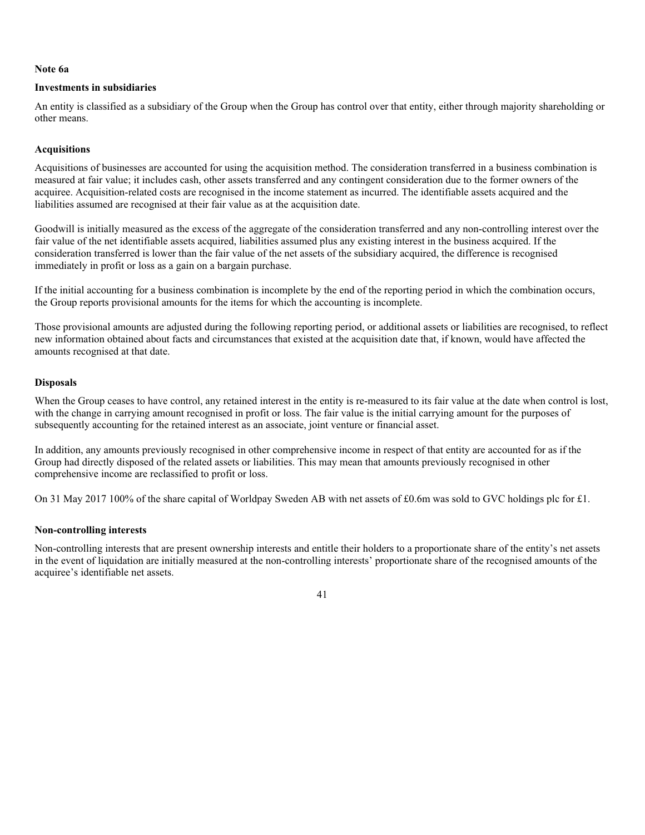### **Investments in subsidiaries**

An entity is classified as a subsidiary of the Group when the Group has control over that entity, either through majority shareholding or other means.

### **Acquisitions**

Acquisitions of businesses are accounted for using the acquisition method. The consideration transferred in a business combination is measured at fair value; it includes cash, other assets transferred and any contingent consideration due to the former owners of the acquiree. Acquisition-related costs are recognised in the income statement as incurred. The identifiable assets acquired and the liabilities assumed are recognised at their fair value as at the acquisition date.

Goodwill is initially measured as the excess of the aggregate of the consideration transferred and any non-controlling interest over the fair value of the net identifiable assets acquired, liabilities assumed plus any existing interest in the business acquired. If the consideration transferred is lower than the fair value of the net assets of the subsidiary acquired, the difference is recognised immediately in profit or loss as a gain on a bargain purchase.

If the initial accounting for a business combination is incomplete by the end of the reporting period in which the combination occurs, the Group reports provisional amounts for the items for which the accounting is incomplete.

Those provisional amounts are adjusted during the following reporting period, or additional assets or liabilities are recognised, to reflect new information obtained about facts and circumstances that existed at the acquisition date that, if known, would have affected the amounts recognised at that date.

### **Disposals**

When the Group ceases to have control, any retained interest in the entity is re-measured to its fair value at the date when control is lost, with the change in carrying amount recognised in profit or loss. The fair value is the initial carrying amount for the purposes of subsequently accounting for the retained interest as an associate, joint venture or financial asset.

In addition, any amounts previously recognised in other comprehensive income in respect of that entity are accounted for as if the Group had directly disposed of the related assets or liabilities. This may mean that amounts previously recognised in other comprehensive income are reclassified to profit or loss.

On 31 May 2017 100% of the share capital of Worldpay Sweden AB with net assets of £0.6m was sold to GVC holdings plc for £1.

## **Non-controlling interests**

Non-controlling interests that are present ownership interests and entitle their holders to a proportionate share of the entity's net assets in the event of liquidation are initially measured at the non-controlling interests' proportionate share of the recognised amounts of the acquiree's identifiable net assets.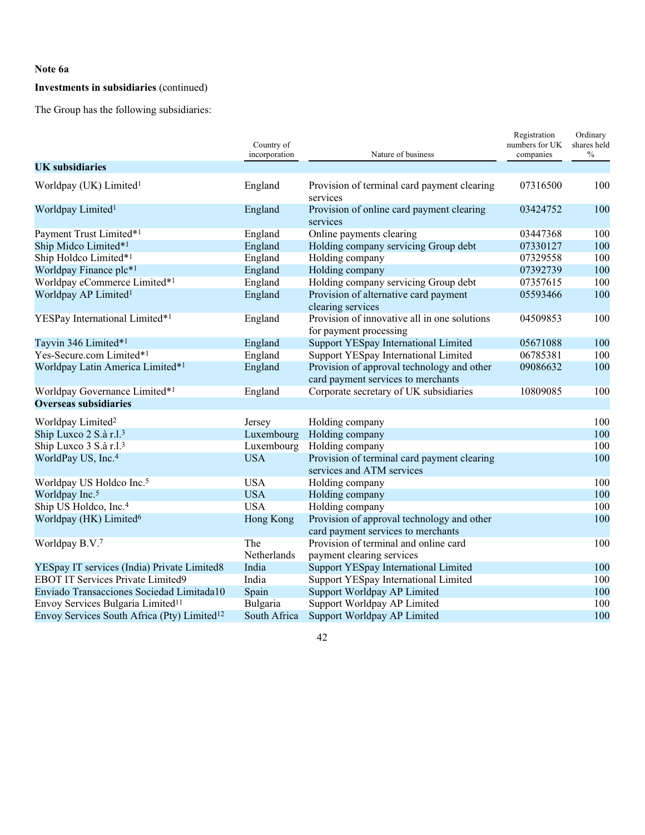# **Investments in subsidiaries** (continued)

The Group has the following subsidiaries:

|                                                         | Country of<br>incorporation | Nature of business                                                               | Registration<br>numbers for UK<br>companies | Ordinary<br>shares held<br>$\%$ |
|---------------------------------------------------------|-----------------------------|----------------------------------------------------------------------------------|---------------------------------------------|---------------------------------|
| <b>UK</b> subsidiaries                                  |                             |                                                                                  |                                             |                                 |
| Worldpay (UK) Limited <sup>1</sup>                      | England                     | Provision of terminal card payment clearing<br>services                          | 07316500                                    | 100                             |
| Worldpay Limited <sup>1</sup>                           | England                     | Provision of online card payment clearing<br>services                            | 03424752                                    | 100                             |
| Payment Trust Limited*1                                 | England                     | Online payments clearing                                                         | 03447368                                    | 100                             |
| Ship Midco Limited*1                                    | England                     | Holding company servicing Group debt                                             | 07330127                                    | 100                             |
| Ship Holdco Limited*1                                   | England                     | Holding company                                                                  | 07329558                                    | 100                             |
| Worldpay Finance plc*1                                  | England                     | Holding company                                                                  | 07392739                                    | 100                             |
| Worldpay eCommerce Limited*1                            | England                     | Holding company servicing Group debt                                             | 07357615                                    | 100                             |
| Worldpay AP Limited <sup>1</sup>                        | England                     | Provision of alternative card payment<br>clearing services                       | 05593466                                    | 100                             |
| YESPay International Limited*1                          | England                     | Provision of innovative all in one solutions<br>for payment processing           | 04509853                                    | 100                             |
| Tayvin 346 Limited* <sup>1</sup>                        | England                     | Support YESpay International Limited                                             | 05671088                                    | 100                             |
| Yes-Secure.com Limited*1                                | England                     | Support YESpay International Limited                                             | 06785381                                    | 100                             |
| Worldpay Latin America Limited*1                        | England                     | Provision of approval technology and other<br>card payment services to merchants | 09086632                                    | 100                             |
| Worldpay Governance Limited*1                           | England                     | Corporate secretary of UK subsidiaries                                           | 10809085                                    | 100                             |
| <b>Overseas subsidiaries</b>                            |                             |                                                                                  |                                             |                                 |
| Worldpay Limited <sup>2</sup>                           | Jersey                      | Holding company                                                                  |                                             | 100                             |
| Ship Luxco 2 S.à r.l. <sup>3</sup>                      | Luxembourg                  | Holding company                                                                  |                                             | 100                             |
| Ship Luxco 3 S.à r.l. <sup>3</sup>                      | Luxembourg                  | Holding company                                                                  |                                             | 100                             |
| WorldPay US, Inc. <sup>4</sup>                          | <b>USA</b>                  | Provision of terminal card payment clearing<br>services and ATM services         |                                             | 100                             |
| Worldpay US Holdco Inc. <sup>5</sup>                    | <b>USA</b>                  | Holding company                                                                  |                                             | 100                             |
| Worldpay Inc. <sup>5</sup>                              | <b>USA</b>                  | Holding company                                                                  |                                             | 100                             |
| Ship US Holdco, Inc. <sup>4</sup>                       | <b>USA</b>                  | Holding company                                                                  |                                             | 100                             |
| Worldpay (HK) Limited <sup>6</sup>                      | Hong Kong                   | Provision of approval technology and other<br>card payment services to merchants |                                             | 100                             |
| Worldpay B.V.7                                          | The<br>Netherlands          | Provision of terminal and online card<br>payment clearing services               |                                             | 100                             |
| YESpay IT services (India) Private Limited8             | India                       | Support YESpay International Limited                                             |                                             | 100                             |
| <b>EBOT IT Services Private Limited9</b>                | India                       | Support YESpay International Limited                                             |                                             | 100                             |
| Enviado Transacciones Sociedad Limitada10               | Spain                       | Support Worldpay AP Limited                                                      |                                             | 100                             |
| Envoy Services Bulgaria Limited <sup>11</sup>           | Bulgaria                    | Support Worldpay AP Limited                                                      |                                             | 100                             |
| Envoy Services South Africa (Pty) Limited <sup>12</sup> | South Africa                | Support Worldpay AP Limited                                                      |                                             | 100                             |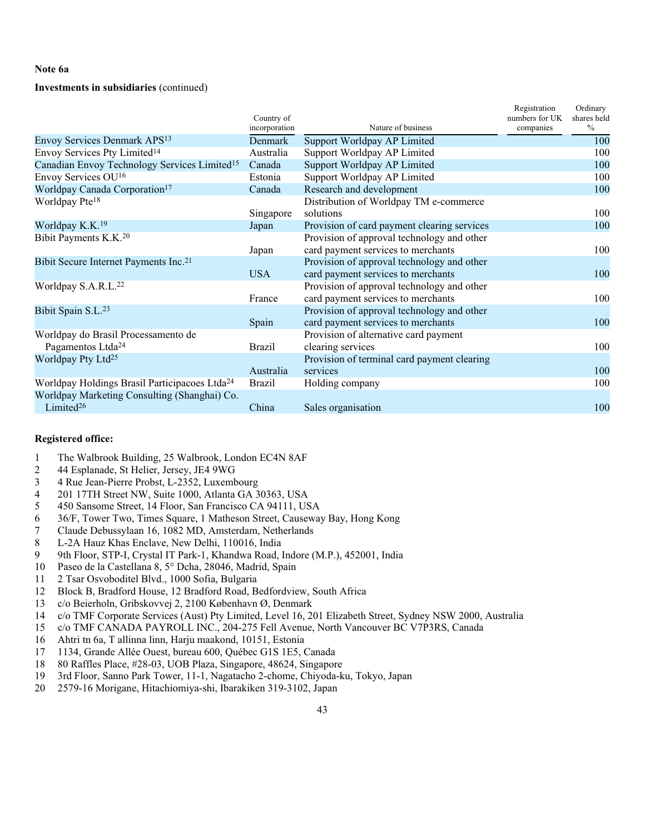#### **Investments in subsidiaries** (continued)

|                                                                       | Country of<br>incorporation | Nature of business                          | Registration<br>numbers for UK<br>companies | Ordinary<br>shares held<br>$\%$ |
|-----------------------------------------------------------------------|-----------------------------|---------------------------------------------|---------------------------------------------|---------------------------------|
| Envoy Services Denmark APS <sup>13</sup>                              | <b>Denmark</b>              | Support Worldpay AP Limited                 |                                             | 100                             |
| Envoy Services Pty Limited <sup>14</sup>                              | Australia                   | Support Worldpay AP Limited                 |                                             | 100                             |
| Canadian Envoy Technology Services Limited <sup>15</sup>              | Canada                      | Support Worldpay AP Limited                 |                                             | 100                             |
| Envoy Services OU <sup>16</sup>                                       | Estonia                     | Support Worldpay AP Limited                 |                                             | 100                             |
| Worldpay Canada Corporation <sup>17</sup>                             | Canada                      | Research and development                    |                                             | 100                             |
| Worldpay Pte <sup>18</sup>                                            |                             | Distribution of Worldpay TM e-commerce      |                                             |                                 |
|                                                                       | Singapore                   | solutions                                   |                                             | 100                             |
| Worldpay K.K. <sup>19</sup>                                           | Japan                       | Provision of card payment clearing services |                                             | 100                             |
| Bibit Payments K.K. <sup>20</sup>                                     |                             | Provision of approval technology and other  |                                             |                                 |
|                                                                       | Japan                       | card payment services to merchants          |                                             | 100                             |
| Bibit Secure Internet Payments Inc. <sup>21</sup>                     |                             | Provision of approval technology and other  |                                             |                                 |
|                                                                       | <b>USA</b>                  | card payment services to merchants          |                                             | 100                             |
| Worldpay S.A.R.L. <sup>22</sup>                                       |                             | Provision of approval technology and other  |                                             |                                 |
|                                                                       | France                      | card payment services to merchants          |                                             | 100                             |
| Bibit Spain S.L. <sup>23</sup>                                        |                             | Provision of approval technology and other  |                                             |                                 |
|                                                                       | Spain                       | card payment services to merchants          |                                             | 100                             |
| Worldpay do Brasil Processamento de                                   |                             | Provision of alternative card payment       |                                             |                                 |
| Pagamentos Ltda <sup>24</sup>                                         | <b>Brazil</b>               | clearing services                           |                                             | 100                             |
| Worldpay Pty Ltd <sup>25</sup>                                        |                             | Provision of terminal card payment clearing |                                             |                                 |
|                                                                       | Australia                   | services                                    |                                             | 100                             |
| Worldpay Holdings Brasil Participacoes Ltda <sup>24</sup>             | <b>Brazil</b>               | Holding company                             |                                             | 100                             |
| Worldpay Marketing Consulting (Shanghai) Co.<br>Limited <sup>26</sup> | China                       | Sales organisation                          |                                             | 100                             |

#### **Registered office:**

- 1 The Walbrook Building, 25 Walbrook, London EC4N 8AF
- 2 44 Esplanade, St Helier, Jersey, JE4 9WG<br>3 4 Rue Jean-Pierre Probst, L-2352, Luxemb
- 3 4 Rue Jean-Pierre Probst, L-2352, Luxembourg
- 4 201 17TH Street NW, Suite 1000, Atlanta GA 30363, USA
- 5 450 Sansome Street, 14 Floor, San Francisco CA 94111, USA
- 6 36/F, Tower Two, Times Square, 1 Matheson Street, Causeway Bay, Hong Kong
- 7 Claude Debussylaan 16, 1082 MD, Amsterdam, Netherlands
- 8 L-2A Hauz Khas Enclave, New Delhi, 110016, India
- 9 9th Floor, STP-I, Crystal IT Park-1, Khandwa Road, Indore (M.P.), 452001, India
- 10 Paseo de la Castellana 8, 5° Dcha, 28046, Madrid, Spain
- 11 2 Tsar Osvoboditel Blvd., 1000 Sofia, Bulgaria
- 12 Block B, Bradford House, 12 Bradford Road, Bedfordview, South Africa
- 13 c/o Beierholn, Gribskovvej 2, 2100 København Ø, Denmark
- 14 c/o TMF Corporate Services (Aust) Pty Limited, Level 16, 201 Elizabeth Street, Sydney NSW 2000, Australia
- 15 c/o TMF CANADA PAYROLL INC., 204-275 Fell Avenue, North Vancouver BC V7P3RS, Canada
- 16 Ahtri tn 6a, T allinna linn, Harju maakond, 10151, Estonia
- 17 1134, Grande Allée Ouest, bureau 600, Québec G1S 1E5, Canada
- 18 80 Raffles Place, #28-03, UOB Plaza, Singapore, 48624, Singapore
- 19 3rd Floor, Sanno Park Tower, 11-1, Nagatacho 2-chome, Chiyoda-ku, Tokyo, Japan
- 20 2579-16 Morigane, Hitachiomiya-shi, Ibarakiken 319-3102, Japan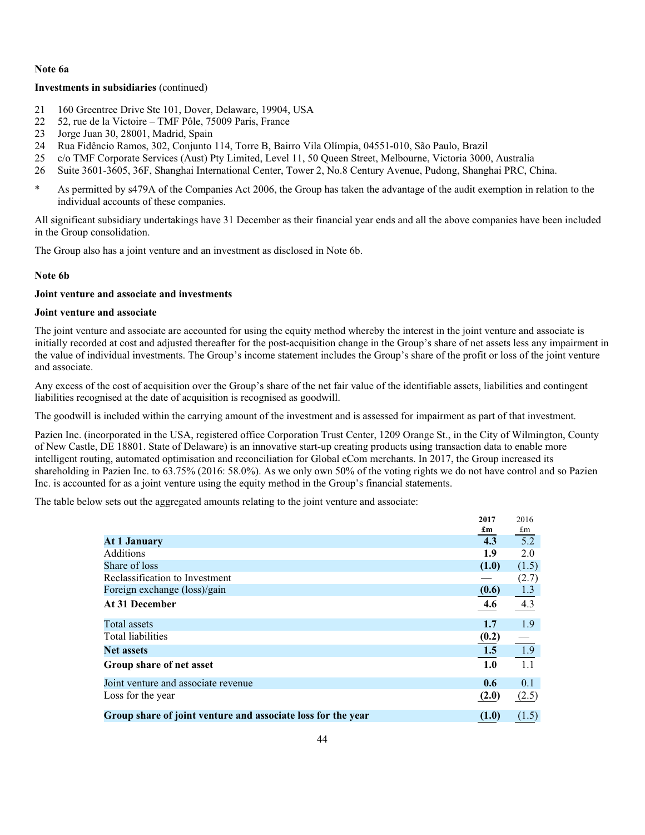#### **Investments in subsidiaries** (continued)

- 21 160 Greentree Drive Ste 101, Dover, Delaware, 19904, USA<br>22 52. rue de la Victoire TMF Pôle, 75009 Paris, France
- 52, rue de la Victoire TMF Pôle, 75009 Paris, France
- 23 Jorge Juan 30, 28001, Madrid, Spain
- 24 Rua Fidêncio Ramos, 302, Conjunto 114, Torre B, Bairro Vila Olímpia, 04551-010, São Paulo, Brazil
- 25 c/o TMF Corporate Services (Aust) Pty Limited, Level 11, 50 Queen Street, Melbourne, Victoria 3000, Australia
- 26 Suite 3601-3605, 36F, Shanghai International Center, Tower 2, No.8 Century Avenue, Pudong, Shanghai PRC, China.
- \* As permitted by s479A of the Companies Act 2006, the Group has taken the advantage of the audit exemption in relation to the individual accounts of these companies.

All significant subsidiary undertakings have 31 December as their financial year ends and all the above companies have been included in the Group consolidation.

The Group also has a joint venture and an investment as disclosed in Note 6b.

#### **Note 6b**

#### **Joint venture and associate and investments**

## **Joint venture and associate**

The joint venture and associate are accounted for using the equity method whereby the interest in the joint venture and associate is initially recorded at cost and adjusted thereafter for the post-acquisition change in the Group's share of net assets less any impairment in the value of individual investments. The Group's income statement includes the Group's share of the profit or loss of the joint venture and associate.

Any excess of the cost of acquisition over the Group's share of the net fair value of the identifiable assets, liabilities and contingent liabilities recognised at the date of acquisition is recognised as goodwill.

The goodwill is included within the carrying amount of the investment and is assessed for impairment as part of that investment.

Pazien Inc. (incorporated in the USA, registered office Corporation Trust Center, 1209 Orange St., in the City of Wilmington, County of New Castle, DE 18801. State of Delaware) is an innovative start-up creating products using transaction data to enable more intelligent routing, automated optimisation and reconciliation for Global eCom merchants. In 2017, the Group increased its shareholding in Pazien Inc. to 63.75% (2016: 58.0%). As we only own 50% of the voting rights we do not have control and so Pazien Inc. is accounted for as a joint venture using the equity method in the Group's financial statements.

The table below sets out the aggregated amounts relating to the joint venture and associate:

|                                                              | 2017                      | 2016            |
|--------------------------------------------------------------|---------------------------|-----------------|
|                                                              | $\mathbf{f}_{\mathbf{m}}$ | £m              |
| <b>At 1 January</b>                                          | 4.3                       | 5.2             |
| <b>Additions</b>                                             | 1.9                       | 2.0             |
| Share of loss                                                | (1.0)                     | (1.5)           |
| Reclassification to Investment                               |                           | (2.7)           |
| Foreign exchange (loss)/gain                                 | (0.6)                     | 1.3             |
| At 31 December                                               | 4.6                       | 4.3             |
| Total assets                                                 | 1.7                       | 1.9             |
| Total liabilities                                            | (0.2)                     |                 |
| <b>Net assets</b>                                            | 1.5                       | $\frac{-}{1.9}$ |
| Group share of net asset                                     | 1.0                       | 1.1             |
| Joint venture and associate revenue                          | 0.6                       | 0.1             |
| Loss for the year                                            | (2.0)                     | (2.5)           |
| Group share of joint venture and associate loss for the year | (1.0)                     | (1.5)           |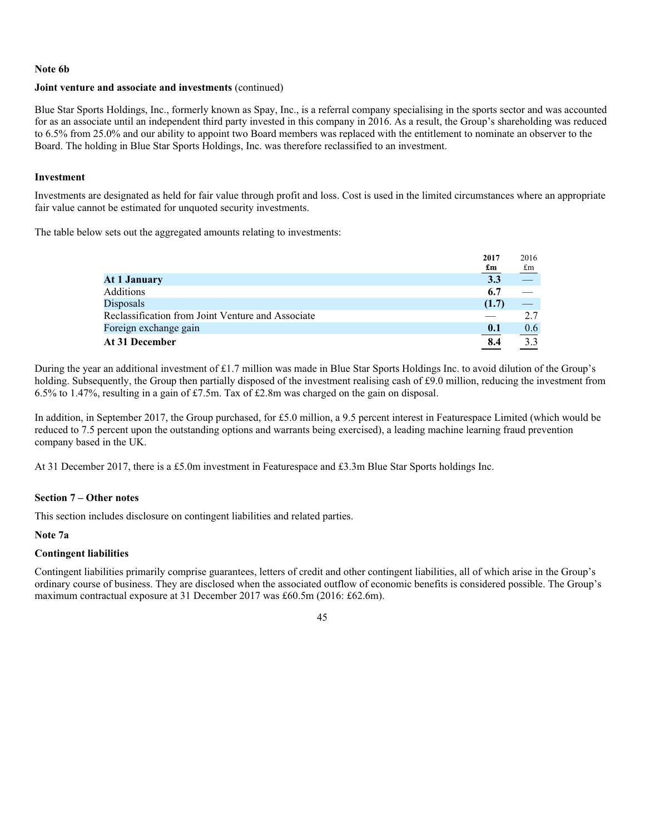#### **Note 6b**

#### **Joint venture and associate and investments** (continued)

Blue Star Sports Holdings, Inc., formerly known as Spay, Inc., is a referral company specialising in the sports sector and was accounted for as an associate until an independent third party invested in this company in 2016. As a result, the Group's shareholding was reduced to 6.5% from 25.0% and our ability to appoint two Board members was replaced with the entitlement to nominate an observer to the Board. The holding in Blue Star Sports Holdings, Inc. was therefore reclassified to an investment.

### **Investment**

Investments are designated as held for fair value through profit and loss. Cost is used in the limited circumstances where an appropriate fair value cannot be estimated for unquoted security investments.

The table below sets out the aggregated amounts relating to investments:

|                                                   | 2017                      | 2016        |
|---------------------------------------------------|---------------------------|-------------|
|                                                   | $\mathbf{f}_{\mathbf{m}}$ | $\pounds$ m |
| <b>At 1 January</b>                               | 3.3                       |             |
| Additions                                         | 6.7                       |             |
| Disposals                                         | (1.7)                     |             |
| Reclassification from Joint Venture and Associate |                           | 2.7         |
| Foreign exchange gain                             | 0.1                       | 0.6         |
| At 31 December                                    | 8.4                       | 3.3         |

During the year an additional investment of £1.7 million was made in Blue Star Sports Holdings Inc. to avoid dilution of the Group's holding. Subsequently, the Group then partially disposed of the investment realising cash of £9.0 million, reducing the investment from 6.5% to 1.47%, resulting in a gain of £7.5m. Tax of £2.8m was charged on the gain on disposal.

In addition, in September 2017, the Group purchased, for £5.0 million, a 9.5 percent interest in Featurespace Limited (which would be reduced to 7.5 percent upon the outstanding options and warrants being exercised), a leading machine learning fraud prevention company based in the UK.

At 31 December 2017, there is a £5.0m investment in Featurespace and £3.3m Blue Star Sports holdings Inc.

## **Section 7 – Other notes**

This section includes disclosure on contingent liabilities and related parties.

#### **Note 7a**

## **Contingent liabilities**

Contingent liabilities primarily comprise guarantees, letters of credit and other contingent liabilities, all of which arise in the Group's ordinary course of business. They are disclosed when the associated outflow of economic benefits is considered possible. The Group's maximum contractual exposure at 31 December 2017 was £60.5m (2016: £62.6m).